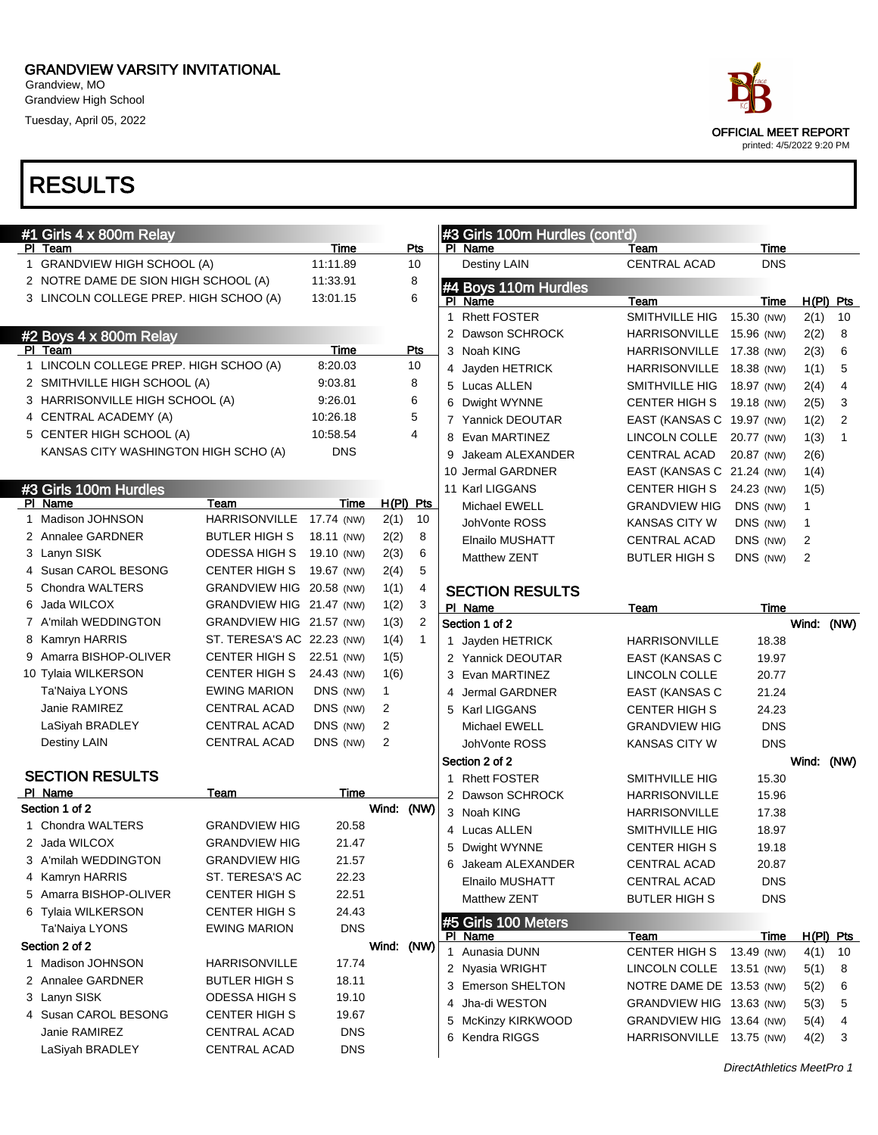Grandview, MO Grandview High School

Tuesday, April 05, 2022

| #1 Girls 4 x 800m Relay                |                            |            |            |              |             | #3 Girls 100m Hurdles (cont'd) |                           |             |             |                |
|----------------------------------------|----------------------------|------------|------------|--------------|-------------|--------------------------------|---------------------------|-------------|-------------|----------------|
| PI Team                                |                            | Time       |            | Pts          |             | PI Name                        | Team                      | Time        |             |                |
| 1 GRANDVIEW HIGH SCHOOL (A)            |                            | 11:11.89   |            | 10           |             | <b>Destiny LAIN</b>            | <b>CENTRAL ACAD</b>       | <b>DNS</b>  |             |                |
| 2 NOTRE DAME DE SION HIGH SCHOOL (A)   |                            | 11:33.91   |            | 8            |             | #4 Boys 110m Hurdles           |                           |             |             |                |
| 3 LINCOLN COLLEGE PREP. HIGH SCHOO (A) |                            | 13:01.15   |            | 6            |             | PI Name                        | Team                      | Time        | $H(PI)$ Pts |                |
|                                        |                            |            |            |              | $\mathbf 1$ | <b>Rhett FOSTER</b>            | SMITHVILLE HIG            | 15.30 (NW)  | 2(1)        | 10             |
| #2 Boys 4 x 800m Relay                 |                            |            |            |              |             | Dawson SCHROCK                 | <b>HARRISONVILLE</b>      | 15.96 (NW)  | 2(2)        | 8              |
| PI Team                                |                            | Time       |            | Pts          |             | 3 Noah KING                    | HARRISONVILLE 17.38 (NW)  |             | 2(3)        | 6              |
| 1 LINCOLN COLLEGE PREP. HIGH SCHOO (A) |                            | 8:20.03    |            | 10           |             | 4 Jayden HETRICK               | <b>HARRISONVILLE</b>      | 18.38 (NW)  | 1(1)        | 5              |
| 2 SMITHVILLE HIGH SCHOOL (A)           |                            | 9:03.81    |            | 8            |             | 5 Lucas ALLEN                  | SMITHVILLE HIG            | 18.97 (NW)  | 2(4)        | 4              |
| 3 HARRISONVILLE HIGH SCHOOL (A)        |                            | 9:26.01    |            | 6            | 6           | Dwight WYNNE                   | <b>CENTER HIGH S</b>      | 19.18 (NW)  | 2(5)        | 3              |
| 4 CENTRAL ACADEMY (A)                  |                            | 10:26.18   |            | 5            |             | 7 Yannick DEOUTAR              | EAST (KANSAS C 19.97 (NW) |             | 1(2)        | $\overline{2}$ |
| 5 CENTER HIGH SCHOOL (A)               |                            | 10:58.54   |            | 4            | 8           | Evan MARTINEZ                  | LINCOLN COLLE             | 20.77 (NW)  | 1(3)        | $\mathbf{1}$   |
| KANSAS CITY WASHINGTON HIGH SCHO (A)   |                            | <b>DNS</b> |            |              | 9           | Jakeam ALEXANDER               | <b>CENTRAL ACAD</b>       | 20.87 (NW)  | 2(6)        |                |
|                                        |                            |            |            |              |             | 10 Jermal GARDNER              | EAST (KANSAS C 21.24 (NW) |             | 1(4)        |                |
| #3 Girls 100m Hurdles                  |                            |            |            |              |             | 11 Karl LIGGANS                | <b>CENTER HIGH S</b>      | 24.23 (NW)  | 1(5)        |                |
| PI Name                                | Team                       | Time       | H(PI) Pts  |              |             | Michael EWELL                  | <b>GRANDVIEW HIG</b>      | DNS (NW)    | 1           |                |
| 1 Madison JOHNSON                      | <b>HARRISONVILLE</b>       | 17.74 (NW) | 2(1)       | 10           |             | JohVonte ROSS                  | <b>KANSAS CITY W</b>      | DNS (NW)    | 1           |                |
| 2 Annalee GARDNER                      | <b>BUTLER HIGH S</b>       | 18.11 (NW) | 2(2)       | 8            |             | <b>Elnailo MUSHATT</b>         | <b>CENTRAL ACAD</b>       | DNS (NW)    | 2           |                |
| 3 Lanyn SISK                           | <b>ODESSA HIGH S</b>       | 19.10 (NW) | 2(3)       | 6            |             | Matthew ZENT                   | <b>BUTLER HIGH S</b>      | DNS (NW)    | 2           |                |
| 4 Susan CAROL BESONG                   | <b>CENTER HIGH S</b>       | 19.67 (NW) | 2(4)       | 5            |             |                                |                           |             |             |                |
| 5 Chondra WALTERS                      | GRANDVIEW HIG 20.58 (NW)   |            | 1(1)       | 4            |             | <b>SECTION RESULTS</b>         |                           |             |             |                |
| 6 Jada WILCOX                          | GRANDVIEW HIG 21.47 (NW)   |            | 1(2)       | 3            |             | PI Name                        | Team                      | Time        |             |                |
| 7 A'milah WEDDINGTON                   | GRANDVIEW HIG 21.57 (NW)   |            | 1(3)       | 2            |             | Section 1 of 2                 |                           |             | Wind: (NW)  |                |
| 8 Kamryn HARRIS                        | ST. TERESA'S AC 22.23 (NW) |            | 1(4)       | $\mathbf{1}$ |             | 1 Jayden HETRICK               | <b>HARRISONVILLE</b>      | 18.38       |             |                |
| 9 Amarra BISHOP-OLIVER                 | <b>CENTER HIGH S</b>       | 22.51 (NW) | 1(5)       |              |             | 2 Yannick DEOUTAR              | <b>EAST (KANSAS C</b>     | 19.97       |             |                |
| 10 Tylaia WILKERSON                    | <b>CENTER HIGH S</b>       | 24.43 (NW) | 1(6)       |              | 3           | Evan MARTINEZ                  | LINCOLN COLLE             | 20.77       |             |                |
| Ta'Naiya LYONS                         | <b>EWING MARION</b>        | DNS (NW)   | 1          |              | 4           | Jermal GARDNER                 | <b>EAST (KANSAS C</b>     | 21.24       |             |                |
| Janie RAMIREZ                          | <b>CENTRAL ACAD</b>        | DNS (NW)   | 2          |              | 5           | Karl LIGGANS                   | <b>CENTER HIGH S</b>      | 24.23       |             |                |
| LaSiyah BRADLEY                        | <b>CENTRAL ACAD</b>        | DNS (NW)   | 2          |              |             | <b>Michael EWELL</b>           | <b>GRANDVIEW HIG</b>      | <b>DNS</b>  |             |                |
| Destiny LAIN                           | <b>CENTRAL ACAD</b>        | DNS (NW)   | 2          |              |             | JohVonte ROSS                  | <b>KANSAS CITY W</b>      | <b>DNS</b>  |             |                |
|                                        |                            |            |            |              |             | Section 2 of 2                 |                           |             | Wind: (NW)  |                |
| <b>SECTION RESULTS</b><br>PI Name      |                            | Time       |            |              |             | 1 Rhett FOSTER                 | SMITHVILLE HIG            | 15.30       |             |                |
| Section 1 of 2                         | Team                       |            | Wind:      | (NW)         |             | 2 Dawson SCHROCK               | <b>HARRISONVILLE</b>      | 15.96       |             |                |
| 1 Chondra WALTERS                      | <b>GRANDVIEW HIG</b>       | 20.58      |            |              |             | 3 Noah KING                    | <b>HARRISONVILLE</b>      | 17.38       |             |                |
| 2 Jada WILCOX                          | <b>GRANDVIEW HIG</b>       | 21.47      |            |              |             | 4 Lucas ALLEN                  | SMITHVILLE HIG            | 18.97       |             |                |
| 3 A'milah WEDDINGTON                   | <b>GRANDVIEW HIG</b>       | 21.57      |            |              |             | 5 Dwight WYNNE                 | <b>CENTER HIGH S</b>      | 19.18       |             |                |
| 4 Kamryn HARRIS                        | ST. TERESA'S AC            | 22.23      |            |              |             | 6 Jakeam ALEXANDER             | CENTRAL ACAD              | 20.87       |             |                |
| 5 Amarra BISHOP-OLIVER                 | <b>CENTER HIGH S</b>       | 22.51      |            |              |             | Elnailo MUSHATT                | <b>CENTRAL ACAD</b>       | <b>DNS</b>  |             |                |
| 6 Tylaia WILKERSON                     | <b>CENTER HIGH S</b>       | 24.43      |            |              |             | Matthew ZENT                   | <b>BUTLER HIGH S</b>      | <b>DNS</b>  |             |                |
| Ta'Naiya LYONS                         | <b>EWING MARION</b>        | <b>DNS</b> |            |              |             | #5 Girls 100 Meters            |                           |             |             |                |
| Section 2 of 2                         |                            |            | Wind: (NW) |              |             | PI Name                        | Team                      | <u>Time</u> | H(PI) Pts   |                |
| 1 Madison JOHNSON                      | <b>HARRISONVILLE</b>       | 17.74      |            |              |             | 1 Aunasia DUNN                 | CENTER HIGH S             | 13.49 (NW)  | 4(1)        | 10             |
| 2 Annalee GARDNER                      | <b>BUTLER HIGH S</b>       | 18.11      |            |              |             | 2 Nyasia WRIGHT                | LINCOLN COLLE 13.51 (NW)  |             | 5(1)        | 8              |
| 3 Lanyn SISK                           | ODESSA HIGH S              | 19.10      |            |              |             | 3 Emerson SHELTON              | NOTRE DAME DE 13.53 (NW)  |             | 5(2)        | 6              |
| 4 Susan CAROL BESONG                   | <b>CENTER HIGH S</b>       | 19.67      |            |              | 4           | Jha-di WESTON                  | GRANDVIEW HIG 13.63 (NW)  |             | 5(3)        | 5              |
| Janie RAMIREZ                          | CENTRAL ACAD               | <b>DNS</b> |            |              |             | 5 McKinzy KIRKWOOD             | GRANDVIEW HIG 13.64 (NW)  |             | 5(4)        | 4              |
| LaSiyah BRADLEY                        | CENTRAL ACAD               | <b>DNS</b> |            |              |             | 6 Kendra RIGGS                 | HARRISONVILLE 13.75 (NW)  |             | 4(2)        | 3              |
|                                        |                            |            |            |              |             |                                |                           |             |             |                |

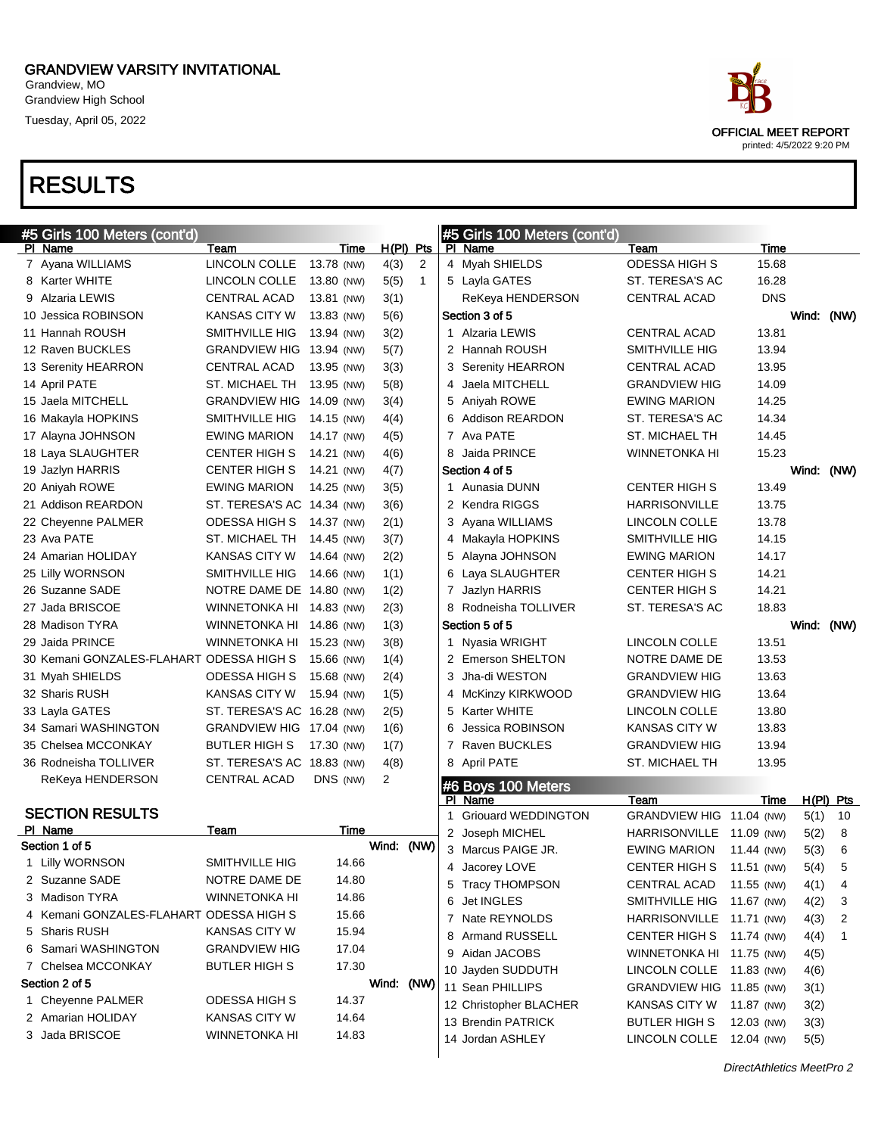Grandview, MO Grandview High School Tuesday, April 05, 2022

# RESULTS

| <b>RESULTS</b>                           |                            |                    |                                       |   |                               |                              |               |            |             |
|------------------------------------------|----------------------------|--------------------|---------------------------------------|---|-------------------------------|------------------------------|---------------|------------|-------------|
|                                          |                            |                    |                                       |   |                               |                              |               |            |             |
| #5 Girls 100 Meters (cont'd)             |                            |                    |                                       |   | #5 Girls 100 Meters (cont'd)  |                              |               |            |             |
| PI Name<br>7 Ayana WILLIAMS              | Team<br>LINCOLN COLLE      | Time<br>13.78 (NW) | $H(PI)$ Pts<br>4(3)<br>$\overline{2}$ |   | PI Name<br>4 Myah SHIELDS     | Team<br><b>ODESSA HIGH S</b> | Time<br>15.68 |            |             |
| 8 Karter WHITE                           | LINCOLN COLLE              | 13.80 (NW)         | 5(5)<br>1                             |   | 5 Layla GATES                 | ST. TERESA'S AC              | 16.28         |            |             |
| 9 Alzaria LEWIS                          | <b>CENTRAL ACAD</b>        | 13.81 (NW)         | 3(1)                                  |   | ReKeya HENDERSON              | <b>CENTRAL ACAD</b>          | <b>DNS</b>    |            |             |
| 10 Jessica ROBINSON                      | <b>KANSAS CITY W</b>       | 13.83 (NW)         |                                       |   | Section 3 of 5                |                              |               | Wind: (NW) |             |
| 11 Hannah ROUSH                          | SMITHVILLE HIG             | 13.94 (NW)         | 5(6)                                  |   | 1 Alzaria LEWIS               | <b>CENTRAL ACAD</b>          | 13.81         |            |             |
| 12 Raven BUCKLES                         | <b>GRANDVIEW HIG</b>       | 13.94 (NW)         | 3(2)                                  |   | 2 Hannah ROUSH                | SMITHVILLE HIG               | 13.94         |            |             |
|                                          | <b>CENTRAL ACAD</b>        | 13.95 (NW)         | 5(7)<br>3(3)                          |   | 3 Serenity HEARRON            | <b>CENTRAL ACAD</b>          | 13.95         |            |             |
| 13 Serenity HEARRON<br>14 April PATE     | ST. MICHAEL TH             | 13.95 (NW)         | 5(8)                                  | 4 | Jaela MITCHELL                | <b>GRANDVIEW HIG</b>         | 14.09         |            |             |
| 15 Jaela MITCHELL                        | <b>GRANDVIEW HIG</b>       | 14.09 (NW)         | 3(4)                                  |   | 5 Aniyah ROWE                 | <b>EWING MARION</b>          | 14.25         |            |             |
| 16 Makayla HOPKINS                       | SMITHVILLE HIG             | 14.15 (NW)         |                                       |   | 6 Addison REARDON             | ST. TERESA'S AC              | 14.34         |            |             |
| 17 Alayna JOHNSON                        | <b>EWING MARION</b>        | 14.17 (NW)         | 4(4)<br>4(5)                          |   | 7 Ava PATE                    | <b>ST. MICHAEL TH</b>        | 14.45         |            |             |
| 18 Laya SLAUGHTER                        | <b>CENTER HIGH S</b>       | 14.21 (NW)         | 4(6)                                  | 8 | Jaida PRINCE                  | WINNETONKA HI                | 15.23         |            |             |
| 19 Jazlyn HARRIS                         | <b>CENTER HIGH S</b>       | 14.21 (NW)         | 4(7)                                  |   | Section 4 of 5                |                              |               | Wind: (NW) |             |
| 20 Aniyah ROWE                           | <b>EWING MARION</b>        | 14.25 (NW)         | 3(5)                                  |   | 1 Aunasia DUNN                | CENTER HIGH S                | 13.49         |            |             |
| 21 Addison REARDON                       | ST. TERESA'S AC 14.34 (NW) |                    | 3(6)                                  |   | 2 Kendra RIGGS                | <b>HARRISONVILLE</b>         | 13.75         |            |             |
| 22 Cheyenne PALMER                       | <b>ODESSA HIGH S</b>       | 14.37 (NW)         | 2(1)                                  |   | 3 Ayana WILLIAMS              | LINCOLN COLLE                | 13.78         |            |             |
| 23 Ava PATE                              | ST. MICHAEL TH             | 14.45 (NW)         | 3(7)                                  |   | 4 Makayla HOPKINS             | SMITHVILLE HIG               | 14.15         |            |             |
| 24 Amarian HOLIDAY                       | <b>KANSAS CITY W</b>       | 14.64 (NW)         | 2(2)                                  |   | 5 Alayna JOHNSON              | <b>EWING MARION</b>          | 14.17         |            |             |
| 25 Lilly WORNSON                         | SMITHVILLE HIG             | 14.66 (NW)         | 1(1)                                  |   | 6 Laya SLAUGHTER              | <b>CENTER HIGH S</b>         | 14.21         |            |             |
| 26 Suzanne SADE                          | NOTRE DAME DE 14.80 (NW)   |                    | 1(2)                                  |   | 7 Jazlyn HARRIS               | <b>CENTER HIGH S</b>         | 14.21         |            |             |
| 27 Jada BRISCOE                          | WINNETONKA HI              | 14.83 (NW)         | 2(3)                                  |   | 8 Rodneisha TOLLIVER          | ST. TERESA'S AC              | 18.83         |            |             |
| 28 Madison TYRA                          | <b>WINNETONKA HI</b>       | 14.86 (NW)         | 1(3)                                  |   | Section 5 of 5                |                              |               | Wind: (NW) |             |
| 29 Jaida PRINCE                          | <b>WINNETONKA HI</b>       | 15.23 (NW)         | 3(8)                                  |   | 1 Nyasia WRIGHT               | LINCOLN COLLE                | 13.51         |            |             |
| 30 Kemani GONZALES-FLAHART ODESSA HIGH S |                            | 15.66 (NW)         | 1(4)                                  |   | 2 Emerson SHELTON             | NOTRE DAME DE                | 13.53         |            |             |
| 31 Myah SHIELDS                          | ODESSA HIGH S              | 15.68 (NW)         | 2(4)                                  |   | 3 Jha-di WESTON               | <b>GRANDVIEW HIG</b>         | 13.63         |            |             |
| 32 Sharis RUSH                           | KANSAS CITY W              | 15.94 (NW)         | 1(5)                                  | 4 | <b>McKinzy KIRKWOOD</b>       | <b>GRANDVIEW HIG</b>         | 13.64         |            |             |
| 33 Layla GATES                           | ST. TERESA'S AC 16.28 (NW) |                    | 2(5)                                  |   | 5 Karter WHITE                | LINCOLN COLLE                | 13.80         |            |             |
| 34 Samari WASHINGTON                     | GRANDVIEW HIG 17.04 (NW)   |                    | 1(6)                                  | 6 | Jessica ROBINSON              | <b>KANSAS CITY W</b>         | 13.83         |            |             |
| 35 Chelsea MCCONKAY                      | <b>BUTLER HIGH S</b>       | 17.30 (NW)         | 1(7)                                  |   | 7 Raven BUCKLES               | <b>GRANDVIEW HIG</b>         | 13.94         |            |             |
| 36 Rodneisha TOLLIVER                    | ST. TERESA'S AC 18.83 (NW) |                    | 4(8)                                  |   | 8 April PATE                  | ST. MICHAEL TH               | 13.95         |            |             |
| ReKeya HENDERSON                         | <b>CENTRAL ACAD</b>        | DNS (NW)           | 2                                     |   |                               |                              |               |            |             |
|                                          |                            |                    |                                       |   | #6 Boys 100 Meters<br>PI Name | Team                         | Time          |            | $H(PI)$ Pts |
| <b>SECTION RESULTS</b>                   |                            |                    |                                       |   | 1 Griouard WEDDINGTON         | GRANDVIEW HIG 11.04 (NW)     |               | 5(1)       | 10          |
| PI Name                                  | Team                       | <b>Time</b>        |                                       | 2 | Joseph MICHEL                 | <b>HARRISONVILLE</b>         | 11.09 (NW)    | 5(2)       | 8           |
| Section 1 of 5                           |                            |                    | Wind: (NW)                            |   | 3 Marcus PAIGE JR.            | <b>EWING MARION</b>          | 11.44 (NW)    | 5(3)       | 6           |
| 1 Lilly WORNSON                          | <b>SMITHVILLE HIG</b>      | 14.66              |                                       |   | 4 Jacorey LOVE                | <b>CENTER HIGH S</b>         | 11.51 (NW)    | 5(4)       | 5           |
| 2 Suzanne SADE                           | NOTRE DAME DE              | 14.80              |                                       |   | 5 Tracy THOMPSON              | CENTRAL ACAD                 | 11.55 (NW)    | 4(1)       | 4           |
|                                          |                            |                    |                                       |   |                               |                              |               |            |             |

| Wind: (NW)<br>Section 1 of 5<br>3 Marcus PAIGE JR.<br><b>EWING MARION</b><br>11.44 (NW)<br>1 Lilly WORNSON<br>SMITHVILLE HIG<br>14.66<br>4 Jacorey LOVE<br><b>CENTER HIGH S</b><br>11.51 (NW)<br>2 Suzanne SADE<br>NOTRE DAME DE<br>14.80<br>5 Tracy THOMPSON<br><b>CENTRAL ACAD</b><br>11.55 (NW)<br>3 Madison TYRA<br>14.86<br><b>WINNETONKA HI</b><br>6 Jet INGLES<br>SMITHVILLE HIG<br>11.67 (NW)<br>4 Kemani GONZALES-FLAHART ODESSA HIGH S<br>15.66<br>7 Nate REYNOLDS<br><b>HARRISONVILLE</b><br>11.71 (NW)<br>15.94<br>5 Sharis RUSH<br>KANSAS CITY W<br>8 Armand RUSSELL<br>CENTER HIGH S 11.74 (NW)<br>17.04<br>6 Samari WASHINGTON<br><b>GRANDVIEW HIG</b><br>9 Aidan JACOBS<br>WINNETONKA HI 11.75 (NW)<br>7 Chelsea MCCONKAY<br><b>BUTLER HIGH S</b><br>17.30<br>10 Jayden SUDDUTH<br>LINCOLN COLLE<br>11.83 (NW)<br>Wind:<br>Section 2 of 5<br>(NW)<br><b>GRANDVIEW HIG</b><br>Sean PHILLIPS<br>11.85 (NW)<br>11<br><b>ODESSA HIGH S</b><br>1 Cheyenne PALMER<br>14.37<br>12 Christopher BLACHER<br>KANSAS CITY W<br>11.87 (NW)<br>2 Amarian HOLIDAY<br>KANSAS CITY W<br>14.64<br>13 Brendin PATRICK<br><b>BUTLER HIGH S</b><br>12.03 (NW)<br>3(3)<br>3 Jada BRISCOE<br><b>WINNETONKA HI</b><br>14.83<br>14 Jordan ASHLEY<br>LINCOLN COLLE<br>12.04 (NW) | PI Name | Team | Time |  |                 |                      |            |      |                |
|------------------------------------------------------------------------------------------------------------------------------------------------------------------------------------------------------------------------------------------------------------------------------------------------------------------------------------------------------------------------------------------------------------------------------------------------------------------------------------------------------------------------------------------------------------------------------------------------------------------------------------------------------------------------------------------------------------------------------------------------------------------------------------------------------------------------------------------------------------------------------------------------------------------------------------------------------------------------------------------------------------------------------------------------------------------------------------------------------------------------------------------------------------------------------------------------------------------------------------------------------------------------|---------|------|------|--|-----------------|----------------------|------------|------|----------------|
|                                                                                                                                                                                                                                                                                                                                                                                                                                                                                                                                                                                                                                                                                                                                                                                                                                                                                                                                                                                                                                                                                                                                                                                                                                                                        |         |      |      |  | 2 Joseph MICHEL | <b>HARRISONVILLE</b> | 11.09 (NW) | 5(2) | 8              |
|                                                                                                                                                                                                                                                                                                                                                                                                                                                                                                                                                                                                                                                                                                                                                                                                                                                                                                                                                                                                                                                                                                                                                                                                                                                                        |         |      |      |  |                 |                      |            | 5(3) | 6              |
|                                                                                                                                                                                                                                                                                                                                                                                                                                                                                                                                                                                                                                                                                                                                                                                                                                                                                                                                                                                                                                                                                                                                                                                                                                                                        |         |      |      |  |                 |                      |            | 5(4) | 5              |
|                                                                                                                                                                                                                                                                                                                                                                                                                                                                                                                                                                                                                                                                                                                                                                                                                                                                                                                                                                                                                                                                                                                                                                                                                                                                        |         |      |      |  |                 |                      |            | 4(1) | $\overline{4}$ |
|                                                                                                                                                                                                                                                                                                                                                                                                                                                                                                                                                                                                                                                                                                                                                                                                                                                                                                                                                                                                                                                                                                                                                                                                                                                                        |         |      |      |  |                 |                      |            | 4(2) | -3             |
|                                                                                                                                                                                                                                                                                                                                                                                                                                                                                                                                                                                                                                                                                                                                                                                                                                                                                                                                                                                                                                                                                                                                                                                                                                                                        |         |      |      |  |                 |                      |            | 4(3) | $\overline{2}$ |
|                                                                                                                                                                                                                                                                                                                                                                                                                                                                                                                                                                                                                                                                                                                                                                                                                                                                                                                                                                                                                                                                                                                                                                                                                                                                        |         |      |      |  |                 |                      |            | 4(4) | -1             |
|                                                                                                                                                                                                                                                                                                                                                                                                                                                                                                                                                                                                                                                                                                                                                                                                                                                                                                                                                                                                                                                                                                                                                                                                                                                                        |         |      |      |  |                 |                      |            | 4(5) |                |
|                                                                                                                                                                                                                                                                                                                                                                                                                                                                                                                                                                                                                                                                                                                                                                                                                                                                                                                                                                                                                                                                                                                                                                                                                                                                        |         |      |      |  |                 |                      |            | 4(6) |                |
|                                                                                                                                                                                                                                                                                                                                                                                                                                                                                                                                                                                                                                                                                                                                                                                                                                                                                                                                                                                                                                                                                                                                                                                                                                                                        |         |      |      |  |                 |                      |            | 3(1) |                |
|                                                                                                                                                                                                                                                                                                                                                                                                                                                                                                                                                                                                                                                                                                                                                                                                                                                                                                                                                                                                                                                                                                                                                                                                                                                                        |         |      |      |  |                 |                      |            | 3(2) |                |
|                                                                                                                                                                                                                                                                                                                                                                                                                                                                                                                                                                                                                                                                                                                                                                                                                                                                                                                                                                                                                                                                                                                                                                                                                                                                        |         |      |      |  |                 |                      |            |      |                |
|                                                                                                                                                                                                                                                                                                                                                                                                                                                                                                                                                                                                                                                                                                                                                                                                                                                                                                                                                                                                                                                                                                                                                                                                                                                                        |         |      |      |  |                 |                      |            | 5(5) |                |
|                                                                                                                                                                                                                                                                                                                                                                                                                                                                                                                                                                                                                                                                                                                                                                                                                                                                                                                                                                                                                                                                                                                                                                                                                                                                        |         |      |      |  |                 |                      |            |      |                |

#### DirectAthletics MeetPro 2

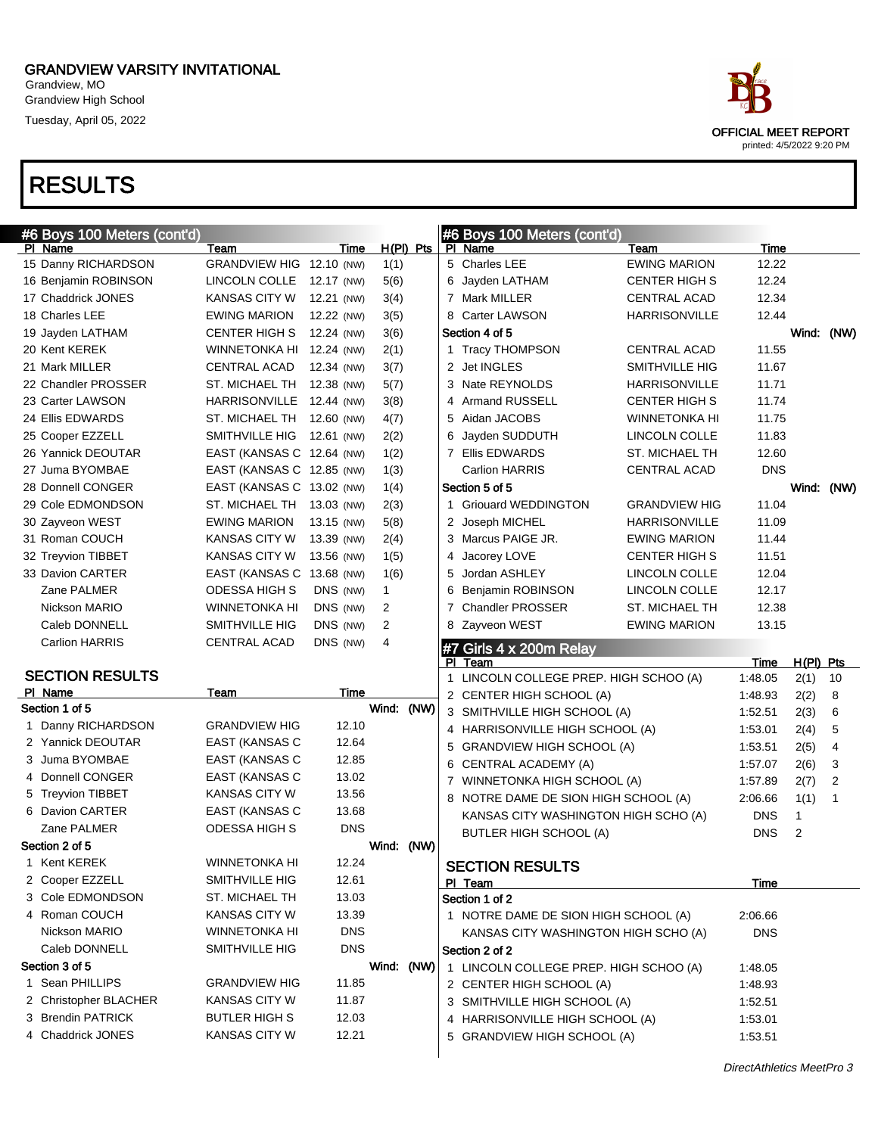Grandview, MO Grandview High School Tuesday, April 05, 2022

| #6 Boys 100 Meters (cont'd) |                           |            |             | #6 Boys 100 Meters (cont'd)                                        |                       |                 |                     |             |
|-----------------------------|---------------------------|------------|-------------|--------------------------------------------------------------------|-----------------------|-----------------|---------------------|-------------|
| PI Name                     | Team                      | Time       | $H(PI)$ Pts | PI Name                                                            | Team                  | Time            |                     |             |
| 15 Danny RICHARDSON         | GRANDVIEW HIG 12.10 (NW)  |            | 1(1)        | 5 Charles LEE                                                      | <b>EWING MARION</b>   | 12.22           |                     |             |
| 16 Benjamin ROBINSON        | LINCOLN COLLE             | 12.17 (NW) | 5(6)        | 6 Jayden LATHAM                                                    | <b>CENTER HIGH S</b>  | 12.24           |                     |             |
| 17 Chaddrick JONES          | <b>KANSAS CITY W</b>      | 12.21 (NW) | 3(4)        | 7 Mark MILLER                                                      | <b>CENTRAL ACAD</b>   | 12.34           |                     |             |
| 18 Charles LEE              | <b>EWING MARION</b>       | 12.22 (NW) | 3(5)        | 8 Carter LAWSON                                                    | <b>HARRISONVILLE</b>  | 12.44           |                     |             |
| 19 Jayden LATHAM            | <b>CENTER HIGH S</b>      | 12.24 (NW) | 3(6)        | Section 4 of 5                                                     |                       |                 |                     | Wind: (NW)  |
| 20 Kent KEREK               | <b>WINNETONKA HI</b>      | 12.24 (NW) | 2(1)        | 1 Tracy THOMPSON                                                   | <b>CENTRAL ACAD</b>   | 11.55           |                     |             |
| 21 Mark MILLER              | CENTRAL ACAD              | 12.34 (NW) | 3(7)        | 2 Jet INGLES                                                       | <b>SMITHVILLE HIG</b> | 11.67           |                     |             |
| 22 Chandler PROSSER         | ST. MICHAEL TH            | 12.38 (NW) | 5(7)        | 3 Nate REYNOLDS                                                    | <b>HARRISONVILLE</b>  | 11.71           |                     |             |
| 23 Carter LAWSON            | HARRISONVILLE 12.44 (NW)  |            | 3(8)        | 4 Armand RUSSELL                                                   | <b>CENTER HIGH S</b>  | 11.74           |                     |             |
| 24 Ellis EDWARDS            | ST. MICHAEL TH 12.60 (NW) |            | 4(7)        | Aidan JACOBS<br>5                                                  | <b>WINNETONKA HI</b>  | 11.75           |                     |             |
| 25 Cooper EZZELL            | SMITHVILLE HIG            | 12.61 (NW) | 2(2)        | Jayden SUDDUTH<br>6                                                | LINCOLN COLLE         | 11.83           |                     |             |
| 26 Yannick DEOUTAR          | EAST (KANSAS C 12.64 (NW) |            | 1(2)        | 7 Ellis EDWARDS                                                    | ST. MICHAEL TH        | 12.60           |                     |             |
| 27 Juma BYOMBAE             | EAST (KANSAS C 12.85 (NW) |            | 1(3)        | <b>Carlion HARRIS</b>                                              | <b>CENTRAL ACAD</b>   | <b>DNS</b>      |                     |             |
| 28 Donnell CONGER           | EAST (KANSAS C 13.02 (NW) |            | 1(4)        | Section 5 of 5                                                     |                       |                 |                     | Wind: (NW)  |
| 29 Cole EDMONDSON           | ST. MICHAEL TH            | 13.03 (NW) | 2(3)        | 1 Griouard WEDDINGTON                                              | <b>GRANDVIEW HIG</b>  | 11.04           |                     |             |
| 30 Zayveon WEST             | <b>EWING MARION</b>       | 13.15 (NW) | 5(8)        | 2 Joseph MICHEL                                                    | <b>HARRISONVILLE</b>  | 11.09           |                     |             |
| 31 Roman COUCH              | <b>KANSAS CITY W</b>      | 13.39 (NW) | 2(4)        | 3 Marcus PAIGE JR.                                                 | <b>EWING MARION</b>   | 11.44           |                     |             |
| 32 Treyvion TIBBET          | <b>KANSAS CITY W</b>      | 13.56 (NW) | 1(5)        | Jacorey LOVE<br>4                                                  | <b>CENTER HIGH S</b>  | 11.51           |                     |             |
| 33 Davion CARTER            | EAST (KANSAS C 13.68 (NW) |            | 1(6)        | Jordan ASHLEY<br>5                                                 | LINCOLN COLLE         | 12.04           |                     |             |
| Zane PALMER                 | <b>ODESSA HIGH S</b>      | DNS (NW)   | 1           | Benjamin ROBINSON<br>6                                             | LINCOLN COLLE         | 12.17           |                     |             |
| Nickson MARIO               | <b>WINNETONKA HI</b>      | DNS (NW)   | 2           | <b>Chandler PROSSER</b><br>$\overline{7}$                          | ST. MICHAEL TH        | 12.38           |                     |             |
| Caleb DONNELL               | SMITHVILLE HIG            | DNS (NW)   | 2           | 8 Zayveon WEST                                                     | <b>EWING MARION</b>   | 13.15           |                     |             |
| <b>Carlion HARRIS</b>       | <b>CENTRAL ACAD</b>       | DNS (NW)   | 4           |                                                                    |                       |                 |                     |             |
|                             |                           |            |             |                                                                    |                       |                 |                     |             |
|                             |                           |            |             | #7 Girls 4 x 200m Relay<br>PI Team                                 |                       |                 |                     |             |
| <b>SECTION RESULTS</b>      |                           |            |             | 1 LINCOLN COLLEGE PREP. HIGH SCHOO (A)                             |                       | Time<br>1:48.05 | $H(PI)$ Pts<br>2(1) | 10          |
| PI Name                     | Team                      | Time       |             | 2 CENTER HIGH SCHOOL (A)                                           |                       | 1:48.93         | 2(2)                | 8           |
| Section 1 of 5              |                           |            | Wind: (NW)  |                                                                    |                       | 1:52.51         |                     | 6           |
| 1 Danny RICHARDSON          | <b>GRANDVIEW HIG</b>      | 12.10      |             | 3 SMITHVILLE HIGH SCHOOL (A)<br>4 HARRISONVILLE HIGH SCHOOL (A)    |                       | 1:53.01         | 2(3)                | 5           |
| 2 Yannick DEOUTAR           | EAST (KANSAS C            | 12.64      |             | <b>GRANDVIEW HIGH SCHOOL (A)</b><br>5                              |                       | 1:53.51         | 2(4)                | 4           |
| 3 Juma BYOMBAE              | EAST (KANSAS C            | 12.85      |             | CENTRAL ACADEMY (A)<br>6                                           |                       | 1:57.07         | 2(5)<br>2(6)        | 3           |
| 4 Donnell CONGER            | EAST (KANSAS C            | 13.02      |             | WINNETONKA HIGH SCHOOL (A)<br>$\overline{7}$                       |                       | 1:57.89         |                     | 2           |
| 5 Treyvion TIBBET           | <b>KANSAS CITY W</b>      | 13.56      |             | 8 NOTRE DAME DE SION HIGH SCHOOL (A)                               |                       | 2:06.66         | 2(7)                | $\mathbf 1$ |
| 6 Davion CARTER             | EAST (KANSAS C            | 13.68      |             | KANSAS CITY WASHINGTON HIGH SCHO (A)                               |                       | <b>DNS</b>      | 1(1)<br>1           |             |
| Zane PALMER                 | ODESSA HIGH S             | <b>DNS</b> |             | <b>BUTLER HIGH SCHOOL (A)</b>                                      |                       | <b>DNS</b>      | 2                   |             |
| Section 2 of 5              |                           |            | Wind: (NW)  |                                                                    |                       |                 |                     |             |
| 1 Kent KEREK                | <b>WINNETONKA HI</b>      | 12.24      |             | <b>SECTION RESULTS</b>                                             |                       |                 |                     |             |
| 2 Cooper EZZELL             | SMITHVILLE HIG            | 12.61      |             | PI Team                                                            |                       | Time            |                     |             |
| 3 Cole EDMONDSON            | ST. MICHAEL TH            | 13.03      |             | Section 1 of 2                                                     |                       |                 |                     |             |
| 4 Roman COUCH               | KANSAS CITY W             | 13.39      |             | 1 NOTRE DAME DE SION HIGH SCHOOL (A)                               |                       | 2:06.66         |                     |             |
| Nickson MARIO               | <b>WINNETONKA HI</b>      | <b>DNS</b> |             | KANSAS CITY WASHINGTON HIGH SCHO (A)                               |                       | <b>DNS</b>      |                     |             |
| Caleb DONNELL               | SMITHVILLE HIG            | <b>DNS</b> |             | Section 2 of 2                                                     |                       |                 |                     |             |
| Section 3 of 5              |                           |            | Wind: (NW)  |                                                                    |                       | 1:48.05         |                     |             |
| 1 Sean PHILLIPS             | <b>GRANDVIEW HIG</b>      | 11.85      |             | 1 LINCOLN COLLEGE PREP. HIGH SCHOO (A)<br>2 CENTER HIGH SCHOOL (A) |                       | 1:48.93         |                     |             |
| 2 Christopher BLACHER       | <b>KANSAS CITY W</b>      | 11.87      |             | 3 SMITHVILLE HIGH SCHOOL (A)                                       |                       | 1:52.51         |                     |             |
| 3 Brendin PATRICK           | <b>BUTLER HIGH S</b>      | 12.03      |             | 4 HARRISONVILLE HIGH SCHOOL (A)                                    |                       | 1:53.01         |                     |             |
| 4 Chaddrick JONES           | <b>KANSAS CITY W</b>      | 12.21      |             | 5 GRANDVIEW HIGH SCHOOL (A)                                        |                       | 1:53.51         |                     |             |

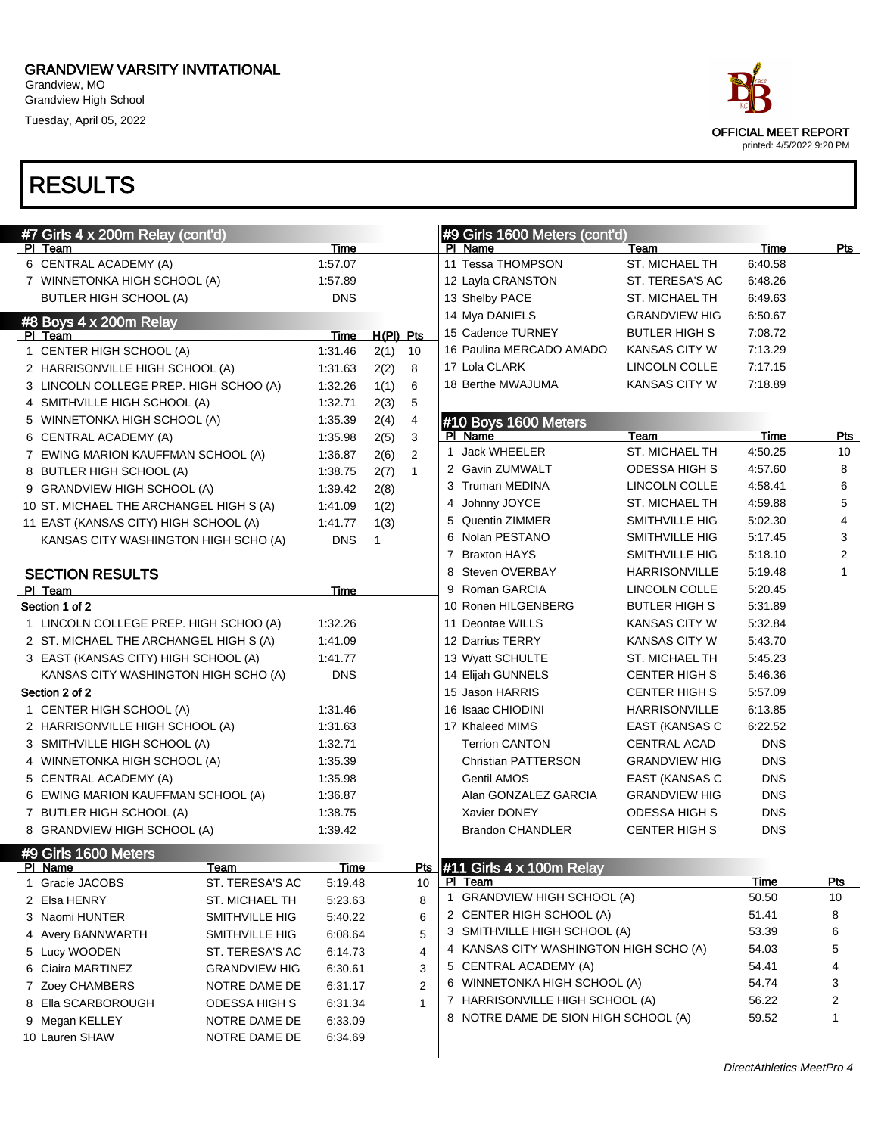Grandview, MO Grandview High School

Tuesday, April 05, 2022

| ace.                                              |
|---------------------------------------------------|
| OFFICIAL MEET REPORT<br>printed: 4/5/2022 9:20 PM |

| #7 Girls 4 x 200m Relay (cont'd)        |                         |                        |             |              |   | #9 Girls 1600 Meters (cont'd)                                 |                      |             |                |
|-----------------------------------------|-------------------------|------------------------|-------------|--------------|---|---------------------------------------------------------------|----------------------|-------------|----------------|
| PI Team                                 |                         | Time                   |             |              |   | PI Name                                                       | Team                 | Time        | Pts            |
| 6 CENTRAL ACADEMY (A)                   |                         | 1:57.07                |             |              |   | 11 Tessa THOMPSON                                             | ST. MICHAEL TH       | 6:40.58     |                |
| 7 WINNETONKA HIGH SCHOOL (A)            |                         | 1:57.89                |             |              |   | 12 Layla CRANSTON                                             | ST. TERESA'S AC      | 6:48.26     |                |
| <b>BUTLER HIGH SCHOOL (A)</b>           |                         | <b>DNS</b>             |             |              |   | 13 Shelby PACE                                                | ST. MICHAEL TH       | 6:49.63     |                |
| #8 Boys 4 x 200m Relay                  |                         |                        |             |              |   | 14 Mya DANIELS                                                | <b>GRANDVIEW HIG</b> | 6:50.67     |                |
| PI Team                                 |                         | Time                   | $H(PI)$ Pts |              |   | 15 Cadence TURNEY                                             | <b>BUTLER HIGH S</b> | 7:08.72     |                |
| 1 CENTER HIGH SCHOOL (A)                |                         | 1:31.46                | 2(1)        | 10           |   | 16 Paulina MERCADO AMADO                                      | <b>KANSAS CITY W</b> | 7:13.29     |                |
| 2 HARRISONVILLE HIGH SCHOOL (A)         |                         | 1.31.63                | 2(2)        | 8            |   | 17 Lola CLARK                                                 | LINCOLN COLLE        | 7:17.15     |                |
| 3 LINCOLN COLLEGE PREP. HIGH SCHOO (A)  |                         | 1:32.26                | 1(1)        | 6            |   | 18 Berthe MWAJUMA                                             | <b>KANSAS CITY W</b> | 7:18.89     |                |
| 4 SMITHVILLE HIGH SCHOOL (A)            |                         | 1:32.71                | 2(3)        | 5            |   |                                                               |                      |             |                |
| 5 WINNETONKA HIGH SCHOOL (A)            |                         | 1:35.39                | 2(4)        | 4            |   | #10 Boys 1600 Meters                                          |                      |             |                |
| 6 CENTRAL ACADEMY (A)                   |                         | 1:35.98                | 2(5)        | 3            |   | PI Name                                                       | Team                 | Time        | Pts            |
| 7 EWING MARION KAUFFMAN SCHOOL (A)      |                         | 1:36.87                | 2(6)        | 2            |   | 1 Jack WHEELER                                                | ST. MICHAEL TH       | 4:50.25     | 10             |
| 8 BUTLER HIGH SCHOOL (A)                |                         | 1:38.75                | 2(7)        | $\mathbf{1}$ |   | 2 Gavin ZUMWALT                                               | ODESSA HIGH S        | 4:57.60     | 8              |
| 9 GRANDVIEW HIGH SCHOOL (A)             |                         | 1:39.42                | 2(8)        |              |   | 3 Truman MEDINA                                               | LINCOLN COLLE        | 4:58.41     | 6              |
| 10 ST. MICHAEL THE ARCHANGEL HIGH S (A) |                         | 1:41.09                | 1(2)        |              |   | 4 Johnny JOYCE                                                | ST. MICHAEL TH       | 4:59.88     | 5              |
| 11 EAST (KANSAS CITY) HIGH SCHOOL (A)   |                         | 1.41.77                | 1(3)        |              | 5 | <b>Quentin ZIMMER</b>                                         | SMITHVILLE HIG       | 5:02.30     | 4              |
| KANSAS CITY WASHINGTON HIGH SCHO (A)    |                         | <b>DNS</b>             | 1           |              |   | 6 Nolan PESTANO                                               | SMITHVILLE HIG       | 5:17.45     | 3              |
|                                         |                         |                        |             |              |   | 7 Braxton HAYS                                                | SMITHVILLE HIG       | 5:18.10     | $\overline{2}$ |
| <b>SECTION RESULTS</b>                  |                         |                        |             |              | 8 | Steven OVERBAY                                                | HARRISONVILLE        | 5:19.48     | 1              |
| PI Team                                 |                         | Time                   |             |              |   | 9 Roman GARCIA                                                | LINCOLN COLLE        | 5:20.45     |                |
| Section 1 of 2                          |                         |                        |             |              |   | 10 Ronen HILGENBERG                                           | <b>BUTLER HIGH S</b> | 5:31.89     |                |
| 1 LINCOLN COLLEGE PREP. HIGH SCHOO (A)  |                         | 1:32.26                |             |              |   | 11 Deontae WILLS                                              | <b>KANSAS CITY W</b> | 5:32.84     |                |
| 2 ST. MICHAEL THE ARCHANGEL HIGH S (A)  |                         | 1:41.09                |             |              |   | 12 Darrius TERRY                                              | <b>KANSAS CITY W</b> | 5:43.70     |                |
| 3 EAST (KANSAS CITY) HIGH SCHOOL (A)    |                         | 1:41.77                |             |              |   | 13 Wyatt SCHULTE                                              | ST. MICHAEL TH       | 5:45.23     |                |
| KANSAS CITY WASHINGTON HIGH SCHO (A)    |                         | <b>DNS</b>             |             |              |   | 14 Elijah GUNNELS                                             | <b>CENTER HIGH S</b> | 5:46.36     |                |
| Section 2 of 2                          |                         |                        |             |              |   | 15 Jason HARRIS                                               | <b>CENTER HIGH S</b> | 5:57.09     |                |
| 1 CENTER HIGH SCHOOL (A)                |                         | 1:31.46                |             |              |   | 16 Isaac CHIODINI                                             | HARRISONVILLE        | 6:13.85     |                |
| 2 HARRISONVILLE HIGH SCHOOL (A)         |                         | 1:31.63                |             |              |   | 17 Khaleed MIMS                                               | EAST (KANSAS C       | 6:22.52     |                |
| 3 SMITHVILLE HIGH SCHOOL (A)            |                         | 1:32.71                |             |              |   | <b>Terrion CANTON</b>                                         | CENTRAL ACAD         | <b>DNS</b>  |                |
| 4 WINNETONKA HIGH SCHOOL (A)            |                         | 1:35.39                |             |              |   | <b>Christian PATTERSON</b>                                    | <b>GRANDVIEW HIG</b> | <b>DNS</b>  |                |
| 5 CENTRAL ACADEMY (A)                   |                         | 1:35.98                |             |              |   | <b>Gentil AMOS</b>                                            | EAST (KANSAS C       | <b>DNS</b>  |                |
| 6 EWING MARION KAUFFMAN SCHOOL (A)      |                         | 1:36.87                |             |              |   | Alan GONZALEZ GARCIA                                          | <b>GRANDVIEW HIG</b> | <b>DNS</b>  |                |
| 7 BUTLER HIGH SCHOOL (A)                |                         | 1:38.75                |             |              |   | Xavier DONEY                                                  | <b>ODESSA HIGH S</b> | <b>DNS</b>  |                |
| 8 GRANDVIEW HIGH SCHOOL (A)             |                         | 1:39.42                |             |              |   | <b>Brandon CHANDLER</b>                                       | <b>CENTER HIGH S</b> | <b>DNS</b>  |                |
|                                         |                         |                        |             |              |   |                                                               |                      |             |                |
| #9 Girls 1600 Meters                    |                         |                        |             |              |   |                                                               |                      |             |                |
| <u>PI Name</u><br>1 Gracie JACOBS       | Team<br>ST. TERESA'S AC | <u>Time</u><br>5:19.48 |             | 10           |   | <b>Pts</b> #11 Girls $4 \times 100$ m Relay<br><u>PI Team</u> |                      | <u>Time</u> | <u>Pts</u>     |
| 2 Elsa HENRY                            | ST. MICHAEL TH          | 5:23.63                |             | 8            |   | 1 GRANDVIEW HIGH SCHOOL (A)                                   |                      | 50.50       | 10             |
| 3 Naomi HUNTER                          | SMITHVILLE HIG          | 5:40.22                |             | 6            |   | 2 CENTER HIGH SCHOOL (A)                                      |                      | 51.41       | 8              |
|                                         |                         |                        |             |              |   | 3 SMITHVILLE HIGH SCHOOL (A)                                  |                      | 53.39       | 6              |
| 4 Avery BANNWARTH                       | SMITHVILLE HIG          | 6:08.64                |             | 5            |   | 4 KANSAS CITY WASHINGTON HIGH SCHO (A)                        |                      | 54.03       | 5              |
| 5 Lucy WOODEN                           | ST. TERESA'S AC         | 6:14.73                |             | 4            |   | 5 CENTRAL ACADEMY (A)                                         |                      | 54.41       | 4              |
| 6 Ciaira MARTINEZ                       | <b>GRANDVIEW HIG</b>    | 6:30.61                |             | 3            |   | 6 WINNETONKA HIGH SCHOOL (A)                                  |                      | 54.74       | 3              |
| 7 Zoey CHAMBERS                         | NOTRE DAME DE           | 6:31.17                |             | 2            |   | 7 HARRISONVILLE HIGH SCHOOL (A)                               |                      | 56.22       | 2              |
| 8 Ella SCARBOROUGH                      | <b>ODESSA HIGH S</b>    | 6:31.34                |             | $\mathbf 1$  |   | 8 NOTRE DAME DE SION HIGH SCHOOL (A)                          |                      | 59.52       | 1              |
| 9 Megan KELLEY                          | NOTRE DAME DE           | 6:33.09                |             |              |   |                                                               |                      |             |                |
| 10 Lauren SHAW                          | NOTRE DAME DE           | 6:34.69                |             |              |   |                                                               |                      |             |                |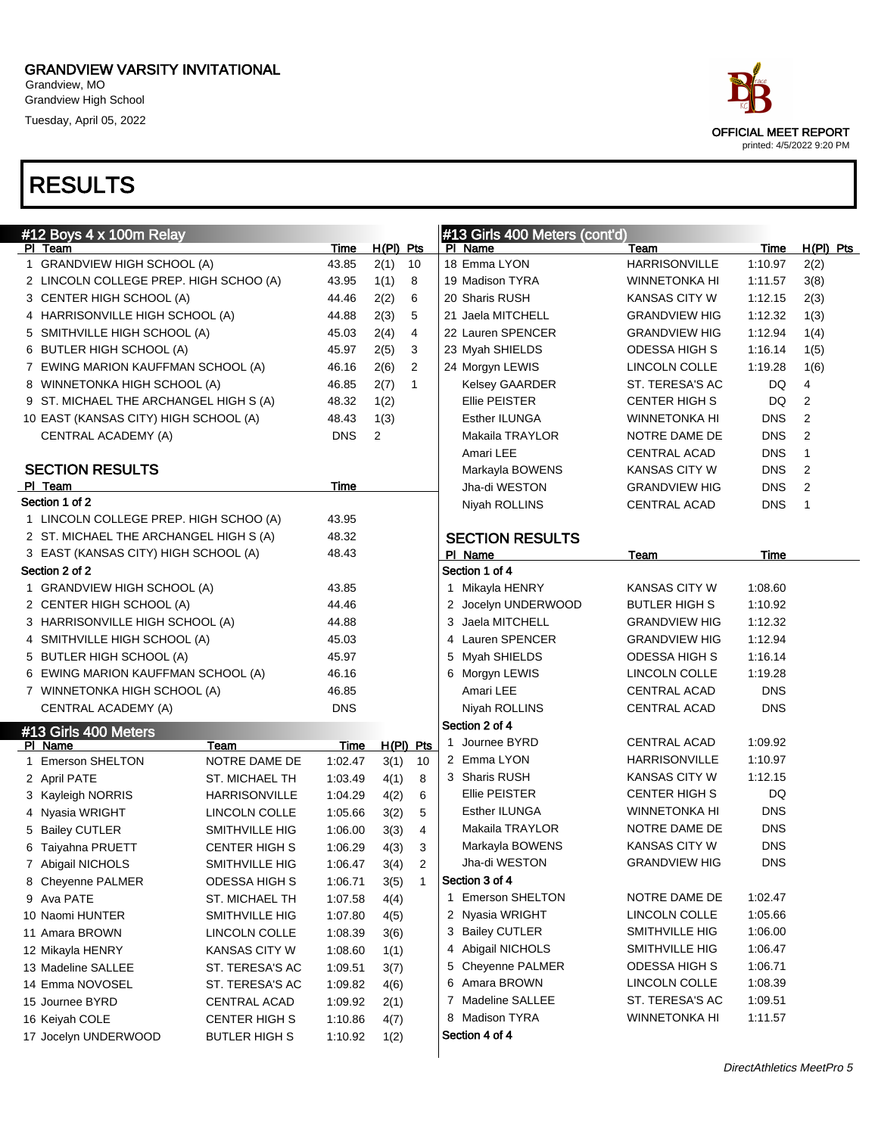Grandview, MO Grandview High School Tuesday, April 05, 2022



| #12 Boys 4 x 100m Relay                |                      |            |                |                | #13 Girls 400 Meters (cont'd) |                      |            |                |
|----------------------------------------|----------------------|------------|----------------|----------------|-------------------------------|----------------------|------------|----------------|
| PI Team                                |                      | Time       | $H(PI)$ Pts    |                | PI Name                       | Team                 | Time       | $H(PI)$ Pts    |
| 1 GRANDVIEW HIGH SCHOOL (A)            |                      | 43.85      | 2(1)           | 10             | 18 Emma LYON                  | <b>HARRISONVILLE</b> | 1:10.97    | 2(2)           |
| 2 LINCOLN COLLEGE PREP. HIGH SCHOO (A) |                      | 43.95      | 1(1)           | 8              | 19 Madison TYRA               | <b>WINNETONKA HI</b> | 1:11.57    | 3(8)           |
| 3 CENTER HIGH SCHOOL (A)               |                      | 44.46      | 2(2)           | 6              | 20 Sharis RUSH                | KANSAS CITY W        | 1:12.15    | 2(3)           |
| 4 HARRISONVILLE HIGH SCHOOL (A)        |                      | 44.88      | 2(3)           | 5              | 21 Jaela MITCHELL             | <b>GRANDVIEW HIG</b> | 1:12.32    | 1(3)           |
| 5 SMITHVILLE HIGH SCHOOL (A)           |                      | 45.03      | 2(4)           | 4              | 22 Lauren SPENCER             | <b>GRANDVIEW HIG</b> | 1:12.94    | 1(4)           |
| 6 BUTLER HIGH SCHOOL (A)               |                      | 45.97      | 2(5)           | 3              | 23 Myah SHIELDS               | ODESSA HIGH S        | 1:16.14    | 1(5)           |
| 7 EWING MARION KAUFFMAN SCHOOL (A)     |                      | 46.16      | 2(6)           | 2              | 24 Morgyn LEWIS               | LINCOLN COLLE        | 1:19.28    | 1(6)           |
| 8 WINNETONKA HIGH SCHOOL (A)           |                      | 46.85      | 2(7)           | $\mathbf{1}$   | <b>Kelsey GAARDER</b>         | ST. TERESA'S AC      | DQ         | 4              |
| 9 ST. MICHAEL THE ARCHANGEL HIGH S (A) |                      | 48.32      | 1(2)           |                | Ellie PEISTER                 | <b>CENTER HIGH S</b> | DQ         | 2              |
| 10 EAST (KANSAS CITY) HIGH SCHOOL (A)  |                      | 48.43      | 1(3)           |                | Esther ILUNGA                 | <b>WINNETONKA HI</b> | <b>DNS</b> | 2              |
| CENTRAL ACADEMY (A)                    |                      | <b>DNS</b> | $\overline{2}$ |                | Makaila TRAYLOR               | NOTRE DAME DE        | <b>DNS</b> | 2              |
|                                        |                      |            |                |                | Amari LEE                     | <b>CENTRAL ACAD</b>  | <b>DNS</b> | $\mathbf{1}$   |
| <b>SECTION RESULTS</b>                 |                      |            |                |                | Markayla BOWENS               | <b>KANSAS CITY W</b> | <b>DNS</b> | 2              |
| PI Team                                |                      | Time       |                |                | Jha-di WESTON                 | <b>GRANDVIEW HIG</b> | <b>DNS</b> | 2              |
| Section 1 of 2                         |                      |            |                |                | Niyah ROLLINS                 | <b>CENTRAL ACAD</b>  | <b>DNS</b> | $\overline{1}$ |
| 1 LINCOLN COLLEGE PREP. HIGH SCHOO (A) |                      | 43.95      |                |                |                               |                      |            |                |
| 2 ST. MICHAEL THE ARCHANGEL HIGH S (A) |                      | 48.32      |                |                | <b>SECTION RESULTS</b>        |                      |            |                |
| 3 EAST (KANSAS CITY) HIGH SCHOOL (A)   |                      | 48.43      |                |                | PI Name                       | Team                 | Time       |                |
| Section 2 of 2                         |                      |            |                |                | Section 1 of 4                |                      |            |                |
| 1 GRANDVIEW HIGH SCHOOL (A)            |                      | 43.85      |                |                | 1 Mikayla HENRY               | KANSAS CITY W        | 1:08.60    |                |
| 2 CENTER HIGH SCHOOL (A)               |                      | 44.46      |                |                | 2 Jocelyn UNDERWOOD           | <b>BUTLER HIGH S</b> | 1:10.92    |                |
| 3 HARRISONVILLE HIGH SCHOOL (A)        |                      | 44.88      |                |                | 3 Jaela MITCHELL              | <b>GRANDVIEW HIG</b> | 1:12.32    |                |
| 4 SMITHVILLE HIGH SCHOOL (A)           |                      | 45.03      |                |                | 4 Lauren SPENCER              | <b>GRANDVIEW HIG</b> | 1:12.94    |                |
| 5 BUTLER HIGH SCHOOL (A)               |                      | 45.97      |                |                | 5 Myah SHIELDS                | <b>ODESSA HIGH S</b> | 1:16.14    |                |
| 6 EWING MARION KAUFFMAN SCHOOL (A)     |                      | 46.16      |                |                | 6 Morgyn LEWIS                | LINCOLN COLLE        | 1:19.28    |                |
| 7 WINNETONKA HIGH SCHOOL (A)           |                      | 46.85      |                |                | Amari LEE                     | <b>CENTRAL ACAD</b>  | <b>DNS</b> |                |
| CENTRAL ACADEMY (A)                    |                      | <b>DNS</b> |                |                | Niyah ROLLINS                 | CENTRAL ACAD         | <b>DNS</b> |                |
| #13 Girls 400 Meters                   |                      |            |                |                | Section 2 of 4                |                      |            |                |
| PI Name                                | Team                 | Time       | $H(PI)$ Pts    |                | 1 Journee BYRD                | <b>CENTRAL ACAD</b>  | 1:09.92    |                |
| 1 Emerson SHELTON                      | NOTRE DAME DE        | 1:02.47    | 3(1)           | 10             | 2 Emma LYON                   | HARRISONVILLE        | 1:10.97    |                |
| 2 April PATE                           | ST. MICHAEL TH       | 1:03.49    | 4(1)           | 8              | 3 Sharis RUSH                 | <b>KANSAS CITY W</b> | 1:12.15    |                |
| 3 Kayleigh NORRIS                      | HARRISONVILLE        | 1:04.29    | 4(2)           | 6              | Ellie PEISTER                 | <b>CENTER HIGH S</b> | DQ         |                |
| 4 Nyasia WRIGHT                        | LINCOLN COLLE        | 1:05.66    | 3(2)           | 5              | Esther ILUNGA                 | <b>WINNETONKA HI</b> | <b>DNS</b> |                |
| 5 Bailey CUTLER                        | SMITHVILLE HIG       | 1:06.00    | 3(3)           | 4              | Makaila TRAYLOR               | NOTRE DAME DE        | <b>DNS</b> |                |
| 6 Taiyahna PRUETT                      | <b>CENTER HIGH S</b> | 1:06.29    | 4(3)           | 3              | Markayla BOWENS               | KANSAS CITY W        | <b>DNS</b> |                |
| 7 Abigail NICHOLS                      | SMITHVILLE HIG       | 1:06.47    | 3(4)           | 2              | Jha-di WESTON                 | <b>GRANDVIEW HIG</b> | <b>DNS</b> |                |
| 8 Cheyenne PALMER                      | ODESSA HIGH S        | 1:06.71    | 3(5)           | $\overline{1}$ | Section 3 of 4                |                      |            |                |
| 9 Ava PATE                             | ST. MICHAEL TH       | 1:07.58    | 4(4)           |                | 1 Emerson SHELTON             | NOTRE DAME DE        | 1:02.47    |                |
| 10 Naomi HUNTER                        | SMITHVILLE HIG       | 1:07.80    | 4(5)           |                | 2 Nyasia WRIGHT               | LINCOLN COLLE        | 1:05.66    |                |
| 11 Amara BROWN                         | LINCOLN COLLE        | 1:08.39    | 3(6)           |                | 3 Bailey CUTLER               | SMITHVILLE HIG       | 1:06.00    |                |
| 12 Mikayla HENRY                       | <b>KANSAS CITY W</b> | 1:08.60    | 1(1)           |                | 4 Abigail NICHOLS             | SMITHVILLE HIG       | 1:06.47    |                |
| 13 Madeline SALLEE                     | ST. TERESA'S AC      | 1:09.51    | 3(7)           |                | 5 Cheyenne PALMER             | ODESSA HIGH S        | 1:06.71    |                |
| 14 Emma NOVOSEL                        | ST. TERESA'S AC      | 1:09.82    | 4(6)           |                | 6 Amara BROWN                 | LINCOLN COLLE        | 1:08.39    |                |
| 15 Journee BYRD                        | CENTRAL ACAD         | 1:09.92    | 2(1)           |                | 7 Madeline SALLEE             | ST. TERESA'S AC      | 1:09.51    |                |
| 16 Keiyah COLE                         | <b>CENTER HIGH S</b> | 1:10.86    | 4(7)           |                | 8 Madison TYRA                | <b>WINNETONKA HI</b> | 1:11.57    |                |
| 17 Jocelyn UNDERWOOD                   | <b>BUTLER HIGH S</b> | 1:10.92    | 1(2)           |                | Section 4 of 4                |                      |            |                |
|                                        |                      |            |                |                |                               |                      |            |                |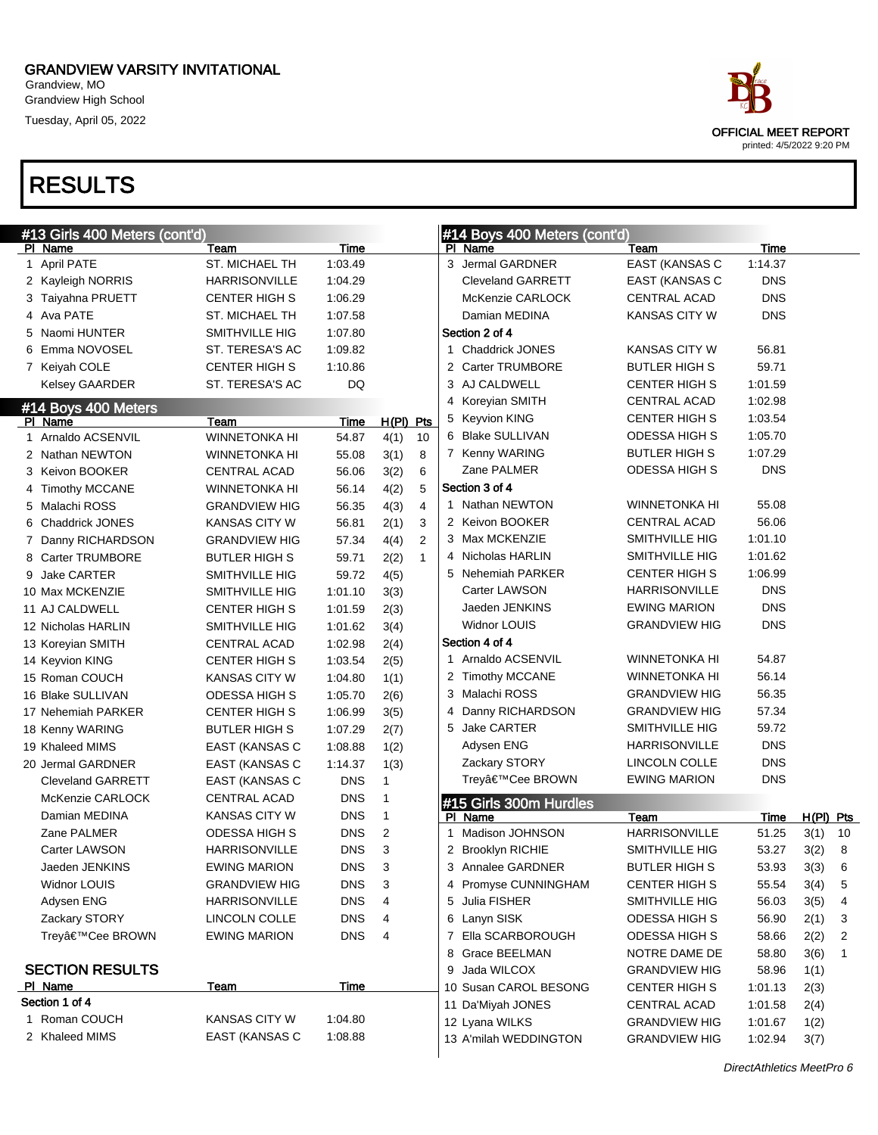Grandview, MO Grandview High School Tuesday, April 05, 2022

|   | #13 Girls 400 Meters (cont'd) |                      |            |              |                |              | #14 Boys 400 Meters (cont'd) |                       |             |             |    |
|---|-------------------------------|----------------------|------------|--------------|----------------|--------------|------------------------------|-----------------------|-------------|-------------|----|
|   | PI Name                       | Team                 | Time       |              |                |              | PI Name                      | Team                  | <b>Time</b> |             |    |
|   | 1 April PATE                  | ST. MICHAEL TH       | 1:03.49    |              |                |              | 3 Jermal GARDNER             | EAST (KANSAS C        | 1:14.37     |             |    |
|   | 2 Kayleigh NORRIS             | <b>HARRISONVILLE</b> | 1:04.29    |              |                |              | <b>Cleveland GARRETT</b>     | EAST (KANSAS C        | <b>DNS</b>  |             |    |
|   | 3 Taiyahna PRUETT             | <b>CENTER HIGH S</b> | 1:06.29    |              |                |              | McKenzie CARLOCK             | CENTRAL ACAD          | <b>DNS</b>  |             |    |
|   | 4 Ava PATE                    | ST. MICHAEL TH       | 1:07.58    |              |                |              | Damian MEDINA                | <b>KANSAS CITY W</b>  | <b>DNS</b>  |             |    |
|   | 5 Naomi HUNTER                | SMITHVILLE HIG       | 1:07.80    |              |                |              | Section 2 of 4               |                       |             |             |    |
|   | 6 Emma NOVOSEL                | ST. TERESA'S AC      | 1:09.82    |              |                |              | 1 Chaddrick JONES            | <b>KANSAS CITY W</b>  | 56.81       |             |    |
|   | 7 Keiyah COLE                 | <b>CENTER HIGH S</b> | 1:10.86    |              |                |              | 2 Carter TRUMBORE            | <b>BUTLER HIGH S</b>  | 59.71       |             |    |
|   | Kelsey GAARDER                | ST. TERESA'S AC      | <b>DQ</b>  |              |                |              | 3 AJ CALDWELL                | <b>CENTER HIGH S</b>  | 1:01.59     |             |    |
|   | #14 Boys 400 Meters           |                      |            |              |                | 4            | Koreyian SMITH               | CENTRAL ACAD          | 1:02.98     |             |    |
|   | PI Name                       | Team                 | Time       | H(PI) Pts    |                |              | 5 Keyvion KING               | <b>CENTER HIGH S</b>  | 1:03.54     |             |    |
|   | 1 Arnaldo ACSENVIL            | <b>WINNETONKA HI</b> | 54.87      | 4(1)         | 10             |              | 6 Blake SULLIVAN             | <b>ODESSA HIGH S</b>  | 1:05.70     |             |    |
|   | 2 Nathan NEWTON               | <b>WINNETONKA HI</b> | 55.08      | 3(1)         | 8              |              | 7 Kenny WARING               | <b>BUTLER HIGH S</b>  | 1:07.29     |             |    |
|   | 3 Keivon BOOKER               | <b>CENTRAL ACAD</b>  | 56.06      | 3(2)         | 6              |              | Zane PALMER                  | <b>ODESSA HIGH S</b>  | <b>DNS</b>  |             |    |
|   | 4 Timothy MCCANE              | <b>WINNETONKA HI</b> | 56.14      | 4(2)         | 5              |              | Section 3 of 4               |                       |             |             |    |
|   | 5 Malachi ROSS                | <b>GRANDVIEW HIG</b> | 56.35      | 4(3)         | 4              |              | 1 Nathan NEWTON              | <b>WINNETONKA HI</b>  | 55.08       |             |    |
|   | 6 Chaddrick JONES             | KANSAS CITY W        | 56.81      | 2(1)         | 3              |              | 2 Keivon BOOKER              | CENTRAL ACAD          | 56.06       |             |    |
|   | 7 Danny RICHARDSON            | <b>GRANDVIEW HIG</b> | 57.34      | 4(4)         | $\overline{2}$ |              | 3 Max MCKENZIE               | SMITHVILLE HIG        | 1:01.10     |             |    |
|   | 8 Carter TRUMBORE             | <b>BUTLER HIGH S</b> | 59.71      | 2(2)         | $\mathbf{1}$   |              | 4 Nicholas HARLIN            | SMITHVILLE HIG        | 1:01.62     |             |    |
| 9 | <b>Jake CARTER</b>            | SMITHVILLE HIG       | 59.72      | 4(5)         |                |              | 5 Nehemiah PARKER            | <b>CENTER HIGH S</b>  | 1:06.99     |             |    |
|   | 10 Max MCKENZIE               | SMITHVILLE HIG       | 1:01.10    | 3(3)         |                |              | <b>Carter LAWSON</b>         | <b>HARRISONVILLE</b>  | <b>DNS</b>  |             |    |
|   | 11 AJ CALDWELL                | <b>CENTER HIGH S</b> | 1:01.59    | 2(3)         |                |              | Jaeden JENKINS               | <b>EWING MARION</b>   | <b>DNS</b>  |             |    |
|   | 12 Nicholas HARLIN            | SMITHVILLE HIG       | 1:01.62    | 3(4)         |                |              | <b>Widnor LOUIS</b>          | <b>GRANDVIEW HIG</b>  | <b>DNS</b>  |             |    |
|   | 13 Koreyian SMITH             | <b>CENTRAL ACAD</b>  | 1:02.98    | 2(4)         |                |              | Section 4 of 4               |                       |             |             |    |
|   | 14 Keyvion KING               | <b>CENTER HIGH S</b> | 1:03.54    | 2(5)         |                |              | 1 Arnaldo ACSENVIL           | <b>WINNETONKA HI</b>  | 54.87       |             |    |
|   | 15 Roman COUCH                | KANSAS CITY W        | 1:04.80    | 1(1)         |                |              | 2 Timothy MCCANE             | <b>WINNETONKA HI</b>  | 56.14       |             |    |
|   | 16 Blake SULLIVAN             | ODESSA HIGH S        | 1:05.70    | 2(6)         |                |              | 3 Malachi ROSS               | <b>GRANDVIEW HIG</b>  | 56.35       |             |    |
|   | 17 Nehemiah PARKER            | <b>CENTER HIGH S</b> | 1:06.99    | 3(5)         |                | 4            | Danny RICHARDSON             | <b>GRANDVIEW HIG</b>  | 57.34       |             |    |
|   | 18 Kenny WARING               | <b>BUTLER HIGH S</b> | 1:07.29    | 2(7)         |                | 5            | Jake CARTER                  | SMITHVILLE HIG        | 59.72       |             |    |
|   | 19 Khaleed MIMS               | EAST (KANSAS C       | 1:08.88    | 1(2)         |                |              | Adysen ENG                   | <b>HARRISONVILLE</b>  | <b>DNS</b>  |             |    |
|   | 20 Jermal GARDNER             | EAST (KANSAS C       | 1:14.37    | 1(3)         |                |              | Zackary STORY                | LINCOLN COLLE         | <b>DNS</b>  |             |    |
|   | <b>Cleveland GARRETT</b>      | EAST (KANSAS C       | <b>DNS</b> | $\mathbf{1}$ |                |              | Trey'Cee BROWN               | <b>EWING MARION</b>   | <b>DNS</b>  |             |    |
|   | McKenzie CARLOCK              | CENTRAL ACAD         | <b>DNS</b> | $\mathbf{1}$ |                |              | #15 Girls 300m Hurdles       |                       |             |             |    |
|   | Damian MEDINA                 | <b>KANSAS CITY W</b> | <b>DNS</b> | $\mathbf{1}$ |                |              | PI Name                      | Team                  | Time        | $H(PI)$ Pts |    |
|   | Zane PALMER                   | <b>ODESSA HIGH S</b> | <b>DNS</b> | 2            |                | $\mathbf{1}$ | Madison JOHNSON              | <b>HARRISONVILLE</b>  | 51.25       | 3(1)        | 10 |
|   | Carter LAWSON                 | <b>HARRISONVILLE</b> | <b>DNS</b> | 3            |                |              | 2 Brooklyn RICHIE            | <b>SMITHVILLE HIG</b> | 53.27       | 3(2)        | 8  |
|   | Jaeden JENKINS                | <b>EWING MARION</b>  | <b>DNS</b> | 3            |                |              | 3 Annalee GARDNER            | <b>BUTLER HIGH S</b>  | 53.93       | 3(3)        | 6  |
|   | Widnor LOUIS                  | <b>GRANDVIEW HIG</b> | <b>DNS</b> | 3            |                |              | 4 Promyse CUNNINGHAM         | <b>CENTER HIGH S</b>  | 55.54       | 3(4)        | 5  |
|   | Adysen ENG                    | <b>HARRISONVILLE</b> | <b>DNS</b> | 4            |                |              | 5 Julia FISHER               | SMITHVILLE HIG        | 56.03       | 3(5)        | 4  |
|   | Zackary STORY                 | LINCOLN COLLE        | <b>DNS</b> | 4            |                |              | 6 Lanyn SISK                 | <b>ODESSA HIGH S</b>  | 56.90       | 2(1)        | 3  |
|   | Trey'Cee BROWN                | <b>EWING MARION</b>  | <b>DNS</b> | 4            |                |              | 7 Ella SCARBOROUGH           | <b>ODESSA HIGH S</b>  | 58.66       | 2(2)        | 2  |
|   |                               |                      |            |              |                |              | 8 Grace BEELMAN              | NOTRE DAME DE         | 58.80       | 3(6)        | 1  |
|   | <b>SECTION RESULTS</b>        |                      |            |              |                | 9            | Jada WILCOX                  | <b>GRANDVIEW HIG</b>  | 58.96       | 1(1)        |    |
|   | PI Name                       | <b>Team</b>          | Time       |              |                |              | 10 Susan CAROL BESONG        | <b>CENTER HIGH S</b>  | 1:01.13     | 2(3)        |    |
|   | Section 1 of 4                |                      |            |              |                |              | 11 Da'Miyah JONES            | CENTRAL ACAD          | 1:01.58     | 2(4)        |    |
|   | 1 Roman COUCH                 | <b>KANSAS CITY W</b> | 1:04.80    |              |                |              | 12 Lyana WILKS               | <b>GRANDVIEW HIG</b>  | 1:01.67     | 1(2)        |    |
|   | 2 Khaleed MIMS                | EAST (KANSAS C       | 1:08.88    |              |                |              | 13 A'milah WEDDINGTON        | <b>GRANDVIEW HIG</b>  | 1:02.94     | 3(7)        |    |

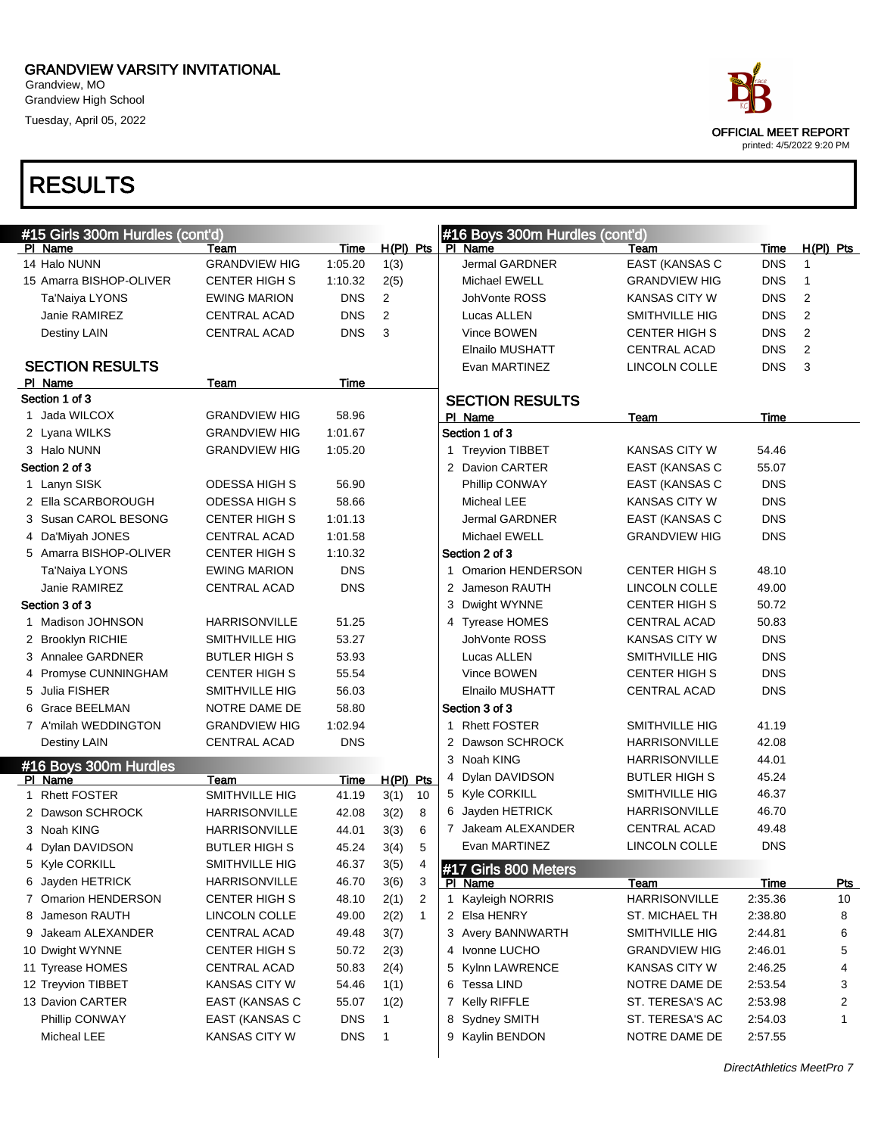Grandview, MO Grandview High School Tuesday, April 05, 2022





| #15 Girls 300m Hurdles (cont'd) |                       |             |                        | #16 Boys 300m Hurdles (cont'd) |                       |             |                |
|---------------------------------|-----------------------|-------------|------------------------|--------------------------------|-----------------------|-------------|----------------|
| PI Name                         | Team                  | <b>Time</b> | $H(PI)$ Pts            | PI Name                        | Team                  | <b>Time</b> | $H(PI)$ Pts    |
| 14 Halo NUNN                    | <b>GRANDVIEW HIG</b>  | 1:05.20     | 1(3)                   | Jermal GARDNER                 | EAST (KANSAS C        | <b>DNS</b>  | 1              |
| 15 Amarra BISHOP-OLIVER         | <b>CENTER HIGH S</b>  | 1:10.32     | 2(5)                   | Michael EWELL                  | <b>GRANDVIEW HIG</b>  | <b>DNS</b>  | 1              |
| Ta'Naiya LYONS                  | <b>EWING MARION</b>   | <b>DNS</b>  | 2                      | JohVonte ROSS                  | <b>KANSAS CITY W</b>  | <b>DNS</b>  | 2              |
| Janie RAMIREZ                   | CENTRAL ACAD          | <b>DNS</b>  | 2                      | Lucas ALLEN                    | SMITHVILLE HIG        | <b>DNS</b>  | 2              |
| Destiny LAIN                    | <b>CENTRAL ACAD</b>   | <b>DNS</b>  | 3                      | Vince BOWEN                    | <b>CENTER HIGH S</b>  | <b>DNS</b>  | $\overline{2}$ |
|                                 |                       |             |                        | Elnailo MUSHATT                | <b>CENTRAL ACAD</b>   | <b>DNS</b>  | $\overline{2}$ |
| <b>SECTION RESULTS</b>          |                       |             |                        | Evan MARTINEZ                  | LINCOLN COLLE         | <b>DNS</b>  | 3              |
| PI Name                         | Team                  | Time        |                        |                                |                       |             |                |
| Section 1 of 3                  |                       |             |                        | <b>SECTION RESULTS</b>         |                       |             |                |
| 1 Jada WILCOX                   | <b>GRANDVIEW HIG</b>  | 58.96       |                        | PI Name                        | Team                  | Time        |                |
| 2 Lyana WILKS                   | <b>GRANDVIEW HIG</b>  | 1:01.67     |                        | Section 1 of 3                 |                       |             |                |
| 3 Halo NUNN                     | <b>GRANDVIEW HIG</b>  | 1:05.20     |                        | 1 Treyvion TIBBET              | KANSAS CITY W         | 54.46       |                |
| Section 2 of 3                  |                       |             |                        | 2 Davion CARTER                | <b>EAST (KANSAS C</b> | 55.07       |                |
| 1 Lanyn SISK                    | ODESSA HIGH S         | 56.90       |                        | Phillip CONWAY                 | EAST (KANSAS C        | <b>DNS</b>  |                |
| 2 Ella SCARBOROUGH              | ODESSA HIGH S         | 58.66       |                        | Micheal LEE                    | <b>KANSAS CITY W</b>  | <b>DNS</b>  |                |
| 3 Susan CAROL BESONG            | <b>CENTER HIGH S</b>  | 1:01.13     |                        | Jermal GARDNER                 | <b>EAST (KANSAS C</b> | <b>DNS</b>  |                |
| 4 Da'Miyah JONES                | CENTRAL ACAD          | 1:01.58     |                        | <b>Michael EWELL</b>           | <b>GRANDVIEW HIG</b>  | <b>DNS</b>  |                |
| 5 Amarra BISHOP-OLIVER          | <b>CENTER HIGH S</b>  | 1:10.32     |                        | Section 2 of 3                 |                       |             |                |
| Ta'Naiya LYONS                  | <b>EWING MARION</b>   | <b>DNS</b>  |                        | 1 Omarion HENDERSON            | <b>CENTER HIGH S</b>  | 48.10       |                |
| Janie RAMIREZ                   | <b>CENTRAL ACAD</b>   | <b>DNS</b>  |                        | 2 Jameson RAUTH                | LINCOLN COLLE         | 49.00       |                |
| Section 3 of 3                  |                       |             |                        | Dwight WYNNE<br>3              | <b>CENTER HIGH S</b>  | 50.72       |                |
| 1 Madison JOHNSON               | <b>HARRISONVILLE</b>  | 51.25       |                        | 4 Tyrease HOMES                | <b>CENTRAL ACAD</b>   | 50.83       |                |
| 2 Brooklyn RICHIE               | <b>SMITHVILLE HIG</b> | 53.27       |                        | JohVonte ROSS                  | <b>KANSAS CITY W</b>  | <b>DNS</b>  |                |
| 3 Annalee GARDNER               | <b>BUTLER HIGH S</b>  | 53.93       |                        | Lucas ALLEN                    | SMITHVILLE HIG        | <b>DNS</b>  |                |
| 4 Promyse CUNNINGHAM            | <b>CENTER HIGH S</b>  | 55.54       |                        | Vince BOWEN                    | <b>CENTER HIGH S</b>  | <b>DNS</b>  |                |
| 5 Julia FISHER                  | SMITHVILLE HIG        | 56.03       |                        | Elnailo MUSHATT                | <b>CENTRAL ACAD</b>   | <b>DNS</b>  |                |
| 6 Grace BEELMAN                 | NOTRE DAME DE         | 58.80       |                        | Section 3 of 3                 |                       |             |                |
| 7 A'milah WEDDINGTON            | <b>GRANDVIEW HIG</b>  | 1:02.94     |                        | 1 Rhett FOSTER                 | SMITHVILLE HIG        | 41.19       |                |
| Destiny LAIN                    | CENTRAL ACAD          | <b>DNS</b>  |                        | 2 Dawson SCHROCK               | <b>HARRISONVILLE</b>  | 42.08       |                |
| #16 Boys 300m Hurdles           |                       |             |                        | 3 Noah KING                    | <b>HARRISONVILLE</b>  | 44.01       |                |
| PI Name                         | <b>Team</b>           | Time        | $H(PI)$ Pts            | 4 Dylan DAVIDSON               | <b>BUTLER HIGH S</b>  | 45.24       |                |
| 1 Rhett FOSTER                  | SMITHVILLE HIG        | 41.19       | 3(1)<br>10             | 5 Kyle CORKILL                 | SMITHVILLE HIG        | 46.37       |                |
| 2 Dawson SCHROCK                | <b>HARRISONVILLE</b>  | 42.08       | 3(2)<br>8              | 6 Jayden HETRICK               | HARRISONVILLE         | 46.70       |                |
| 3 Noah KING                     | <b>HARRISONVILLE</b>  | 44.01       | 3(3)<br>6              | 7 Jakeam ALEXANDER             | <b>CENTRAL ACAD</b>   | 49.48       |                |
| 4 Dylan DAVIDSON                | <b>BUTLER HIGH S</b>  | 45.24       | 3(4)<br>5              | Evan MARTINEZ                  | LINCOLN COLLE         | <b>DNS</b>  |                |
| 5 Kyle CORKILL                  | SMITHVILLE HIG        | 46.37       | 3(5)<br>4              | #17 Girls 800 Meters           |                       |             |                |
| 6 Jayden HETRICK                | HARRISONVILLE         | 46.70       | 3(6)<br>3              | PI Name                        | <b>Team</b>           | <u>Time</u> | <b>Pts</b>     |
| 7 Omarion HENDERSON             | CENTER HIGH S         | 48.10       | $\overline{c}$<br>2(1) | 1 Kayleigh NORRIS              | <b>HARRISONVILLE</b>  | 2:35.36     | 10             |
| Jameson RAUTH<br>8              | LINCOLN COLLE         | 49.00       | $\mathbf{1}$<br>2(2)   | 2 Elsa HENRY                   | ST. MICHAEL TH        | 2:38.80     | 8              |
| 9 Jakeam ALEXANDER              | CENTRAL ACAD          | 49.48       | 3(7)                   | 3 Avery BANNWARTH              | SMITHVILLE HIG        | 2:44.81     | 6              |
| 10 Dwight WYNNE                 | <b>CENTER HIGH S</b>  | 50.72       | 2(3)                   | 4 Ivonne LUCHO                 | <b>GRANDVIEW HIG</b>  | 2:46.01     | 5              |
| 11 Tyrease HOMES                | CENTRAL ACAD          | 50.83       | 2(4)                   | 5 Kylnn LAWRENCE               | KANSAS CITY W         | 2:46.25     | 4              |
| 12 Treyvion TIBBET              | KANSAS CITY W         | 54.46       | 1(1)                   | 6 Tessa LIND                   | NOTRE DAME DE         | 2:53.54     | 3              |
| 13 Davion CARTER                | EAST (KANSAS C        | 55.07       | 1(2)                   | 7 Kelly RIFFLE                 | ST. TERESA'S AC       | 2:53.98     | 2              |
| Phillip CONWAY                  | EAST (KANSAS C        | <b>DNS</b>  | 1                      | 8 Sydney SMITH                 | ST. TERESA'S AC       | 2:54.03     | 1              |
| Micheal LEE                     | KANSAS CITY W         | <b>DNS</b>  | $\mathbf{1}$           | 9 Kaylin BENDON                | NOTRE DAME DE         | 2:57.55     |                |
|                                 |                       |             |                        |                                |                       |             |                |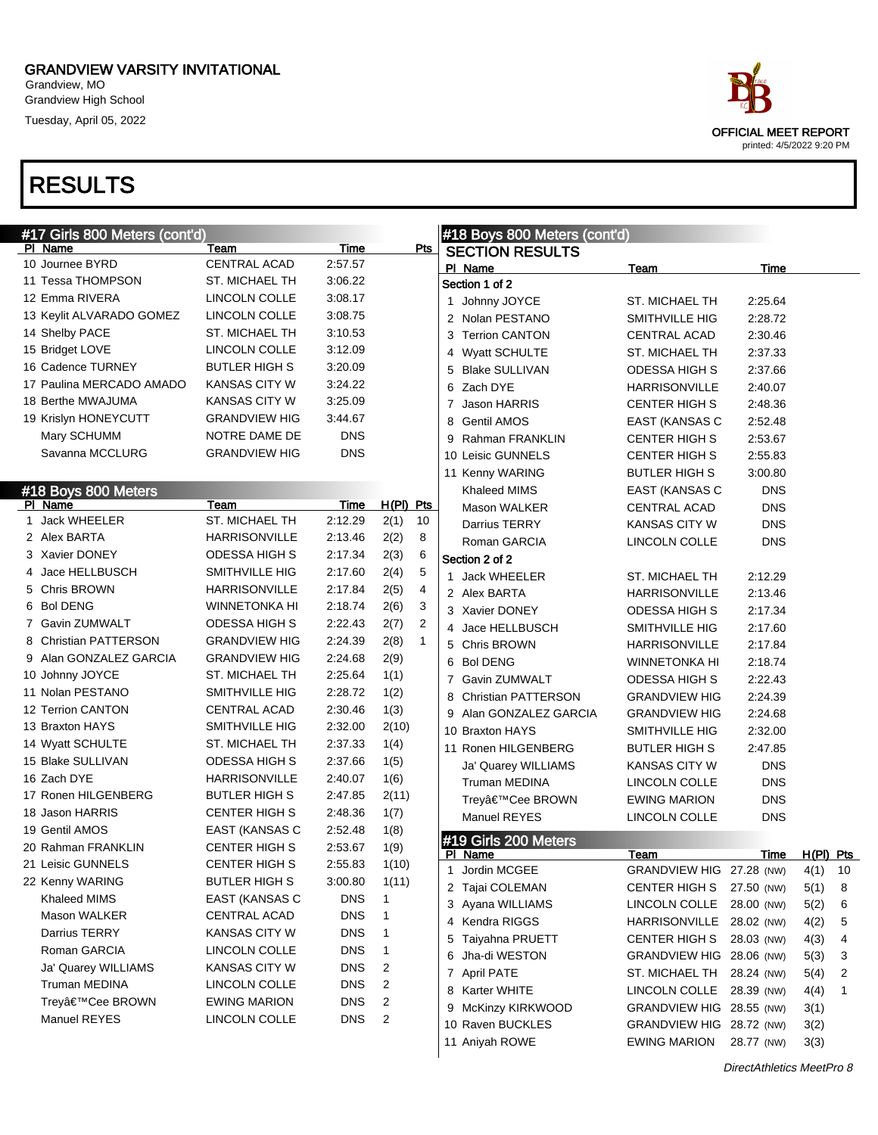Grandview, MO Grandview High School Tuesday, April 05, 2022

| #17 Girls 800 Meters (cont'd) |                      |             |              |                |   | #18 Boys 800 Meters (cont'd) |                           |            |             |    |
|-------------------------------|----------------------|-------------|--------------|----------------|---|------------------------------|---------------------------|------------|-------------|----|
| PI Name                       | Team                 | <u>Time</u> |              | $P$ ts         |   | <b>SECTION RESULTS</b>       |                           |            |             |    |
| 10 Journee BYRD               | CENTRAL ACAD         | 2:57.57     |              |                |   | PI Name                      | Team                      | Time       |             |    |
| 11 Tessa THOMPSON             | ST. MICHAEL TH       | 3:06.22     |              |                |   | Section 1 of 2               |                           |            |             |    |
| 12 Emma RIVERA                | LINCOLN COLLE        | 3:08.17     |              |                |   | 1 Johnny JOYCE               | ST. MICHAEL TH            | 2:25.64    |             |    |
| 13 Keylit ALVARADO GOMEZ      | LINCOLN COLLE        | 3:08.75     |              |                |   | 2 Nolan PESTANO              | SMITHVILLE HIG            | 2:28.72    |             |    |
| 14 Shelby PACE                | ST. MICHAEL TH       | 3:10.53     |              |                |   | 3 Terrion CANTON             | CENTRAL ACAD              | 2:30.46    |             |    |
| 15 Bridget LOVE               | LINCOLN COLLE        | 3:12.09     |              |                |   | 4 Wyatt SCHULTE              | ST. MICHAEL TH            | 2:37.33    |             |    |
| 16 Cadence TURNEY             | <b>BUTLER HIGH S</b> | 3:20.09     |              |                |   | 5 Blake SULLIVAN             | <b>ODESSA HIGH S</b>      | 2:37.66    |             |    |
| 17 Paulina MERCADO AMADO      | <b>KANSAS CITY W</b> | 3:24.22     |              |                |   | 6 Zach DYE                   | <b>HARRISONVILLE</b>      | 2:40.07    |             |    |
| 18 Berthe MWAJUMA             | <b>KANSAS CITY W</b> | 3:25.09     |              |                |   | 7 Jason HARRIS               | <b>CENTER HIGH S</b>      | 2:48.36    |             |    |
| 19 Krislyn HONEYCUTT          | <b>GRANDVIEW HIG</b> | 3:44.67     |              |                | 8 | <b>Gentil AMOS</b>           | EAST (KANSAS C            | 2:52.48    |             |    |
| Mary SCHUMM                   | NOTRE DAME DE        | <b>DNS</b>  |              |                |   | 9 Rahman FRANKLIN            | <b>CENTER HIGH S</b>      | 2:53.67    |             |    |
| Savanna MCCLURG               | <b>GRANDVIEW HIG</b> | <b>DNS</b>  |              |                |   | 10 Leisic GUNNELS            | <b>CENTER HIGH S</b>      | 2:55.83    |             |    |
|                               |                      |             |              |                |   | 11 Kenny WARING              | <b>BUTLER HIGH S</b>      | 3:00.80    |             |    |
| #18 Boys 800 Meters           |                      |             |              |                |   | Khaleed MIMS                 | EAST (KANSAS C            | <b>DNS</b> |             |    |
| PI Name                       | Team                 | <b>Time</b> | $H(PI)$ Pts  |                |   | Mason WALKER                 | <b>CENTRAL ACAD</b>       | <b>DNS</b> |             |    |
| 1 Jack WHEELER                | ST. MICHAEL TH       | 2:12.29     | 2(1)         | 10             |   | Darrius TERRY                | <b>KANSAS CITY W</b>      | <b>DNS</b> |             |    |
| 2 Alex BARTA                  | <b>HARRISONVILLE</b> | 2:13.46     | 2(2)         | 8              |   | Roman GARCIA                 | LINCOLN COLLE             | <b>DNS</b> |             |    |
| 3 Xavier DONEY                | <b>ODESSA HIGH S</b> | 2:17.34     | 2(3)         | 6              |   | Section 2 of 2               |                           |            |             |    |
| 4 Jace HELLBUSCH              | SMITHVILLE HIG       | 2:17.60     | 2(4)         | 5              |   | 1 Jack WHEELER               | ST. MICHAEL TH            | 2:12.29    |             |    |
| 5 Chris BROWN                 | <b>HARRISONVILLE</b> | 2:17.84     | 2(5)         | 4              |   | 2 Alex BARTA                 | <b>HARRISONVILLE</b>      | 2:13.46    |             |    |
| 6 Bol DENG                    | <b>WINNETONKA HI</b> | 2:18.74     | 2(6)         | 3              |   | 3 Xavier DONEY               | <b>ODESSA HIGH S</b>      | 2:17.34    |             |    |
| 7 Gavin ZUMWALT               | <b>ODESSA HIGH S</b> | 2:22.43     | 2(7)         | $\overline{2}$ |   | 4 Jace HELLBUSCH             | SMITHVILLE HIG            | 2:17.60    |             |    |
| 8 Christian PATTERSON         | <b>GRANDVIEW HIG</b> | 2:24.39     | 2(8)         | $\mathbf{1}$   |   | 5 Chris BROWN                | <b>HARRISONVILLE</b>      | 2:17.84    |             |    |
| 9 Alan GONZALEZ GARCIA        | <b>GRANDVIEW HIG</b> | 2:24.68     | 2(9)         |                |   | 6 Bol DENG                   | <b>WINNETONKA HI</b>      | 2:18.74    |             |    |
| 10 Johnny JOYCE               | ST. MICHAEL TH       | 2:25.64     | 1(1)         |                |   | 7 Gavin ZUMWALT              | <b>ODESSA HIGH S</b>      | 2:22.43    |             |    |
| 11 Nolan PESTANO              | SMITHVILLE HIG       | 2:28.72     | 1(2)         |                | 8 | <b>Christian PATTERSON</b>   | <b>GRANDVIEW HIG</b>      | 2:24.39    |             |    |
| 12 Terrion CANTON             | <b>CENTRAL ACAD</b>  | 2:30.46     | 1(3)         |                |   | 9 Alan GONZALEZ GARCIA       | <b>GRANDVIEW HIG</b>      | 2:24.68    |             |    |
| 13 Braxton HAYS               | SMITHVILLE HIG       | 2:32.00     | 2(10)        |                |   | 10 Braxton HAYS              | SMITHVILLE HIG            | 2:32.00    |             |    |
| 14 Wyatt SCHULTE              | ST. MICHAEL TH       | 2:37.33     | 1(4)         |                |   | 11 Ronen HILGENBERG          | BUTLER HIGH S             | 2:47.85    |             |    |
| 15 Blake SULLIVAN             | <b>ODESSA HIGH S</b> | 2:37.66     | 1(5)         |                |   | Ja' Quarey WILLIAMS          | <b>KANSAS CITY W</b>      | <b>DNS</b> |             |    |
| 16 Zach DYE                   | <b>HARRISONVILLE</b> | 2:40.07     | 1(6)         |                |   | Truman MEDINA                | LINCOLN COLLE             | <b>DNS</b> |             |    |
| 17 Ronen HILGENBERG           | <b>BUTLER HIGH S</b> | 2:47.85     | 2(11)        |                |   | Trey'Cee BROWN               | <b>EWING MARION</b>       | <b>DNS</b> |             |    |
| 18 Jason HARRIS               | <b>CENTER HIGH S</b> | 2:48.36     | 1(7)         |                |   | Manuel REYES                 | LINCOLN COLLE             | <b>DNS</b> |             |    |
| 19 Gentil AMOS                | EAST (KANSAS C       | 2:52.48     | 1(8)         |                |   | #19 Girls 200 Meters         |                           |            |             |    |
| 20 Rahman FRANKLIN            | <b>CENTER HIGH S</b> | 2:53.67     | 1(9)         |                |   | PI Name                      | <u>Team</u>               | Time       | $H(PI)$ Pts |    |
| 21 Leisic GUNNELS             | <b>CENTER HIGH S</b> | 2:55.83     | 1(10)        |                | 1 | Jordin MCGEE                 | GRANDVIEW HIG 27.28 (NW)  |            | 4(1)        | 10 |
| 22 Kenny WARING               | <b>BUTLER HIGH S</b> | 3:00.80     | 1(11)        |                |   | 2 Tajai COLEMAN              | CENTER HIGH S             | 27.50 (NW) | 5(1)        | 8  |
| Khaleed MIMS                  | EAST (KANSAS C       | <b>DNS</b>  | 1            |                |   | 3 Ayana WILLIAMS             | LINCOLN COLLE             | 28.00 (NW) | 5(2)        | 6  |
| Mason WALKER                  | <b>CENTRAL ACAD</b>  | <b>DNS</b>  | $\mathbf{1}$ |                |   | 4 Kendra RIGGS               | HARRISONVILLE 28.02 (NW)  |            | 4(2)        | 5  |
| Darrius TERRY                 | <b>KANSAS CITY W</b> | <b>DNS</b>  | $\mathbf{1}$ |                |   | 5 Taiyahna PRUETT            | CENTER HIGH S             | 28.03 (NW) | 4(3)        | 4  |
| Roman GARCIA                  | LINCOLN COLLE        | <b>DNS</b>  | $\mathbf{1}$ |                |   | 6 Jha-di WESTON              | GRANDVIEW HIG 28.06 (NW)  |            | 5(3)        | 3  |
| Ja' Quarey WILLIAMS           | KANSAS CITY W        | <b>DNS</b>  | 2            |                |   | 7 April PATE                 | ST. MICHAEL TH 28.24 (NW) |            | 5(4)        | 2  |
| Truman MEDINA                 | LINCOLN COLLE        | <b>DNS</b>  | 2            |                |   | 8 Karter WHITE               | LINCOLN COLLE             | 28.39 (NW) | 4(4)        | 1  |
| Trey'Cee BROWN                | <b>EWING MARION</b>  | <b>DNS</b>  | 2            |                |   | 9 McKinzy KIRKWOOD           | GRANDVIEW HIG 28.55 (NW)  |            | 3(1)        |    |
| Manuel REYES                  | LINCOLN COLLE        | <b>DNS</b>  | 2            |                |   | 10 Raven BUCKLES             | GRANDVIEW HIG 28.72 (NW)  |            | 3(2)        |    |
|                               |                      |             |              |                |   | 11 Aniyah ROWE               | <b>EWING MARION</b>       | 28.77 (NW) | 3(3)        |    |
|                               |                      |             |              |                |   |                              |                           |            |             |    |

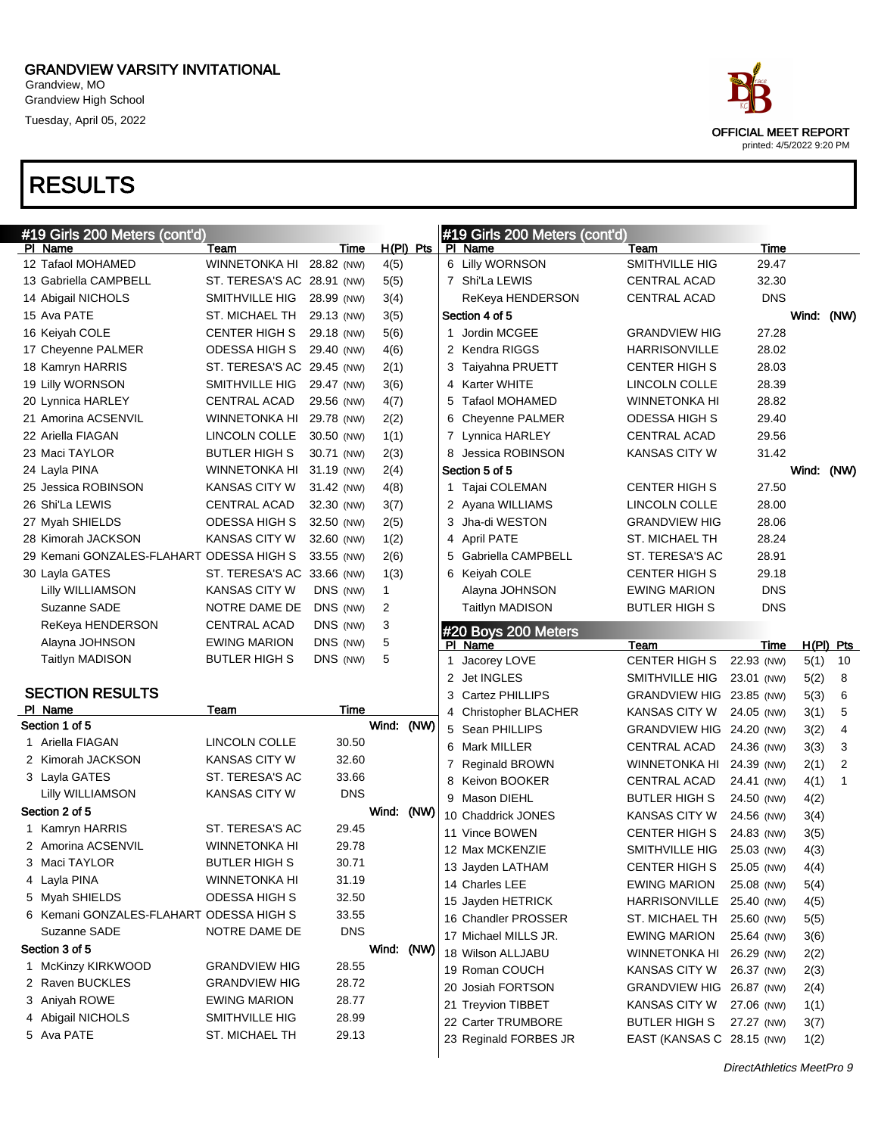Grandview, MO Grandview High School Tuesday, April 05, 2022

|             | race                                                     |
|-------------|----------------------------------------------------------|
|             | <b>OFFICIAL MEET REPORT</b><br>printed: 4/5/2022 9:20 PM |
|             |                                                          |
| <b>Taam</b> | Γime                                                     |

| #19 Girls 200 Meters (cont'd)            |                            |            |              |      |   | #19 Girls 200 Meters (cont'd)               |                                                 |            |              |                |
|------------------------------------------|----------------------------|------------|--------------|------|---|---------------------------------------------|-------------------------------------------------|------------|--------------|----------------|
| PI Name                                  | Team                       | Time       | H(PI) Pts    |      |   | PI Name                                     | Team                                            | Time       |              |                |
| 12 Tafaol MOHAMED                        | WINNETONKA HI              | 28.82 (NW) | 4(5)         |      |   | 6 Lilly WORNSON                             | <b>SMITHVILLE HIG</b>                           | 29.47      |              |                |
| 13 Gabriella CAMPBELL                    | ST. TERESA'S AC 28.91 (NW) |            | 5(5)         |      |   | 7 Shi'La LEWIS                              | <b>CENTRAL ACAD</b>                             | 32.30      |              |                |
| 14 Abigail NICHOLS                       | SMITHVILLE HIG             | 28.99 (NW) | 3(4)         |      |   | ReKeya HENDERSON                            | <b>CENTRAL ACAD</b>                             | <b>DNS</b> |              |                |
| 15 Ava PATE                              | ST. MICHAEL TH             | 29.13 (NW) | 3(5)         |      |   | Section 4 of 5                              |                                                 |            | Wind: (NW)   |                |
| 16 Keiyah COLE                           | <b>CENTER HIGH S</b>       | 29.18 (NW) | 5(6)         |      |   | 1 Jordin MCGEE                              | <b>GRANDVIEW HIG</b>                            | 27.28      |              |                |
| 17 Cheyenne PALMER                       | <b>ODESSA HIGH S</b>       | 29.40 (NW) | 4(6)         |      |   | 2 Kendra RIGGS                              | <b>HARRISONVILLE</b>                            | 28.02      |              |                |
| 18 Kamryn HARRIS                         | ST. TERESA'S AC 29.45 (NW) |            | 2(1)         |      |   | 3 Taiyahna PRUETT                           | <b>CENTER HIGH S</b>                            | 28.03      |              |                |
| 19 Lilly WORNSON                         | SMITHVILLE HIG             | 29.47 (NW) | 3(6)         |      |   | 4 Karter WHITE                              | LINCOLN COLLE                                   | 28.39      |              |                |
| 20 Lynnica HARLEY                        | <b>CENTRAL ACAD</b>        | 29.56 (NW) | 4(7)         |      | 5 | <b>Tafaol MOHAMED</b>                       | <b>WINNETONKA HI</b>                            | 28.82      |              |                |
| 21 Amorina ACSENVIL                      | <b>WINNETONKA HI</b>       | 29.78 (NW) | 2(2)         |      |   | 6 Cheyenne PALMER                           | ODESSA HIGH S                                   | 29.40      |              |                |
| 22 Ariella FIAGAN                        | LINCOLN COLLE              | 30.50 (NW) | 1(1)         |      |   | 7 Lynnica HARLEY                            | CENTRAL ACAD                                    | 29.56      |              |                |
| 23 Maci TAYLOR                           | <b>BUTLER HIGH S</b>       | 30.71 (NW) | 2(3)         |      |   | 8 Jessica ROBINSON                          | <b>KANSAS CITY W</b>                            | 31.42      |              |                |
| 24 Layla PINA                            | <b>WINNETONKA HI</b>       | 31.19 (NW) | 2(4)         |      |   | Section 5 of 5                              |                                                 |            | Wind: (NW)   |                |
| 25 Jessica ROBINSON                      | KANSAS CITY W              | 31.42 (NW) | 4(8)         |      |   | 1 Tajai COLEMAN                             | <b>CENTER HIGH S</b>                            | 27.50      |              |                |
| 26 Shi'La LEWIS                          | <b>CENTRAL ACAD</b>        | 32.30 (NW) | 3(7)         |      |   | 2 Ayana WILLIAMS                            | <b>LINCOLN COLLE</b>                            | 28.00      |              |                |
| 27 Myah SHIELDS                          | ODESSA HIGH S              | 32.50 (NW) | 2(5)         |      |   | 3 Jha-di WESTON                             | <b>GRANDVIEW HIG</b>                            | 28.06      |              |                |
| 28 Kimorah JACKSON                       | KANSAS CITY W              | 32.60 (NW) | 1(2)         |      |   | 4 April PATE                                | <b>ST. MICHAEL TH</b>                           | 28.24      |              |                |
| 29 Kemani GONZALES-FLAHART ODESSA HIGH S |                            | 33.55 (NW) | 2(6)         |      | 5 | <b>Gabriella CAMPBELL</b>                   | ST. TERESA'S AC                                 | 28.91      |              |                |
| 30 Layla GATES                           | ST. TERESA'S AC 33.66 (NW) |            | 1(3)         |      |   | 6 Keiyah COLE                               | <b>CENTER HIGH S</b>                            | 29.18      |              |                |
| Lilly WILLIAMSON                         | <b>KANSAS CITY W</b>       | DNS (NW)   | $\mathbf{1}$ |      |   | Alayna JOHNSON                              | <b>EWING MARION</b>                             | <b>DNS</b> |              |                |
| Suzanne SADE                             | NOTRE DAME DE              | DNS (NW)   | 2            |      |   | <b>Taitlyn MADISON</b>                      | <b>BUTLER HIGH S</b>                            | <b>DNS</b> |              |                |
| ReKeya HENDERSON                         | <b>CENTRAL ACAD</b>        | DNS (NW)   | 3            |      |   | #20 Boys 200 Meters                         |                                                 |            |              |                |
| Alayna JOHNSON                           | <b>EWING MARION</b>        | DNS (NW)   | 5            |      |   | PI Name                                     | Team                                            | Time       |              | H(PI) Pts      |
|                                          |                            |            |              |      |   |                                             |                                                 |            |              |                |
| <b>Taitlyn MADISON</b>                   | <b>BUTLER HIGH S</b>       | DNS (NW)   | 5            |      |   | 1 Jacorey LOVE                              | <b>CENTER HIGH S</b>                            | 22.93 (NW) | 5(1)         | 10             |
|                                          |                            |            |              |      |   | 2 Jet INGLES                                | SMITHVILLE HIG                                  | 23.01 (NW) |              | 8              |
| <b>SECTION RESULTS</b>                   |                            |            |              |      |   | 3 Cartez PHILLIPS                           | GRANDVIEW HIG 23.85 (NW)                        |            | 5(2)         | 6              |
| PI Name                                  | Team                       | Time       |              |      |   | 4 Christopher BLACHER                       | KANSAS CITY W                                   | 24.05 (NW) | 5(3)<br>3(1) | 5              |
| Section 1 of 5                           |                            |            | Wind:        | (NW) |   | 5 Sean PHILLIPS                             | GRANDVIEW HIG 24.20 (NW)                        |            |              | $\overline{4}$ |
| 1 Ariella FIAGAN                         | <b>LINCOLN COLLE</b>       | 30.50      |              |      |   | 6 Mark MILLER                               | <b>CENTRAL ACAD</b>                             | 24.36 (NW) | 3(2)         | 3              |
| 2 Kimorah JACKSON                        | <b>KANSAS CITY W</b>       | 32.60      |              |      | 7 | <b>Reginald BROWN</b>                       | WINNETONKA HI 24.39 (NW)                        |            | 3(3)         | 2              |
| 3 Layla GATES                            | ST. TERESA'S AC            | 33.66      |              |      | 8 | Keivon BOOKER                               | <b>CENTRAL ACAD</b>                             | 24.41 (NW) | 2(1)         | $\mathbf{1}$   |
| Lilly WILLIAMSON                         | <b>KANSAS CITY W</b>       | <b>DNS</b> |              |      |   | 9 Mason DIEHL                               | <b>BUTLER HIGH S</b>                            | 24.50 (NW) | 4(1)         |                |
| Section 2 of 5                           |                            |            | Wind: (NW)   |      |   | 10 Chaddrick JONES                          | <b>KANSAS CITY W</b>                            | 24.56 (NW) | 4(2)         |                |
| 1 Kamryn HARRIS                          | ST. TERESA'S AC            | 29.45      |              |      |   | 11 Vince BOWEN                              | CENTER HIGH S                                   | 24.83 (NW) | 3(4)         |                |
| 2 Amorina ACSENVIL                       | <b>WINNETONKA HI</b>       | 29.78      |              |      |   | 12 Max MCKENZIE                             | SMITHVILLE HIG                                  | 25.03 (NW) | 3(5)         |                |
| 3 Maci TAYLOR                            | <b>BUTLER HIGH S</b>       | 30.71      |              |      |   |                                             |                                                 |            | 4(3)         |                |
| 4 Layla PINA                             | <b>WINNETONKA HI</b>       | 31.19      |              |      |   | 13 Jayden LATHAM                            | CENTER HIGH S 25.05 (NW)<br><b>EWING MARION</b> |            | 4(4)         |                |
| 5 Myah SHIELDS                           | <b>ODESSA HIGH S</b>       | 32.50      |              |      |   | 14 Charles LEE                              |                                                 | 25.08 (NW) | 5(4)         |                |
| 6 Kemani GONZALES-FLAHART ODESSA HIGH S  |                            | 33.55      |              |      |   | 15 Jayden HETRICK                           | HARRISONVILLE 25.40 (NW)                        |            | 4(5)         |                |
| Suzanne SADE                             | NOTRE DAME DE              | <b>DNS</b> |              |      |   | 16 Chandler PROSSER<br>17 Michael MILLS JR. | ST. MICHAEL TH                                  | 25.60 (NW) | 5(5)         |                |
| Section 3 of 5                           |                            |            | Wind: (NW)   |      |   | 18 Wilson ALLJABU                           | <b>EWING MARION</b>                             | 25.64 (NW) | 3(6)         |                |
| 1 McKinzy KIRKWOOD                       | <b>GRANDVIEW HIG</b>       | 28.55      |              |      |   |                                             | WINNETONKA HI 26.29 (NW)                        |            | 2(2)         |                |
| 2 Raven BUCKLES                          | GRANDVIEW HIG              | 28.72      |              |      |   | 19 Roman COUCH                              | KANSAS CITY W                                   | 26.37 (NW) | 2(3)         |                |
| 3 Aniyah ROWE                            | <b>EWING MARION</b>        | 28.77      |              |      |   | 20 Josiah FORTSON                           | GRANDVIEW HIG 26.87 (NW)                        |            | 2(4)         |                |
| 4 Abigail NICHOLS                        | SMITHVILLE HIG             | 28.99      |              |      |   | 21 Treyvion TIBBET                          | KANSAS CITY W                                   | 27.06 (NW) | 1(1)         |                |
| 5 Ava PATE                               | ST. MICHAEL TH             | 29.13      |              |      |   | 22 Carter TRUMBORE<br>23 Reginald FORBES JR | BUTLER HIGH S<br>EAST (KANSAS C 28.15 (NW)      | 27.27 (NW) | 3(7)<br>1(2) |                |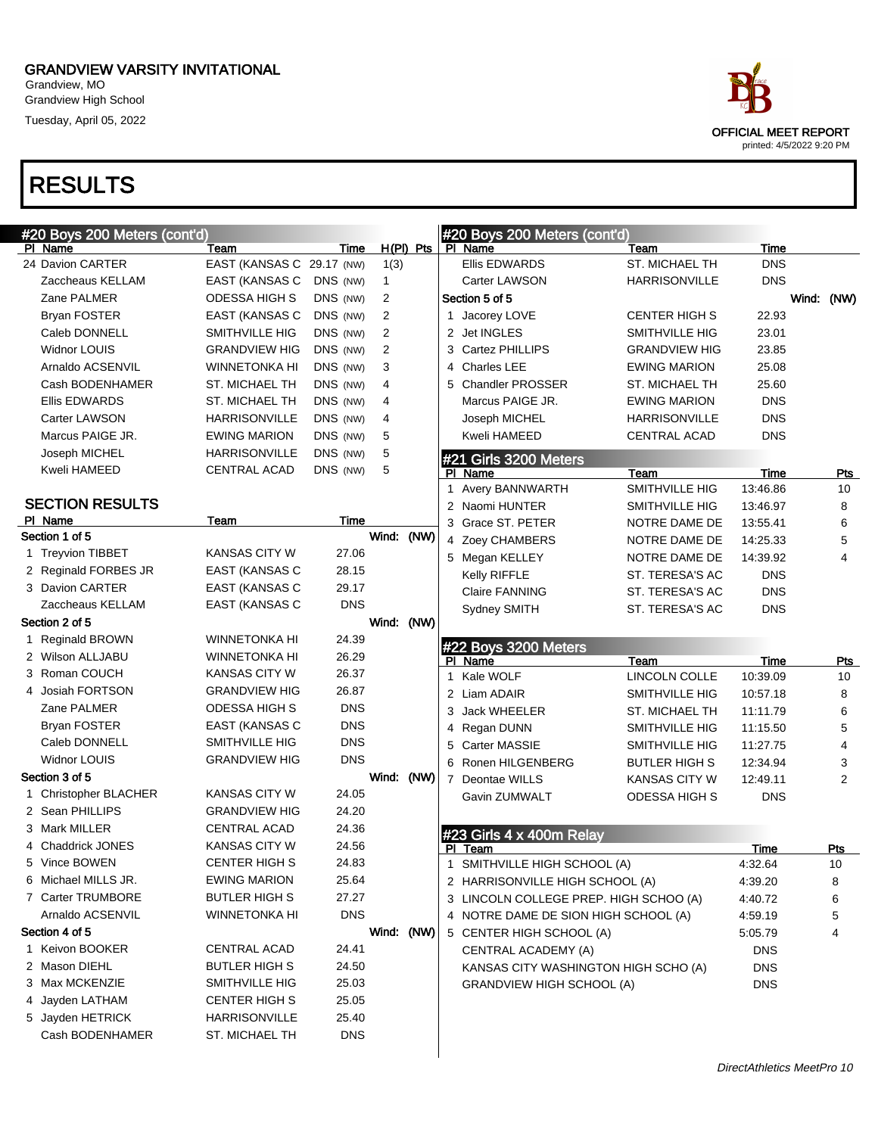Grandview, MO Grandview High School Tuesday, April 05, 2022

| #20 Boys 200 Meters <u>(cont'd</u> ) |                           |            |                |             |    | #20 Boys 200 Meters (cont'd)           |                      |             |                |
|--------------------------------------|---------------------------|------------|----------------|-------------|----|----------------------------------------|----------------------|-------------|----------------|
| PI Name                              | Team                      | Time       |                | $H(PI)$ Pts |    | PI Name                                | Team                 | Time        |                |
| 24 Davion CARTER                     | EAST (KANSAS C 29.17 (NW) |            | 1(3)           |             |    | <b>Ellis EDWARDS</b>                   | ST. MICHAEL TH       | <b>DNS</b>  |                |
| Zaccheaus KELLAM                     | EAST (KANSAS C            | DNS (NW)   | $\mathbf{1}$   |             |    | <b>Carter LAWSON</b>                   | <b>HARRISONVILLE</b> | <b>DNS</b>  |                |
| Zane PALMER                          | <b>ODESSA HIGH S</b>      | DNS (NW)   | 2              |             |    | Section 5 of 5                         |                      |             | Wind: (NW)     |
| <b>Bryan FOSTER</b>                  | EAST (KANSAS C            | DNS (NW)   | $\overline{2}$ |             |    | 1 Jacorey LOVE                         | <b>CENTER HIGH S</b> | 22.93       |                |
| Caleb DONNELL                        | SMITHVILLE HIG            | DNS (NW)   | $\overline{2}$ |             |    | 2 Jet INGLES                           | SMITHVILLE HIG       | 23.01       |                |
| Widnor LOUIS                         | <b>GRANDVIEW HIG</b>      | DNS (NW)   | $\overline{2}$ |             |    | 3 Cartez PHILLIPS                      | <b>GRANDVIEW HIG</b> | 23.85       |                |
| Arnaldo ACSENVIL                     | <b>WINNETONKA HI</b>      | DNS (NW)   | 3              |             | 4  | <b>Charles LEE</b>                     | <b>EWING MARION</b>  | 25.08       |                |
| Cash BODENHAMER                      | ST. MICHAEL TH            | DNS (NW)   | 4              |             |    | 5 Chandler PROSSER                     | ST. MICHAEL TH       | 25.60       |                |
| <b>Ellis EDWARDS</b>                 | ST. MICHAEL TH            | DNS (NW)   | 4              |             |    | Marcus PAIGE JR.                       | <b>EWING MARION</b>  | <b>DNS</b>  |                |
| <b>Carter LAWSON</b>                 | <b>HARRISONVILLE</b>      | DNS (NW)   | 4              |             |    | Joseph MICHEL                          | <b>HARRISONVILLE</b> | <b>DNS</b>  |                |
| Marcus PAIGE JR.                     | <b>EWING MARION</b>       | DNS (NW)   | 5              |             |    | Kweli HAMEED                           | <b>CENTRAL ACAD</b>  | <b>DNS</b>  |                |
| Joseph MICHEL                        | <b>HARRISONVILLE</b>      | DNS (NW)   | 5              |             |    | #21 Girls 3200 Meters                  |                      |             |                |
| Kweli HAMEED                         | CENTRAL ACAD              | DNS (NW)   | 5              |             |    | PI Name                                | Team                 | Time        | Pts            |
|                                      |                           |            |                |             |    | 1 Avery BANNWARTH                      | SMITHVILLE HIG       | 13:46.86    | 10             |
| <b>SECTION RESULTS</b>               |                           |            |                |             |    | 2 Naomi HUNTER                         | SMITHVILLE HIG       | 13:46.97    | 8              |
| PI Name                              | Team                      | Time       |                |             |    | 3 Grace ST. PETER                      | NOTRE DAME DE        | 13:55.41    | 6              |
| Section 1 of 5                       |                           |            | Wind: (NW)     |             |    | 4 Zoey CHAMBERS                        | NOTRE DAME DE        | 14:25.33    | $\mathbf 5$    |
| 1 Treyvion TIBBET                    | <b>KANSAS CITY W</b>      | 27.06      |                |             |    | 5 Megan KELLEY                         | NOTRE DAME DE        | 14:39.92    | $\overline{4}$ |
| 2 Reginald FORBES JR                 | EAST (KANSAS C            | 28.15      |                |             |    | Kelly RIFFLE                           | ST. TERESA'S AC      | <b>DNS</b>  |                |
| 3 Davion CARTER                      | EAST (KANSAS C            | 29.17      |                |             |    | <b>Claire FANNING</b>                  | ST. TERESA'S AC      | <b>DNS</b>  |                |
| Zaccheaus KELLAM                     | EAST (KANSAS C            | <b>DNS</b> |                |             |    | Sydney SMITH                           | ST. TERESA'S AC      | <b>DNS</b>  |                |
| Section 2 of 5                       |                           |            | Wind: (NW)     |             |    |                                        |                      |             |                |
| 1 Reginald BROWN                     | <b>WINNETONKA HI</b>      | 24.39      |                |             |    | #22 Boys 3200 Meters                   |                      |             |                |
| 2 Wilson ALLJABU                     | WINNETONKA HI             | 26.29      |                |             |    | PI Name                                | Team                 | Time        | Pts            |
| 3 Roman COUCH                        | KANSAS CITY W             | 26.37      |                |             | 1  | Kale WOLF                              | LINCOLN COLLE        | 10:39.09    | 10             |
| 4 Josiah FORTSON                     | <b>GRANDVIEW HIG</b>      | 26.87      |                |             |    | 2 Liam ADAIR                           | SMITHVILLE HIG       | 10:57.18    | 8              |
| Zane PALMER                          | ODESSA HIGH S             | <b>DNS</b> |                |             | 3  | <b>Jack WHEELER</b>                    | ST. MICHAEL TH       | 11:11.79    | 6              |
| <b>Bryan FOSTER</b>                  | <b>EAST (KANSAS C</b>     | <b>DNS</b> |                |             |    | 4 Regan DUNN                           | SMITHVILLE HIG       | 11:15.50    | 5              |
| Caleb DONNELL                        | SMITHVILLE HIG            | <b>DNS</b> |                |             | 5  | <b>Carter MASSIE</b>                   | SMITHVILLE HIG       | 11:27.75    | 4              |
| Widnor LOUIS                         | <b>GRANDVIEW HIG</b>      | <b>DNS</b> |                |             |    | 6 Ronen HILGENBERG                     | BUTLER HIGH S        | 12:34.94    | 3              |
| Section 3 of 5                       |                           |            | Wind: (NW)     |             |    | 7 Deontae WILLS                        | <b>KANSAS CITY W</b> | 12:49.11    | $\overline{2}$ |
| 1 Christopher BLACHER                | <b>KANSAS CITY W</b>      | 24.05      |                |             |    | Gavin ZUMWALT                          | <b>ODESSA HIGH S</b> | <b>DNS</b>  |                |
| 2 Sean PHILLIPS                      | <b>GRANDVIEW HIG</b>      | 24.20      |                |             |    |                                        |                      |             |                |
| 3 Mark MILLER                        | <b>CENTRAL ACAD</b>       | 24.36      |                |             |    | #23 Girls 4 x 400m Relay               |                      |             |                |
| 4 Chaddrick JONES                    | KANSAS CITY W             | 24.56      |                |             | ΡI | Team                                   |                      | <b>Time</b> | <u>Pts</u>     |
| 5 Vince BOWEN                        | <b>CENTER HIGH S</b>      | 24.83      |                |             | 1  | SMITHVILLE HIGH SCHOOL (A)             |                      | 4:32.64     | 10             |
| 6 Michael MILLS JR.                  | <b>EWING MARION</b>       | 25.64      |                |             |    | 2 HARRISONVILLE HIGH SCHOOL (A)        |                      | 4:39.20     | 8              |
| 7 Carter TRUMBORE                    | <b>BUTLER HIGH S</b>      | 27.27      |                |             |    | 3 LINCOLN COLLEGE PREP. HIGH SCHOO (A) |                      | 4:40.72     | 6              |
| Arnaldo ACSENVIL                     | <b>WINNETONKA HI</b>      | <b>DNS</b> |                |             |    | 4 NOTRE DAME DE SION HIGH SCHOOL (A)   |                      | 4:59.19     | 5              |
| Section 4 of 5                       |                           |            | Wind: (NW)     |             |    | 5 CENTER HIGH SCHOOL (A)               |                      | 5:05.79     | 4              |
| 1 Keivon BOOKER                      | CENTRAL ACAD              | 24.41      |                |             |    | CENTRAL ACADEMY (A)                    |                      | <b>DNS</b>  |                |
| 2 Mason DIEHL                        | <b>BUTLER HIGH S</b>      | 24.50      |                |             |    | KANSAS CITY WASHINGTON HIGH SCHO (A)   |                      | <b>DNS</b>  |                |
| 3 Max MCKENZIE                       | SMITHVILLE HIG            | 25.03      |                |             |    | <b>GRANDVIEW HIGH SCHOOL (A)</b>       |                      | <b>DNS</b>  |                |
| 4 Jayden LATHAM                      | <b>CENTER HIGH S</b>      | 25.05      |                |             |    |                                        |                      |             |                |
| 5 Jayden HETRICK                     | <b>HARRISONVILLE</b>      | 25.40      |                |             |    |                                        |                      |             |                |
| Cash BODENHAMER                      | ST. MICHAEL TH            | <b>DNS</b> |                |             |    |                                        |                      |             |                |
|                                      |                           |            |                |             |    |                                        |                      |             |                |

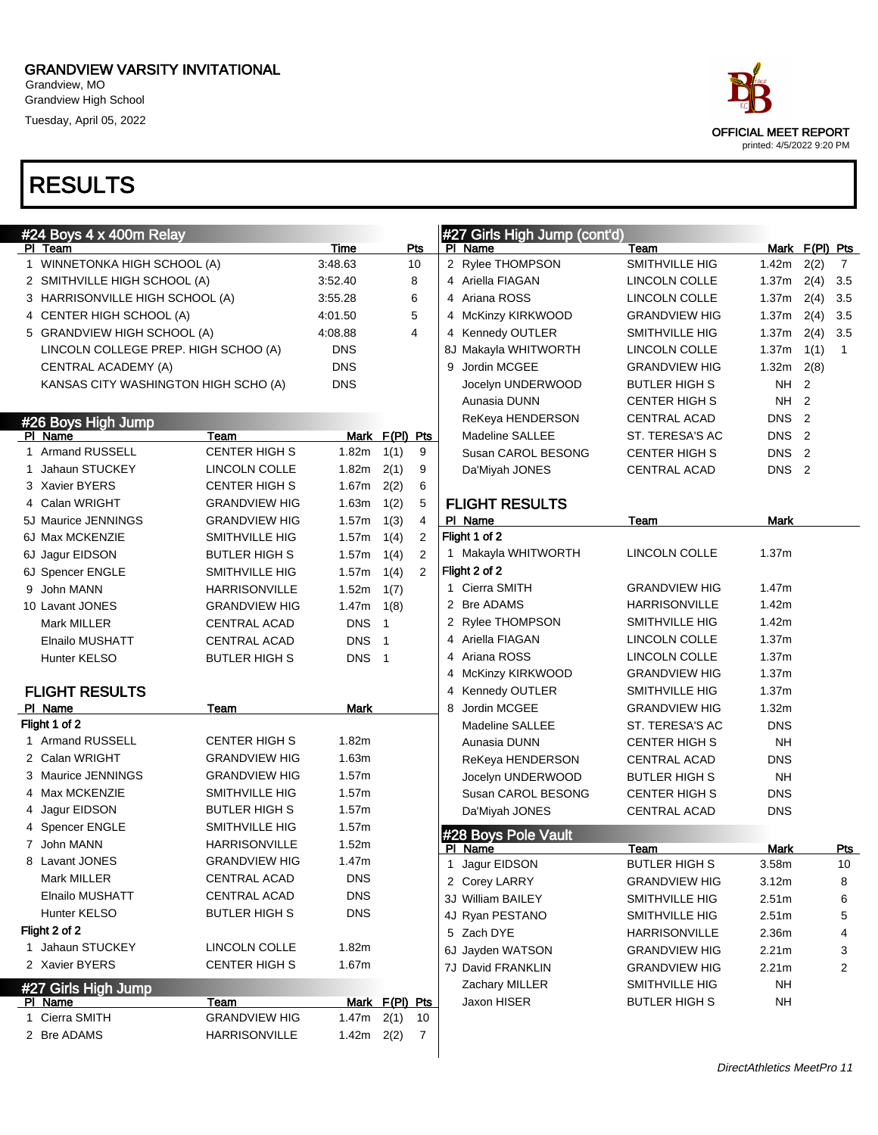Grandview, MO Grandview High School Tuesday, April 05, 2022

# RESULTS

### #24 Boys 4 x 400m Relay

|   | שוטרו וווטטד א ד טעט                 |                              |              |                        |                |                                       |                                             |                                      |                |                |
|---|--------------------------------------|------------------------------|--------------|------------------------|----------------|---------------------------------------|---------------------------------------------|--------------------------------------|----------------|----------------|
|   | PI Team                              |                              | Time         |                        | Pts            | PI Name                               | Team                                        |                                      | Mark F(PI) Pts |                |
|   | WINNETONKA HIGH SCHOOL (A)           |                              | 3:48.63      |                        | 10             | 2 Rylee THOMPSON                      | SMITHVILLE HIG                              | 1.42m                                | 2(2)           | $\overline{7}$ |
|   | 2 SMITHVILLE HIGH SCHOOL (A)         |                              | 3:52.40      |                        | 8              | 4 Ariella FIAGAN                      | LINCOLN COLLE                               | 1.37m                                | $2(4)$ 3.5     |                |
|   | 3 HARRISONVILLE HIGH SCHOOL (A)      |                              | 3:55.28      |                        | 6              | 4 Ariana ROSS                         | LINCOLN COLLE                               | 1.37m                                | $2(4)$ 3.5     |                |
| 4 | CENTER HIGH SCHOOL (A)               |                              | 4:01.50      |                        | 5              | 4 McKinzy KIRKWOOD                    | <b>GRANDVIEW HIG</b>                        | 1.37m                                | $2(4)$ 3.5     |                |
|   | 5 GRANDVIEW HIGH SCHOOL (A)          |                              | 4:08.88      |                        | 4              | 4 Kennedy OUTLER                      | SMITHVILLE HIG                              | 1.37m                                | $2(4)$ 3.5     |                |
|   | LINCOLN COLLEGE PREP. HIGH SCHOO (A) |                              | <b>DNS</b>   |                        |                | 8J Makayla WHITWORTH                  | LINCOLN COLLE                               | 1.37m                                | 1(1)           | $\overline{1}$ |
|   | CENTRAL ACADEMY (A)                  |                              | <b>DNS</b>   |                        |                | Jordin MCGEE<br>9                     | <b>GRANDVIEW HIG</b>                        | 1.32m                                | 2(8)           |                |
|   | KANSAS CITY WASHINGTON HIGH SCHO (A) |                              | <b>DNS</b>   |                        |                | Jocelyn UNDERWOOD                     | <b>BUTLER HIGH S</b>                        | <b>NH</b>                            | $\overline{2}$ |                |
|   |                                      |                              |              |                        |                | Aunasia DUNN                          | <b>CENTER HIGH S</b>                        | <b>NH</b>                            | $\overline{2}$ |                |
|   | #26 Boys High Jump                   |                              |              |                        |                | ReKeya HENDERSON                      | CENTRAL ACAD                                | DNS <sub>2</sub>                     |                |                |
|   | PI Name<br>1 Armand RUSSELL          | Team<br><b>CENTER HIGH S</b> | 1.82m        | Mark F(PI) Pts<br>1(1) | 9              | Madeline SALLEE<br>Susan CAROL BESONG | ST. TERESA'S AC                             | DNS <sub>2</sub>                     |                |                |
|   | Jahaun STUCKEY                       | LINCOLN COLLE                | 1.82m        | 2(1)                   | 9              |                                       | <b>CENTER HIGH S</b><br><b>CENTRAL ACAD</b> | DNS <sub>2</sub><br>DNS <sub>2</sub> |                |                |
|   | 3 Xavier BYERS                       | <b>CENTER HIGH S</b>         | 1.67m        | 2(2)                   | 6              | Da'Miyah JONES                        |                                             |                                      |                |                |
| 4 | Calan WRIGHT                         | <b>GRANDVIEW HIG</b>         | 1.63m        | 1(2)                   | 5              | <b>FLIGHT RESULTS</b>                 |                                             |                                      |                |                |
|   | 5J Maurice JENNINGS                  | <b>GRANDVIEW HIG</b>         | 1.57m        | 1(3)                   | $\overline{4}$ | PI Name                               | Team                                        | Mark                                 |                |                |
|   | 6J Max MCKENZIE                      | SMITHVILLE HIG               | 1.57m        | 1(4)                   | $\overline{2}$ | Flight 1 of 2                         |                                             |                                      |                |                |
|   | 6J Jagur EIDSON                      | <b>BUTLER HIGH S</b>         | 1.57m        | 1(4)                   | $\overline{2}$ | 1 Makayla WHITWORTH                   | <b>LINCOLN COLLE</b>                        | 1.37m                                |                |                |
|   | 6J Spencer ENGLE                     | SMITHVILLE HIG               | 1.57m        | 1(4)                   | $\overline{2}$ | Flight 2 of 2                         |                                             |                                      |                |                |
| 9 | John MANN                            | <b>HARRISONVILLE</b>         | 1.52m        | 1(7)                   |                | 1 Cierra SMITH                        | GRANDVIEW HIG                               | 1.47m                                |                |                |
|   | 10 Lavant JONES                      | <b>GRANDVIEW HIG</b>         | 1.47m        | 1(8)                   |                | 2 Bre ADAMS                           | <b>HARRISONVILLE</b>                        | 1.42m                                |                |                |
|   | Mark MILLER                          | <b>CENTRAL ACAD</b>          | <b>DNS</b>   | $\mathbf{1}$           |                | 2 Rylee THOMPSON                      | SMITHVILLE HIG                              | 1.42m                                |                |                |
|   | <b>Elnailo MUSHATT</b>               | CENTRAL ACAD                 | <b>DNS</b>   | $\mathbf{1}$           |                | 4 Ariella FIAGAN                      | LINCOLN COLLE                               | 1.37m                                |                |                |
|   | Hunter KELSO                         | <b>BUTLER HIGH S</b>         | <b>DNS</b>   | $\overline{1}$         |                | 4 Ariana ROSS                         | LINCOLN COLLE                               | 1.37m                                |                |                |
|   |                                      |                              |              |                        |                | 4 McKinzy KIRKWOOD                    | <b>GRANDVIEW HIG</b>                        | 1.37m                                |                |                |
|   | <b>FLIGHT RESULTS</b>                |                              |              |                        |                | 4 Kennedy OUTLER                      | SMITHVILLE HIG                              | 1.37m                                |                |                |
|   | PI Name                              | Team                         | <b>Mark</b>  |                        |                | Jordin MCGEE<br>8                     | <b>GRANDVIEW HIG</b>                        | 1.32m                                |                |                |
|   | Flight 1 of 2                        |                              |              |                        |                | <b>Madeline SALLEE</b>                | ST. TERESA'S AC                             | <b>DNS</b>                           |                |                |
|   | 1 Armand RUSSELL                     | <b>CENTER HIGH S</b>         | 1.82m        |                        |                | Aunasia DUNN                          | <b>CENTER HIGH S</b>                        | <b>NH</b>                            |                |                |
|   | 2 Calan WRIGHT                       | <b>GRANDVIEW HIG</b>         | 1.63m        |                        |                | ReKeya HENDERSON                      | CENTRAL ACAD                                | <b>DNS</b>                           |                |                |
|   | 3 Maurice JENNINGS                   | <b>GRANDVIEW HIG</b>         | 1.57m        |                        |                | Jocelyn UNDERWOOD                     | <b>BUTLER HIGH S</b>                        | <b>NH</b>                            |                |                |
| 4 | Max MCKENZIE                         | SMITHVILLE HIG               | 1.57m        |                        |                | Susan CAROL BESONG                    | <b>CENTER HIGH S</b>                        | <b>DNS</b>                           |                |                |
| 4 | Jagur EIDSON                         | <b>BUTLER HIGH S</b>         | 1.57m        |                        |                | Da'Miyah JONES                        | <b>CENTRAL ACAD</b>                         | <b>DNS</b>                           |                |                |
|   | <b>Spencer ENGLE</b>                 | SMITHVILLE HIG               | 1.57m        |                        |                | #28 Boys Pole Vault                   |                                             |                                      |                |                |
|   | 7 John MANN                          | <b>HARRISONVILLE</b>         | 1.52m        |                        |                | PI Name                               | <u>Team</u>                                 | Mark                                 |                | <u>Pts</u>     |
|   | 8 Lavant JONES                       | <b>GRANDVIEW HIG</b>         | 1.47m        |                        |                | 1 Jagur EIDSON                        | <b>BUTLER HIGH S</b>                        | 3.58m                                |                | 10             |
|   | Mark MILLER                          | <b>CENTRAL ACAD</b>          | <b>DNS</b>   |                        |                | 2 Corey LARRY                         | <b>GRANDVIEW HIG</b>                        | 3.12m                                |                | 8              |
|   | Elnailo MUSHATT                      | CENTRAL ACAD                 | <b>DNS</b>   |                        |                | 3J William BAILEY                     | SMITHVILLE HIG                              | 2.51m                                |                | 6              |
|   | Hunter KELSO                         | <b>BUTLER HIGH S</b>         | <b>DNS</b>   |                        |                | 4J Ryan PESTANO                       | SMITHVILLE HIG                              | 2.51m                                |                | 5              |
|   | Flight 2 of 2                        |                              |              |                        |                | 5 Zach DYE                            | <b>HARRISONVILLE</b>                        | 2.36m                                |                | 4              |
|   | 1 Jahaun STUCKEY                     | LINCOLN COLLE                | 1.82m        |                        |                | 6J Jayden WATSON                      | <b>GRANDVIEW HIG</b>                        | 2.21m                                |                | 3              |
|   | 2 Xavier BYERS                       | <b>CENTER HIGH S</b>         | 1.67m        |                        |                | 7J David FRANKLIN                     | <b>GRANDVIEW HIG</b>                        | 2.21m                                |                | 2              |
|   | #27 Girls High Jump                  |                              |              |                        |                | Zachary MILLER                        | SMITHVILLE HIG                              | <b>NH</b>                            |                |                |
|   | PI Name                              | Team                         |              | Mark F(PI) Pts         |                | Jaxon HISER                           | <b>BUTLER HIGH S</b>                        | <b>NH</b>                            |                |                |
|   | 1 Cierra SMITH                       | <b>GRANDVIEW HIG</b>         | 1.47m $2(1)$ |                        | - 10           |                                       |                                             |                                      |                |                |
|   | 2 Bre ADAMS                          | HARRISONVILLE                | 1.42m $2(2)$ |                        | $\overline{7}$ |                                       |                                             |                                      |                |                |



#27 Girls High Jump (cont'd)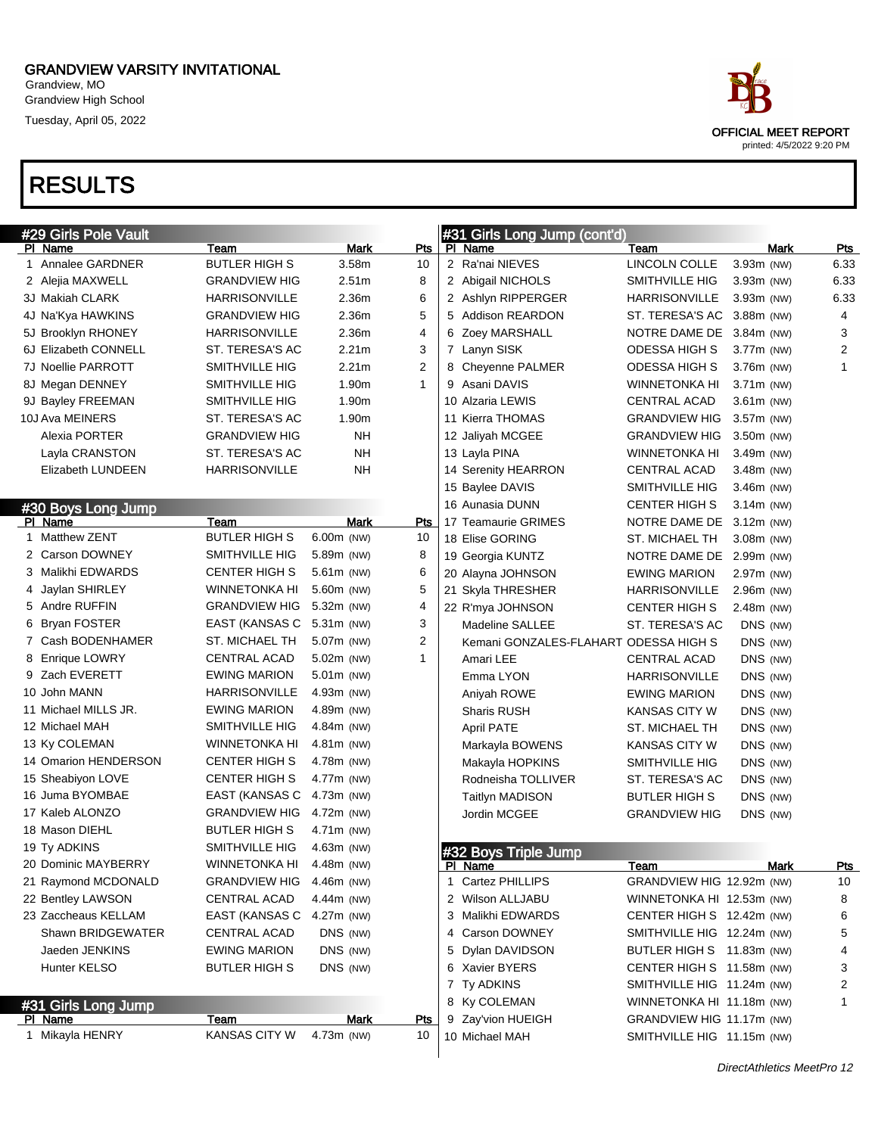Grandview, MO Grandview High School Tuesday, April 05, 2022

### RESULTS

| #29 Girls Pole Vault           |                       |                   |                |   | #31 Girls Long Jump (cont'd)          |                            |              |      |                         |
|--------------------------------|-----------------------|-------------------|----------------|---|---------------------------------------|----------------------------|--------------|------|-------------------------|
| PI Name                        | Team                  | Mark              | Pts            |   | PI Name                               | Team                       |              | Mark | <b>Pts</b>              |
| 1 Annalee GARDNER              | <b>BUTLER HIGH S</b>  | 3.58 <sub>m</sub> | 10             |   | 2 Ra'nai NIEVES                       | LINCOLN COLLE              | 3.93m (NW)   |      | 6.33                    |
| 2 Alejia MAXWELL               | <b>GRANDVIEW HIG</b>  | 2.51m             | 8              |   | 2 Abigail NICHOLS                     | SMITHVILLE HIG             | 3.93m (NW)   |      | 6.33                    |
| 3J Makiah CLARK                | <b>HARRISONVILLE</b>  | 2.36m             | 6              |   | 2 Ashlyn RIPPERGER                    | HARRISONVILLE              | 3.93m (NW)   |      | 6.33                    |
| 4J Na'Kya HAWKINS              | <b>GRANDVIEW HIG</b>  | 2.36m             | 5              |   | 5 Addison REARDON                     | ST. TERESA'S AC            | 3.88m (NW)   |      | 4                       |
| 5J Brooklyn RHONEY             | <b>HARRISONVILLE</b>  | 2.36m             | $\overline{4}$ |   | 6 Zoey MARSHALL                       | NOTRE DAME DE              | 3.84m (NW)   |      | 3                       |
| 6J Elizabeth CONNELL           | ST. TERESA'S AC       | 2.21 <sub>m</sub> | 3              |   | 7 Lanyn SISK                          | ODESSA HIGH S              | 3.77m (NW)   |      | $\overline{\mathbf{c}}$ |
| 7J Noellie PARROTT             | SMITHVILLE HIG        | 2.21 <sub>m</sub> | $\overline{2}$ |   | 8 Cheyenne PALMER                     | ODESSA HIGH S              | 3.76m (NW)   |      | $\mathbf{1}$            |
| 8J Megan DENNEY                | SMITHVILLE HIG        | 1.90m             | $\mathbf{1}$   |   | 9 Asani DAVIS                         | WINNETONKA HI              | $3.71m$ (NW) |      |                         |
| 9J Bayley FREEMAN              | <b>SMITHVILLE HIG</b> | 1.90m             |                |   | 10 Alzaria LEWIS                      | CENTRAL ACAD               | $3.61m$ (NW) |      |                         |
| 10J Ava MEINERS                | ST. TERESA'S AC       | 1.90m             |                |   | 11 Kierra THOMAS                      | <b>GRANDVIEW HIG</b>       | 3.57m (NW)   |      |                         |
| Alexia PORTER                  | <b>GRANDVIEW HIG</b>  | NΗ                |                |   | 12 Jaliyah MCGEE                      | <b>GRANDVIEW HIG</b>       | 3.50m (NW)   |      |                         |
| Layla CRANSTON                 | ST. TERESA'S AC       | NΗ                |                |   | 13 Layla PINA                         | WINNETONKA HI              | 3.49m (NW)   |      |                         |
| Elizabeth LUNDEEN              | <b>HARRISONVILLE</b>  | <b>NH</b>         |                |   | 14 Serenity HEARRON                   | CENTRAL ACAD               | 3.48m (NW)   |      |                         |
|                                |                       |                   |                |   | 15 Baylee DAVIS                       | SMITHVILLE HIG             | 3.46m (NW)   |      |                         |
| #30 Boys Long Jump             |                       |                   |                |   | 16 Aunasia DUNN                       | CENTER HIGH S              | $3.14m$ (NW) |      |                         |
| PI Name                        | Team                  | Mark              | Pts            |   | 17 Teamaurie GRIMES                   | NOTRE DAME DE              | 3.12m (NW)   |      |                         |
| 1 Matthew ZENT                 | <b>BUTLER HIGH S</b>  | 6.00m (NW)        | 10             |   | 18 Elise GORING                       | <b>ST. MICHAEL TH</b>      | 3.08m (NW)   |      |                         |
| 2 Carson DOWNEY                | SMITHVILLE HIG        | 5.89m (NW)        | 8              |   | 19 Georgia KUNTZ                      | NOTRE DAME DE              | 2.99m (NW)   |      |                         |
| 3 Malikhi EDWARDS              | <b>CENTER HIGH S</b>  | 5.61m (NW)        | 6              |   | 20 Alayna JOHNSON                     | <b>EWING MARION</b>        | 2.97m (NW)   |      |                         |
| 4 Jaylan SHIRLEY               | <b>WINNETONKA HI</b>  | 5.60m (NW)        | 5              |   | 21 Skyla THRESHER                     | <b>HARRISONVILLE</b>       | 2.96m (NW)   |      |                         |
| 5 Andre RUFFIN                 | <b>GRANDVIEW HIG</b>  | 5.32m (NW)        | 4              |   | 22 R'mya JOHNSON                      | <b>CENTER HIGH S</b>       | 2.48m (NW)   |      |                         |
| 6 Bryan FOSTER                 | EAST (KANSAS C        | $5.31m$ (NW)      | 3              |   | <b>Madeline SALLEE</b>                | ST. TERESA'S AC            | DNS (NW)     |      |                         |
| 7 Cash BODENHAMER              | ST. MICHAEL TH        | 5.07m (NW)        | $\overline{2}$ |   | Kemani GONZALES-FLAHART ODESSA HIGH S |                            | DNS (NW)     |      |                         |
| 8 Enrique LOWRY                | CENTRAL ACAD          | 5.02m (NW)        | 1              |   | Amari LEE                             | CENTRAL ACAD               | DNS (NW)     |      |                         |
| 9 Zach EVERETT                 | <b>EWING MARION</b>   | 5.01m (NW)        |                |   | Emma LYON                             | <b>HARRISONVILLE</b>       | DNS (NW)     |      |                         |
| 10 John MANN                   | <b>HARRISONVILLE</b>  | 4.93m (NW)        |                |   | Aniyah ROWE                           | <b>EWING MARION</b>        | DNS (NW)     |      |                         |
| 11 Michael MILLS JR.           | <b>EWING MARION</b>   | 4.89m (NW)        |                |   | <b>Sharis RUSH</b>                    | KANSAS CITY W              | DNS (NW)     |      |                         |
| 12 Michael MAH                 | SMITHVILLE HIG        | 4.84m (NW)        |                |   | April PATE                            | ST. MICHAEL TH             | DNS (NW)     |      |                         |
| 13 Ky COLEMAN                  | <b>WINNETONKA HI</b>  | 4.81m (NW)        |                |   | Markayla BOWENS                       | KANSAS CITY W              | DNS (NW)     |      |                         |
| 14 Omarion HENDERSON           | <b>CENTER HIGH S</b>  | 4.78m (NW)        |                |   | Makayla HOPKINS                       | SMITHVILLE HIG             | DNS (NW)     |      |                         |
| 15 Sheabiyon LOVE              | <b>CENTER HIGH S</b>  | 4.77m (NW)        |                |   | Rodneisha TOLLIVER                    | ST. TERESA'S AC            | DNS (NW)     |      |                         |
| 16 Juma BYOMBAE                | EAST (KANSAS C        | 4.73m (NW)        |                |   | <b>Taitlyn MADISON</b>                | BUTLER HIGH S              | DNS (NW)     |      |                         |
| 17 Kaleb ALONZO                | <b>GRANDVIEW HIG</b>  | 4.72m (NW)        |                |   | Jordin MCGEE                          | <b>GRANDVIEW HIG</b>       | DNS (NW)     |      |                         |
| 18 Mason DIEHL                 | <b>BUTLER HIGH S</b>  | 4.71m (NW)        |                |   |                                       |                            |              |      |                         |
| 19 Ty ADKINS                   | SMITHVILLE HIG        | 4.63m (NW)        |                |   |                                       |                            |              |      |                         |
| 20 Dominic MAYBERRY            | <b>WINNETONKA HI</b>  | 4.48m (NW)        |                |   | #32 Boys Triple Jump<br>PI Name       | <u>Team</u>                |              | Mark | <u>Pts</u>              |
| 21 Raymond MCDONALD            | GRANDVIEW HIG         | 4.46m (NW)        |                | 1 | Cartez PHILLIPS                       | GRANDVIEW HIG 12.92m (NW)  |              |      | 10                      |
| 22 Bentley LAWSON              | CENTRAL ACAD          | 4.44m (NW)        |                |   | 2 Wilson ALLJABU                      | WINNETONKA HI 12.53m (NW)  |              |      | 8                       |
| 23 Zaccheaus KELLAM            | EAST (KANSAS C        | 4.27m (NW)        |                |   | 3 Malikhi EDWARDS                     | CENTER HIGH S 12.42m (NW)  |              |      | 6                       |
| Shawn BRIDGEWATER              | CENTRAL ACAD          | DNS (NW)          |                |   | 4 Carson DOWNEY                       | SMITHVILLE HIG 12.24m (NW) |              |      | 5                       |
| Jaeden JENKINS                 | <b>EWING MARION</b>   | DNS (NW)          |                |   | 5 Dylan DAVIDSON                      | BUTLER HIGH S 11.83m (NW)  |              |      | 4                       |
| Hunter KELSO                   | <b>BUTLER HIGH S</b>  | DNS (NW)          |                |   | 6 Xavier BYERS                        | CENTER HIGH S 11.58m (NW)  |              |      | 3                       |
|                                |                       |                   |                |   | 7 Ty ADKINS                           | SMITHVILLE HIG 11.24m (NW) |              |      | 2                       |
|                                |                       |                   |                |   | 8 Ky COLEMAN                          | WINNETONKA HI 11.18m (NW)  |              |      | 1                       |
| #31 Girls Long Jump<br>PI Name | <u>Team</u>           | Mark              | Pts            |   | 9 Zay'vion HUEIGH                     | GRANDVIEW HIG 11.17m (NW)  |              |      |                         |
| 1 Mikayla HENRY                | KANSAS CITY W         | 4.73m (NW)        | 10             |   | 10 Michael MAH                        | SMITHVILLE HIG 11.15m (NW) |              |      |                         |
|                                |                       |                   |                |   |                                       |                            |              |      |                         |



DirectAthletics MeetPro 12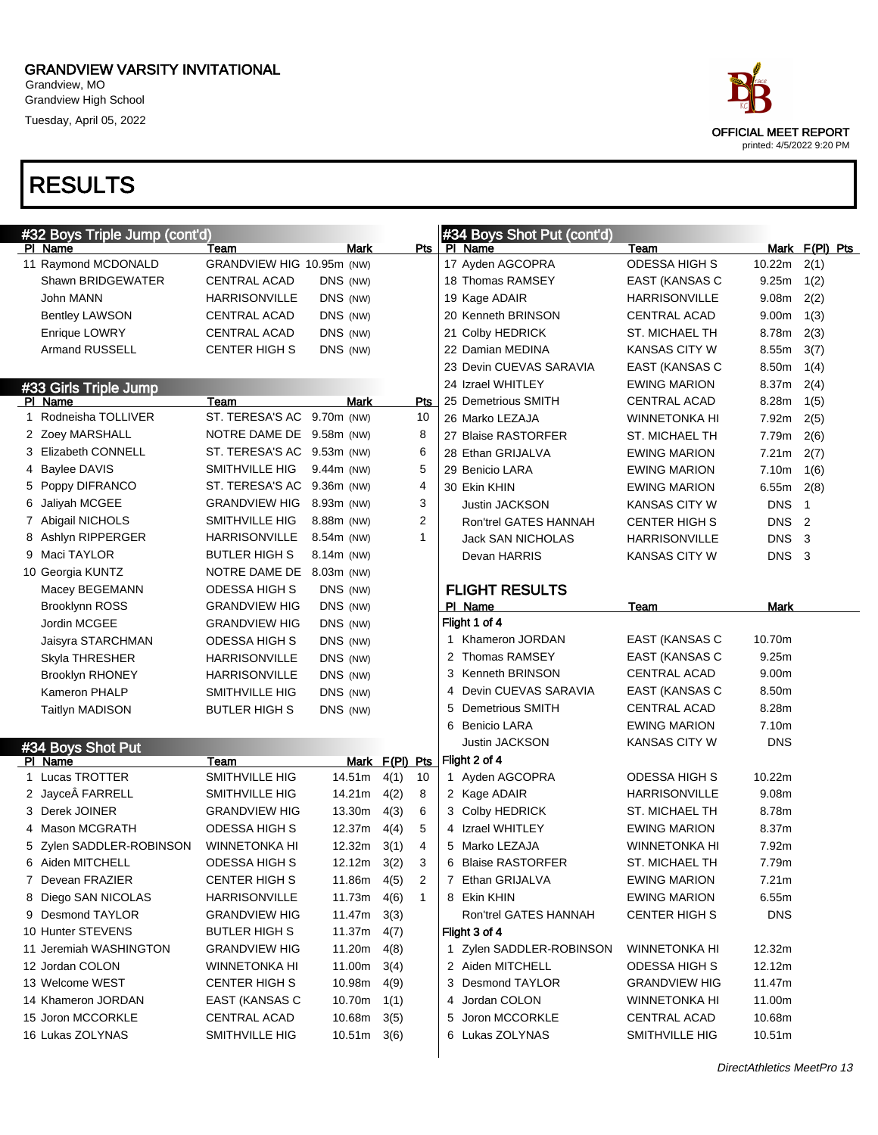Grandview, MO Grandview High School Tuesday, April 05, 2022

| #32 Boys Triple Jump (cont'd) |                            |                 |                |                         |   | #34 Boys Shot Put (cont'd) |                       |            |                |
|-------------------------------|----------------------------|-----------------|----------------|-------------------------|---|----------------------------|-----------------------|------------|----------------|
| PI Name                       | Team                       | <b>Mark</b>     |                | Pts                     |   | PI Name                    | Team                  |            | Mark F(PI) Pts |
| 11 Raymond MCDONALD           | GRANDVIEW HIG 10.95m (NW)  |                 |                |                         |   | 17 Ayden AGCOPRA           | <b>ODESSA HIGH S</b>  | 10.22m     | 2(1)           |
| Shawn BRIDGEWATER             | <b>CENTRAL ACAD</b>        | DNS (NW)        |                |                         |   | 18 Thomas RAMSEY           | <b>EAST (KANSAS C</b> | 9.25m      | 1(2)           |
| John MANN                     | <b>HARRISONVILLE</b>       | DNS (NW)        |                |                         |   | 19 Kage ADAIR              | HARRISONVILLE         | 9.08m      | 2(2)           |
| <b>Bentley LAWSON</b>         | <b>CENTRAL ACAD</b>        | DNS (NW)        |                |                         |   | 20 Kenneth BRINSON         | <b>CENTRAL ACAD</b>   | 9.00m      | 1(3)           |
| Enrique LOWRY                 | CENTRAL ACAD               | DNS (NW)        |                |                         |   | 21 Colby HEDRICK           | ST. MICHAEL TH        | 8.78m      | 2(3)           |
| <b>Armand RUSSELL</b>         | <b>CENTER HIGH S</b>       | DNS (NW)        |                |                         |   | 22 Damian MEDINA           | <b>KANSAS CITY W</b>  | 8.55m      | 3(7)           |
|                               |                            |                 |                |                         |   | 23 Devin CUEVAS SARAVIA    | EAST (KANSAS C        | 8.50m      | 1(4)           |
| #33 Girls Triple Jump         |                            |                 |                |                         |   | 24 Izrael WHITLEY          | EWING MARION          | 8.37m      | 2(4)           |
| PI Name                       | Team                       | Mark            |                | <b>Pts</b>              |   | 25 Demetrious SMITH        | CENTRAL ACAD          | 8.28m      | 1(5)           |
| 1 Rodneisha TOLLIVER          | ST. TERESA'S AC            | 9.70m (NW)      |                | 10                      |   | 26 Marko LEZAJA            | <b>WINNETONKA HI</b>  | 7.92m      | 2(5)           |
| 2 Zoey MARSHALL               | NOTRE DAME DE 9.58m (NW)   |                 |                | 8                       |   | 27 Blaise RASTORFER        | ST. MICHAEL TH        | 7.79m      | 2(6)           |
| 3 Elizabeth CONNELL           | ST. TERESA'S AC 9.53m (NW) |                 |                | 6                       |   | 28 Ethan GRIJALVA          | <b>EWING MARION</b>   | 7.21m      | 2(7)           |
| 4 Baylee DAVIS                | SMITHVILLE HIG             | 9.44m (NW)      |                | 5                       |   | 29 Benicio LARA            | EWING MARION          | 7.10m      | 1(6)           |
| 5 Poppy DIFRANCO              | ST. TERESA'S AC 9.36m (NW) |                 |                | $\overline{\mathbf{4}}$ |   | 30 Ekin KHIN               | <b>EWING MARION</b>   | 6.55m      | 2(8)           |
| 6 Jaliyah MCGEE               | <b>GRANDVIEW HIG</b>       | 8.93m (NW)      |                | 3                       |   | <b>Justin JACKSON</b>      | <b>KANSAS CITY W</b>  | <b>DNS</b> | 1              |
| 7 Abigail NICHOLS             | SMITHVILLE HIG             | 8.88m (NW)      |                | $\overline{2}$          |   | Ron'trel GATES HANNAH      | <b>CENTER HIGH S</b>  | <b>DNS</b> | 2              |
| 8 Ashlyn RIPPERGER            | <b>HARRISONVILLE</b>       | 8.54m (NW)      |                | 1                       |   | <b>Jack SAN NICHOLAS</b>   | HARRISONVILLE         | <b>DNS</b> | 3              |
| 9 Maci TAYLOR                 | <b>BUTLER HIGH S</b>       | 8.14m (NW)      |                |                         |   | Devan HARRIS               | KANSAS CITY W         | <b>DNS</b> | $\mathbf{3}$   |
| 10 Georgia KUNTZ              | NOTRE DAME DE 8.03m (NW)   |                 |                |                         |   |                            |                       |            |                |
| Macey BEGEMANN                | <b>ODESSA HIGH S</b>       | DNS (NW)        |                |                         |   | <b>FLIGHT RESULTS</b>      |                       |            |                |
| <b>Brooklynn ROSS</b>         | <b>GRANDVIEW HIG</b>       | DNS (NW)        |                |                         |   | PI Name                    | Team                  | Mark       |                |
| Jordin MCGEE                  | <b>GRANDVIEW HIG</b>       | DNS (NW)        |                |                         |   | Flight 1 of 4              |                       |            |                |
| Jaisyra STARCHMAN             | ODESSA HIGH S              | DNS (NW)        |                |                         |   | 1 Khameron JORDAN          | EAST (KANSAS C        | 10.70m     |                |
| Skyla THRESHER                | <b>HARRISONVILLE</b>       | DNS (NW)        |                |                         |   | 2 Thomas RAMSEY            | EAST (KANSAS C        | 9.25m      |                |
| <b>Brooklyn RHONEY</b>        | <b>HARRISONVILLE</b>       | DNS (NW)        |                |                         | 3 | Kenneth BRINSON            | <b>CENTRAL ACAD</b>   | 9.00m      |                |
| <b>Kameron PHALP</b>          | SMITHVILLE HIG             | DNS (NW)        |                |                         | 4 | Devin CUEVAS SARAVIA       | EAST (KANSAS C        | 8.50m      |                |
| <b>Taitlyn MADISON</b>        | <b>BUTLER HIGH S</b>       | DNS (NW)        |                |                         | 5 | <b>Demetrious SMITH</b>    | <b>CENTRAL ACAD</b>   | 8.28m      |                |
|                               |                            |                 |                |                         | 6 | Benicio LARA               | <b>EWING MARION</b>   | 7.10m      |                |
| #34 Boys Shot Put             |                            |                 |                |                         |   | <b>Justin JACKSON</b>      | KANSAS CITY W         | <b>DNS</b> |                |
| PI Name                       | Team                       |                 | Mark F(PI) Pts |                         |   | Flight 2 of 4              |                       |            |                |
| 1 Lucas TROTTER               | SMITHVILLE HIG             | 14.51m          | 4(1)           | 10                      |   | 1 Ayden AGCOPRA            | ODESSA HIGH S         | 10.22m     |                |
| 2 Jayce FARRELL               | <b>SMITHVILLE HIG</b>      | 14.21m          | 4(2)           | 8                       |   | 2 Kage ADAIR               | <b>HARRISONVILLE</b>  | 9.08m      |                |
| 3 Derek JOINER                | <b>GRANDVIEW HIG</b>       | 13.30m          | 4(3)           | 6                       |   | 3 Colby HEDRICK            | ST. MICHAEL TH        | 8.78m      |                |
| 4 Mason MCGRATH               | ODESSA HIGH S              | 12.37m          | 4(4)           | 5                       |   | 4 Izrael WHITLEY           | <b>EWING MARION</b>   | 8.37m      |                |
| 5 Zylen SADDLER-ROBINSON      | <b>WINNETONKA HI</b>       | 12.32m          | 3(1)           | 4                       | 5 | Marko LEZAJA               | WINNETONKA HI         | 7.92m      |                |
| 6 Aiden MITCHELL              | <b>ODESSA HIGH S</b>       | $12.12m$ $3(2)$ |                | 3                       |   | 6 Blaise RASTORFER         | ST. MICHAEL TH        | 7.79m      |                |
| 7 Devean FRAZIER              | <b>CENTER HIGH S</b>       | 11.86m          | 4(5)           | 2                       |   | 7 Ethan GRIJALVA           | <b>EWING MARION</b>   | 7.21m      |                |
| 8 Diego SAN NICOLAS           | <b>HARRISONVILLE</b>       | 11.73m          | 4(6)           | $\mathbf{1}$            |   | 8 Ekin KHIN                | <b>EWING MARION</b>   | 6.55m      |                |
| 9 Desmond TAYLOR              | <b>GRANDVIEW HIG</b>       | 11.47m          | 3(3)           |                         |   | Ron'trel GATES HANNAH      | <b>CENTER HIGH S</b>  | <b>DNS</b> |                |
| 10 Hunter STEVENS             | <b>BUTLER HIGH S</b>       | 11.37m          | 4(7)           |                         |   | Flight 3 of 4              |                       |            |                |
| 11 Jeremiah WASHINGTON        | <b>GRANDVIEW HIG</b>       | 11.20m          | 4(8)           |                         |   | 1 Zylen SADDLER-ROBINSON   | <b>WINNETONKA HI</b>  | 12.32m     |                |
| 12 Jordan COLON               | <b>WINNETONKA HI</b>       | 11.00m          | 3(4)           |                         |   | 2 Aiden MITCHELL           | ODESSA HIGH S         | 12.12m     |                |
| 13 Welcome WEST               | <b>CENTER HIGH S</b>       | 10.98m          | 4(9)           |                         |   | 3 Desmond TAYLOR           | <b>GRANDVIEW HIG</b>  | 11.47m     |                |
| 14 Khameron JORDAN            | EAST (KANSAS C             | 10.70m          | 1(1)           |                         |   | Jordan COLON               | <b>WINNETONKA HI</b>  | 11.00m     |                |
| 15 Joron MCCORKLE             | CENTRAL ACAD               | 10.68m          | 3(5)           |                         |   | 5 Joron MCCORKLE           | CENTRAL ACAD          | 10.68m     |                |
| 16 Lukas ZOLYNAS              | SMITHVILLE HIG             | $10.51m$ $3(6)$ |                |                         |   | 6 Lukas ZOLYNAS            | SMITHVILLE HIG        | 10.51m     |                |

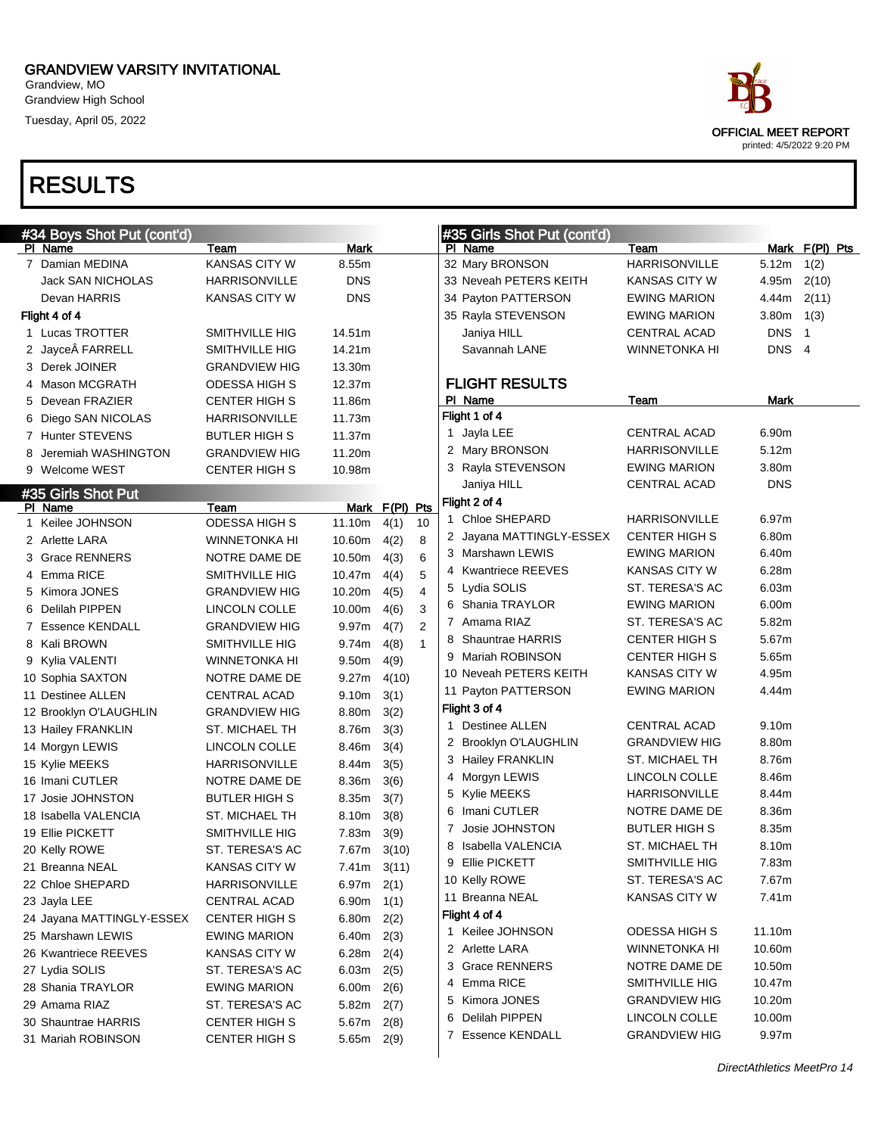Grandview, MO Grandview High School Tuesday, April 05, 2022



| #34 Boys Shot Put (cont'd) |                      |               |                |                | #35 Girls Shot Put (cont'd)           |                      |            |                          |  |
|----------------------------|----------------------|---------------|----------------|----------------|---------------------------------------|----------------------|------------|--------------------------|--|
| PI Name                    | Team                 | Mark          |                |                | PI Name                               | Team                 |            | Mark F(PI) Pts           |  |
| 7 Damian MEDINA            | <b>KANSAS CITY W</b> | 8.55m         |                |                | 32 Mary BRONSON                       | <b>HARRISONVILLE</b> | 5.12m      | 1(2)                     |  |
| Jack SAN NICHOLAS          | <b>HARRISONVILLE</b> | <b>DNS</b>    |                |                | 33 Neveah PETERS KEITH                | KANSAS CITY W        | 4.95m      | 2(10)                    |  |
| Devan HARRIS               | <b>KANSAS CITY W</b> | <b>DNS</b>    |                |                | 34 Payton PATTERSON                   | <b>EWING MARION</b>  | 4.44m      | 2(11)                    |  |
| Flight 4 of 4              |                      |               |                |                | 35 Rayla STEVENSON                    | <b>EWING MARION</b>  | 3.80m      | 1(3)                     |  |
| 1 Lucas TROTTER            | SMITHVILLE HIG       | 14.51m        |                |                | Janiya HILL                           | <b>CENTRAL ACAD</b>  | <b>DNS</b> | $\overline{\phantom{1}}$ |  |
| 2 Jayce FARRELL            | SMITHVILLE HIG       | 14.21m        |                |                | Savannah LANE                         | WINNETONKA HI        | DNS 4      |                          |  |
| 3 Derek JOINER             | <b>GRANDVIEW HIG</b> | 13.30m        |                |                |                                       |                      |            |                          |  |
| 4 Mason MCGRATH            | ODESSA HIGH S        | 12.37m        |                |                | <b>FLIGHT RESULTS</b>                 |                      |            |                          |  |
| 5 Devean FRAZIER           | <b>CENTER HIGH S</b> | 11.86m        |                |                | PI Name                               | Team                 | Mark       |                          |  |
| 6 Diego SAN NICOLAS        | <b>HARRISONVILLE</b> | 11.73m        |                |                | Flight 1 of 4                         |                      |            |                          |  |
| 7 Hunter STEVENS           | <b>BUTLER HIGH S</b> | 11.37m        |                |                | 1 Jayla LEE                           | <b>CENTRAL ACAD</b>  | 6.90m      |                          |  |
| 8 Jeremiah WASHINGTON      | <b>GRANDVIEW HIG</b> | 11.20m        |                |                | 2 Mary BRONSON                        | <b>HARRISONVILLE</b> | 5.12m      |                          |  |
| 9 Welcome WEST             | <b>CENTER HIGH S</b> | 10.98m        |                |                | 3 Rayla STEVENSON                     | <b>EWING MARION</b>  | 3.80m      |                          |  |
| #35 Girls Shot Put         |                      |               |                |                | Janiya HILL                           | <b>CENTRAL ACAD</b>  | <b>DNS</b> |                          |  |
| PI Name                    | Team                 |               | Mark F(PI) Pts |                | Flight 2 of 4                         |                      |            |                          |  |
| 1 Keilee JOHNSON           | <b>ODESSA HIGH S</b> | 11.10m        | 4(1)           | 10             | 1 Chloe SHEPARD                       | <b>HARRISONVILLE</b> | 6.97m      |                          |  |
| 2 Arlette LARA             | <b>WINNETONKA HI</b> | 10.60m        | 4(2)           | 8              | 2 Jayana MATTINGLY-ESSEX              | <b>CENTER HIGH S</b> | 6.80m      |                          |  |
| 3 Grace RENNERS            | <b>NOTRE DAME DE</b> | 10.50m        | 4(3)           | 6              | 3 Marshawn LEWIS                      | <b>EWING MARION</b>  | 6.40m      |                          |  |
| 4 Emma RICE                | SMITHVILLE HIG       | 10.47m        | 4(4)           | 5              | 4 Kwantriece REEVES                   | <b>KANSAS CITY W</b> | 6.28m      |                          |  |
| 5 Kimora JONES             | <b>GRANDVIEW HIG</b> | 10.20m        | 4(5)           | $\overline{4}$ | 5 Lydia SOLIS                         | ST. TERESA'S AC      | 6.03m      |                          |  |
| 6 Delilah PIPPEN           | LINCOLN COLLE        | 10.00m        | 4(6)           | 3              | 6 Shania TRAYLOR                      | <b>EWING MARION</b>  | 6.00m      |                          |  |
| 7 Essence KENDALL          | <b>GRANDVIEW HIG</b> | 9.97m         | 4(7)           | 2              | 7 Amama RIAZ                          | ST. TERESA'S AC      | 5.82m      |                          |  |
| 8 Kali BROWN               | SMITHVILLE HIG       | 9.74m         | 4(8)           | $\mathbf{1}$   | 8 Shauntrae HARRIS                    | <b>CENTER HIGH S</b> | 5.67m      |                          |  |
| 9 Kylia VALENTI            | <b>WINNETONKA HI</b> | 9.50m         | 4(9)           |                | 9 Mariah ROBINSON                     | <b>CENTER HIGH S</b> | 5.65m      |                          |  |
| 10 Sophia SAXTON           | NOTRE DAME DE        | 9.27m         | 4(10)          |                | 10 Neveah PETERS KEITH                | <b>KANSAS CITY W</b> | 4.95m      |                          |  |
| 11 Destinee ALLEN          | <b>CENTRAL ACAD</b>  | 9.10m         | 3(1)           |                | 11 Payton PATTERSON                   | <b>EWING MARION</b>  | 4.44m      |                          |  |
| 12 Brooklyn O'LAUGHLIN     | <b>GRANDVIEW HIG</b> | 8.80m         | 3(2)           |                | Flight 3 of 4                         |                      |            |                          |  |
| 13 Hailey FRANKLIN         | ST. MICHAEL TH       | 8.76m         | 3(3)           |                | <b>Destinee ALLEN</b><br>$\mathbf{1}$ | <b>CENTRAL ACAD</b>  | 9.10m      |                          |  |
| 14 Morgyn LEWIS            | LINCOLN COLLE        | 8.46m         | 3(4)           |                | 2 Brooklyn O'LAUGHLIN                 | <b>GRANDVIEW HIG</b> | 8.80m      |                          |  |
| 15 Kylie MEEKS             | <b>HARRISONVILLE</b> | 8.44m         | 3(5)           |                | 3 Hailey FRANKLIN                     | ST. MICHAEL TH       | 8.76m      |                          |  |
| 16 Imani CUTLER            | NOTRE DAME DE        | 8.36m         | 3(6)           |                | 4 Morgyn LEWIS                        | LINCOLN COLLE        | 8.46m      |                          |  |
| 17 Josie JOHNSTON          | <b>BUTLER HIGH S</b> | 8.35m         | 3(7)           |                | 5 Kylie MEEKS                         | <b>HARRISONVILLE</b> | 8.44m      |                          |  |
| 18 Isabella VALENCIA       | ST. MICHAEL TH       | 8.10m         | 3(8)           |                | 6 Imani CUTLER                        | NOTRE DAME DE        | 8.36m      |                          |  |
| 19 Ellie PICKETT           | SMITHVILLE HIG       | 7.83m         | 3(9)           |                | Josie JOHNSTON<br>7                   | <b>BUTLER HIGH S</b> | 8.35m      |                          |  |
| 20 Kelly ROWE              | ST. TERESA'S AC      | 7.67m         | 3(10)          |                | Isabella VALENCIA<br>8                | ST. MICHAEL TH       | 8.10m      |                          |  |
| 21 Breanna NEAL            | <b>KANSAS CITY W</b> | $7.41m$ 3(11) |                |                | 9 Ellie PICKETT                       | SMITHVILLE HIG       | 7.83m      |                          |  |
| 22 Chloe SHEPARD           | <b>HARRISONVILLE</b> | 6.97 $m$ 2(1) |                |                | 10 Kelly ROWE                         | ST. TERESA'S AC      | 7.67m      |                          |  |
| 23 Jayla LEE               | CENTRAL ACAD         | 6.90m         | 1(1)           |                | 11 Breanna NEAL                       | <b>KANSAS CITY W</b> | 7.41m      |                          |  |
| 24 Jayana MATTINGLY-ESSEX  | <b>CENTER HIGH S</b> | 6.80m         | 2(2)           |                | Flight 4 of 4                         |                      |            |                          |  |
| 25 Marshawn LEWIS          | <b>EWING MARION</b>  | 6.40m         | 2(3)           |                | 1 Keilee JOHNSON                      | <b>ODESSA HIGH S</b> | 11.10m     |                          |  |
| 26 Kwantriece REEVES       | KANSAS CITY W        | 6.28m         | 2(4)           |                | 2 Arlette LARA                        | <b>WINNETONKA HI</b> | 10.60m     |                          |  |
| 27 Lydia SOLIS             | ST. TERESA'S AC      | 6.03m         | 2(5)           |                | 3 Grace RENNERS                       | NOTRE DAME DE        | 10.50m     |                          |  |
| 28 Shania TRAYLOR          | <b>EWING MARION</b>  | 6.00m         | 2(6)           |                | 4 Emma RICE                           | SMITHVILLE HIG       | 10.47m     |                          |  |
| 29 Amama RIAZ              | ST. TERESA'S AC      | 5.82 $m$ 2(7) |                |                | 5 Kimora JONES                        | <b>GRANDVIEW HIG</b> | 10.20m     |                          |  |
| 30 Shauntrae HARRIS        | <b>CENTER HIGH S</b> | 5.67m $2(8)$  |                |                | Delilah PIPPEN<br>6                   | LINCOLN COLLE        | 10.00m     |                          |  |
| 31 Mariah ROBINSON         | <b>CENTER HIGH S</b> | 5.65m 2(9)    |                |                | 7 Essence KENDALL                     | <b>GRANDVIEW HIG</b> | 9.97m      |                          |  |
|                            |                      |               |                |                |                                       |                      |            |                          |  |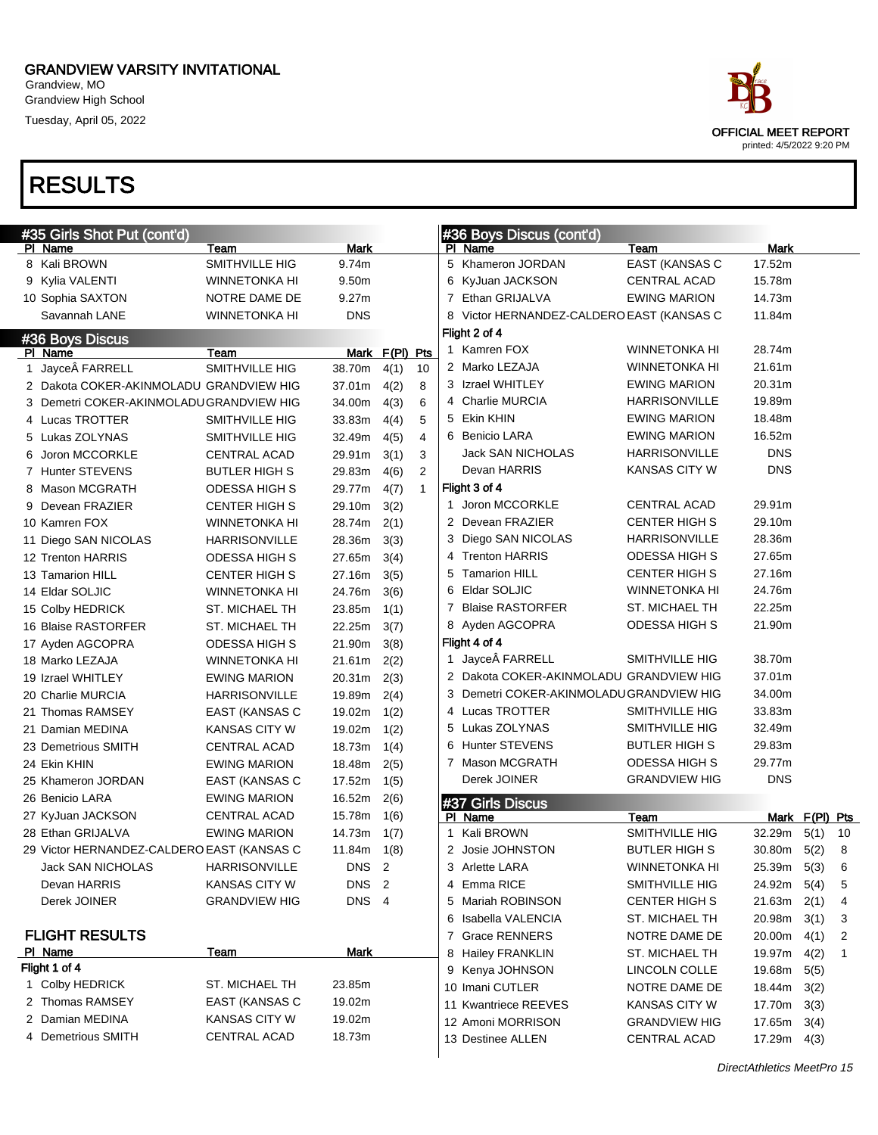Grandview, MO Grandview High School Tuesday, April 05, 2022



|    | #35 Girls Shot Put (cont'd)                |                      |                  |                |                |   | #36 Boys Discus (cont'd)                  |                      |                 |                |    |
|----|--------------------------------------------|----------------------|------------------|----------------|----------------|---|-------------------------------------------|----------------------|-----------------|----------------|----|
|    | PI Name                                    | Team                 | <b>Mark</b>      |                |                |   | PI Name                                   | Team                 | <b>Mark</b>     |                |    |
|    | 8 Kali BROWN                               | SMITHVILLE HIG       | 9.74m            |                |                |   | 5 Khameron JORDAN                         | EAST (KANSAS C       | 17.52m          |                |    |
|    | 9 Kylia VALENTI                            | <b>WINNETONKA HI</b> | 9.50m            |                |                |   | 6 KyJuan JACKSON                          | <b>CENTRAL ACAD</b>  | 15.78m          |                |    |
|    | 10 Sophia SAXTON                           | NOTRE DAME DE        | 9.27m            |                |                |   | 7 Ethan GRIJALVA                          | <b>EWING MARION</b>  | 14.73m          |                |    |
|    | Savannah LANE                              | <b>WINNETONKA HI</b> | <b>DNS</b>       |                |                |   | 8 Victor HERNANDEZ-CALDERO EAST (KANSAS C |                      | 11.84m          |                |    |
|    | #36 Boys Discus                            |                      |                  |                |                |   | Flight 2 of 4                             |                      |                 |                |    |
|    | PI Name                                    | Team                 |                  | Mark F(PI) Pts |                |   | 1 Kamren FOX                              | <b>WINNETONKA HI</b> | 28.74m          |                |    |
| 1. | Jayce FARRELL                              | SMITHVILLE HIG       | 38.70m           | 4(1)           | 10             |   | 2 Marko LEZAJA                            | <b>WINNETONKA HI</b> | 21.61m          |                |    |
|    | 2 Dakota COKER-AKINMOLADU GRANDVIEW HIG    |                      | 37.01m           | 4(2)           | 8              |   | 3 Izrael WHITLEY                          | <b>EWING MARION</b>  | 20.31m          |                |    |
|    | 3 Demetri COKER-AKINMOLADUGRANDVIEW HIG    |                      | 34.00m           | 4(3)           | 6              |   | 4 Charlie MURCIA                          | <b>HARRISONVILLE</b> | 19.89m          |                |    |
|    | 4 Lucas TROTTER                            | SMITHVILLE HIG       | 33.83m           | 4(4)           | 5              |   | 5 Ekin KHIN                               | <b>EWING MARION</b>  | 18.48m          |                |    |
|    | 5 Lukas ZOLYNAS                            | SMITHVILLE HIG       | 32.49m           | 4(5)           | 4              |   | 6 Benicio LARA                            | <b>EWING MARION</b>  | 16.52m          |                |    |
| 6  | Joron MCCORKLE                             | CENTRAL ACAD         | 29.91m           | 3(1)           | 3              |   | <b>Jack SAN NICHOLAS</b>                  | <b>HARRISONVILLE</b> | <b>DNS</b>      |                |    |
|    | 7 Hunter STEVENS                           | <b>BUTLER HIGH S</b> | 29.83m           | 4(6)           | $\overline{2}$ |   | Devan HARRIS                              | <b>KANSAS CITY W</b> | <b>DNS</b>      |                |    |
|    | Mason MCGRATH                              | <b>ODESSA HIGH S</b> | 29.77m           | 4(7)           | $\mathbf{1}$   |   | Flight 3 of 4                             |                      |                 |                |    |
| 9  | Devean FRAZIER                             | <b>CENTER HIGH S</b> | 29.10m           | 3(2)           |                |   | 1 Joron MCCORKLE                          | <b>CENTRAL ACAD</b>  | 29.91m          |                |    |
|    | 10 Kamren FOX                              | WINNETONKA HI        | 28.74m           | 2(1)           |                |   | 2 Devean FRAZIER                          | <b>CENTER HIGH S</b> | 29.10m          |                |    |
|    | 11 Diego SAN NICOLAS                       | <b>HARRISONVILLE</b> | 28.36m           | 3(3)           |                |   | 3 Diego SAN NICOLAS                       | <b>HARRISONVILLE</b> | 28.36m          |                |    |
|    | 12 Trenton HARRIS                          | <b>ODESSA HIGH S</b> | 27.65m           | 3(4)           |                |   | 4 Trenton HARRIS                          | <b>ODESSA HIGH S</b> | 27.65m          |                |    |
|    | 13 Tamarion HILL                           | <b>CENTER HIGH S</b> | 27.16m           | 3(5)           |                | 5 | <b>Tamarion HILL</b>                      | CENTER HIGH S        | 27.16m          |                |    |
|    | 14 Eldar SOLJIC                            | WINNETONKA HI        | 24.76m           | 3(6)           |                |   | 6 Eldar SOLJIC                            | <b>WINNETONKA HI</b> | 24.76m          |                |    |
|    | 15 Colby HEDRICK                           | ST. MICHAEL TH       | 23.85m           | 1(1)           |                |   | 7 Blaise RASTORFER                        | ST. MICHAEL TH       | 22.25m          |                |    |
|    | 16 Blaise RASTORFER                        | ST. MICHAEL TH       | 22.25m           | 3(7)           |                |   | 8 Ayden AGCOPRA                           | <b>ODESSA HIGH S</b> | 21.90m          |                |    |
|    | 17 Ayden AGCOPRA                           | <b>ODESSA HIGH S</b> | 21.90m           | 3(8)           |                |   | Flight 4 of 4                             |                      |                 |                |    |
|    | 18 Marko LEZAJA                            | WINNETONKA HI        | 21.61m           | 2(2)           |                |   | 1 Jayce FARRELL                           | SMITHVILLE HIG       | 38.70m          |                |    |
|    | 19 Izrael WHITLEY                          | <b>EWING MARION</b>  | 20.31m           | 2(3)           |                |   | 2 Dakota COKER-AKINMOLADU GRANDVIEW HIG   |                      | 37.01m          |                |    |
|    | 20 Charlie MURCIA                          | <b>HARRISONVILLE</b> | 19.89m           | 2(4)           |                |   | 3 Demetri COKER-AKINMOLADU GRANDVIEW HIG  |                      | 34.00m          |                |    |
|    | 21 Thomas RAMSEY                           | EAST (KANSAS C       | 19.02m           | 1(2)           |                |   | 4 Lucas TROTTER                           | SMITHVILLE HIG       | 33.83m          |                |    |
|    | 21 Damian MEDINA                           | KANSAS CITY W        | 19.02m           | 1(2)           |                |   | 5 Lukas ZOLYNAS                           | SMITHVILLE HIG       | 32.49m          |                |    |
|    | 23 Demetrious SMITH                        | <b>CENTRAL ACAD</b>  | 18.73m           | 1(4)           |                |   | 6 Hunter STEVENS                          | <b>BUTLER HIGH S</b> | 29.83m          |                |    |
|    | 24 Ekin KHIN                               | <b>EWING MARION</b>  | 18.48m           | 2(5)           |                |   | 7 Mason MCGRATH                           | <b>ODESSA HIGH S</b> | 29.77m          |                |    |
|    | 25 Khameron JORDAN                         | EAST (KANSAS C       | 17.52m           | 1(5)           |                |   | Derek JOINER                              | <b>GRANDVIEW HIG</b> | <b>DNS</b>      |                |    |
|    | 26 Benicio LARA                            | <b>EWING MARION</b>  | 16.52m           | 2(6)           |                |   | #37 Girls Discus                          |                      |                 |                |    |
|    | 27 KyJuan JACKSON                          | CENTRAL ACAD         | 15.78m           | 1(6)           |                |   | PI Name                                   | Team                 |                 | Mark F(PI) Pts |    |
|    | 28 Ethan GRIJALVA                          | <b>EWING MARION</b>  | 14.73m           | 1(7)           |                |   | Kali BROWN                                | SMITHVILLE HIG       | 32.29m          | 5(1)           | 10 |
|    | 29 Victor HERNANDEZ-CALDERO EAST (KANSAS C |                      | 11.84m           | 1(8)           |                |   | 2 Josie JOHNSTON                          | <b>BUTLER HIGH S</b> | $30.80m$ $5(2)$ |                | 8  |
|    | Jack SAN NICHOLAS                          | HARRISONVILLE        | DNS <sub>2</sub> |                |                |   | 3 Arlette LARA                            | <b>WINNETONKA HI</b> | 25.39m 5(3)     |                | 6  |
|    | Devan HARRIS                               | <b>KANSAS CITY W</b> | DNS <sub>2</sub> |                |                |   | 4 Emma RICE                               | SMITHVILLE HIG       | 24.92m          | 5(4)           | 5  |
|    | Derek JOINER                               | <b>GRANDVIEW HIG</b> | DNS 4            |                |                |   | 5 Mariah ROBINSON                         | <b>CENTER HIGH S</b> | 21.63m          | 2(1)           | 4  |
|    |                                            |                      |                  |                |                |   | 6 Isabella VALENCIA                       | ST. MICHAEL TH       | 20.98m          | 3(1)           | 3  |
|    | <b>FLIGHT RESULTS</b>                      |                      |                  |                |                |   | 7 Grace RENNERS                           | NOTRE DAME DE        | 20.00m          | 4(1)           | 2  |
|    | PI Name                                    | <b>Team</b>          | <b>Mark</b>      |                |                |   | 8 Hailey FRANKLIN                         | ST. MICHAEL TH       | 19.97m          | 4(2)           | 1  |
|    | Flight 1 of 4                              |                      |                  |                |                |   | 9 Kenya JOHNSON                           | LINCOLN COLLE        | 19.68m          | 5(5)           |    |
|    | 1 Colby HEDRICK                            | ST. MICHAEL TH       | 23.85m           |                |                |   | 10 Imani CUTLER                           | NOTRE DAME DE        | 18.44m          | 3(2)           |    |
|    | 2 Thomas RAMSEY                            | EAST (KANSAS C       | 19.02m           |                |                |   | 11 Kwantriece REEVES                      | KANSAS CITY W        | 17.70m          | 3(3)           |    |
|    | 2 Damian MEDINA                            | <b>KANSAS CITY W</b> | 19.02m           |                |                |   | 12 Amoni MORRISON                         | <b>GRANDVIEW HIG</b> | 17.65m          | 3(4)           |    |
|    | 4 Demetrious SMITH                         | CENTRAL ACAD         | 18.73m           |                |                |   | 13 Destinee ALLEN                         | <b>CENTRAL ACAD</b>  | 17.29m  4(3)    |                |    |
|    |                                            |                      |                  |                |                |   |                                           |                      |                 |                |    |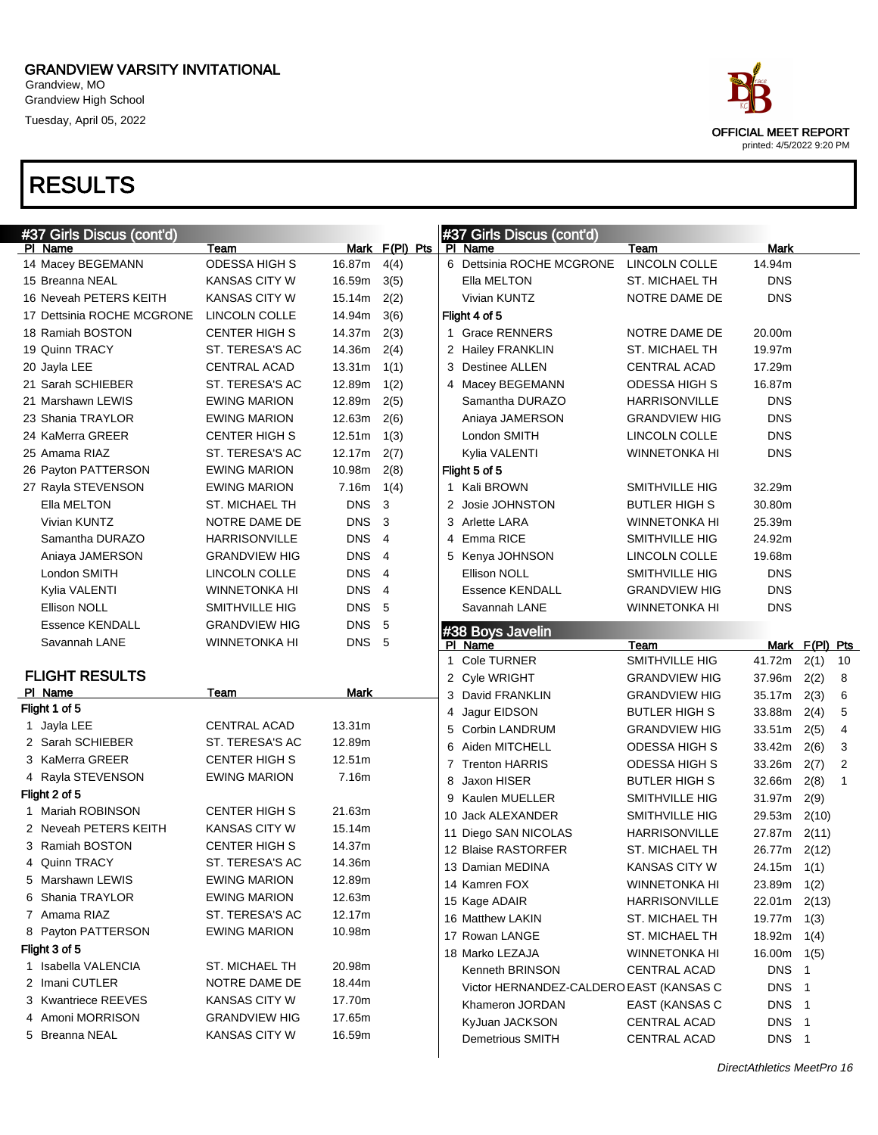Grandview, MO Grandview High School Tuesday, April 05, 2022

# RESULTS

| #37 Girls Discus (cont'd)  |                      |            |                | #37 Girls Discus (cont'd)               |                       |                 |                |              |
|----------------------------|----------------------|------------|----------------|-----------------------------------------|-----------------------|-----------------|----------------|--------------|
| PI Name                    | Team                 |            | Mark F(PI) Pts | PI Name                                 | Team                  | Mark            |                |              |
| 14 Macey BEGEMANN          | ODESSA HIGH S        | 16.87m     | 4(4)           | 6 Dettsinia ROCHE MCGRONE               | LINCOLN COLLE         | 14.94m          |                |              |
| 15 Breanna NEAL            | <b>KANSAS CITY W</b> | 16.59m     | 3(5)           | Ella MELTON                             | ST. MICHAEL TH        | <b>DNS</b>      |                |              |
| 16 Neveah PETERS KEITH     | <b>KANSAS CITY W</b> | 15.14m     | 2(2)           | Vivian KUNTZ                            | NOTRE DAME DE         | <b>DNS</b>      |                |              |
| 17 Dettsinia ROCHE MCGRONE | LINCOLN COLLE        | 14.94m     | 3(6)           | Flight 4 of 5                           |                       |                 |                |              |
| 18 Ramiah BOSTON           | <b>CENTER HIGH S</b> | 14.37m     | 2(3)           | 1 Grace RENNERS                         | NOTRE DAME DE         | 20.00m          |                |              |
| 19 Quinn TRACY             | ST. TERESA'S AC      | 14.36m     | 2(4)           | 2 Hailey FRANKLIN                       | ST. MICHAEL TH        | 19.97m          |                |              |
| 20 Jayla LEE               | <b>CENTRAL ACAD</b>  | 13.31m     | 1(1)           | 3 Destinee ALLEN                        | <b>CENTRAL ACAD</b>   | 17.29m          |                |              |
| 21 Sarah SCHIEBER          | ST. TERESA'S AC      | 12.89m     | 1(2)           | 4 Macey BEGEMANN                        | <b>ODESSA HIGH S</b>  | 16.87m          |                |              |
| 21 Marshawn LEWIS          | <b>EWING MARION</b>  | 12.89m     | 2(5)           | Samantha DURAZO                         | HARRISONVILLE         | <b>DNS</b>      |                |              |
| 23 Shania TRAYLOR          | <b>EWING MARION</b>  | 12.63m     | 2(6)           | Aniaya JAMERSON                         | <b>GRANDVIEW HIG</b>  | <b>DNS</b>      |                |              |
| 24 KaMerra GREER           | <b>CENTER HIGH S</b> | 12.51m     | 1(3)           | London SMITH                            | LINCOLN COLLE         | <b>DNS</b>      |                |              |
| 25 Amama RIAZ              | ST. TERESA'S AC      | 12.17m     | 2(7)           | Kylia VALENTI                           | <b>WINNETONKA HI</b>  | <b>DNS</b>      |                |              |
| 26 Payton PATTERSON        | <b>EWING MARION</b>  | 10.98m     | 2(8)           | Flight 5 of 5                           |                       |                 |                |              |
| 27 Rayla STEVENSON         | <b>EWING MARION</b>  | 7.16m      | 1(4)           | 1 Kali BROWN                            | SMITHVILLE HIG        | 32.29m          |                |              |
| Ella MELTON                | ST. MICHAEL TH       | <b>DNS</b> | 3              | 2 Josie JOHNSTON                        | <b>BUTLER HIGH S</b>  | 30.80m          |                |              |
| Vivian KUNTZ               | NOTRE DAME DE        | <b>DNS</b> | 3              | 3 Arlette LARA                          | <b>WINNETONKA HI</b>  | 25.39m          |                |              |
| Samantha DURAZO            | <b>HARRISONVILLE</b> | <b>DNS</b> | $\overline{4}$ | 4 Emma RICE                             | SMITHVILLE HIG        | 24.92m          |                |              |
| Aniaya JAMERSON            | <b>GRANDVIEW HIG</b> | <b>DNS</b> | $\overline{4}$ | 5 Kenya JOHNSON                         | LINCOLN COLLE         | 19.68m          |                |              |
| London SMITH               | LINCOLN COLLE        | <b>DNS</b> | $\overline{4}$ | Ellison NOLL                            | SMITHVILLE HIG        | <b>DNS</b>      |                |              |
| Kylia VALENTI              | <b>WINNETONKA HI</b> | <b>DNS</b> | $\overline{4}$ | <b>Essence KENDALL</b>                  | <b>GRANDVIEW HIG</b>  | <b>DNS</b>      |                |              |
| Ellison NOLL               | SMITHVILLE HIG       | DNS 5      |                | Savannah LANE                           | <b>WINNETONKA HI</b>  | <b>DNS</b>      |                |              |
| <b>Essence KENDALL</b>     | <b>GRANDVIEW HIG</b> | <b>DNS</b> | 5              | #38 Boys Javelin                        |                       |                 |                |              |
| Savannah LANE              | <b>WINNETONKA HI</b> | DNS 5      |                | PI Name                                 | Team                  |                 | Mark F(PI) Pts |              |
|                            |                      |            |                | 1 Cole TURNER                           | <b>SMITHVILLE HIG</b> | 41.72m          | 2(1)           | 10           |
| <b>FLIGHT RESULTS</b>      |                      |            |                | 2 Cyle WRIGHT                           | <b>GRANDVIEW HIG</b>  | 37.96m          | 2(2)           | 8            |
| PI Name                    | Team                 | Mark       |                | 3 David FRANKLIN                        | <b>GRANDVIEW HIG</b>  | 35.17m          | 2(3)           | 6            |
| Flight 1 of 5              |                      |            |                | 4 Jagur EIDSON                          | <b>BUTLER HIGH S</b>  | 33.88m          | 2(4)           | 5            |
| 1 Jayla LEE                | <b>CENTRAL ACAD</b>  | 13.31m     |                | 5 Corbin LANDRUM                        | <b>GRANDVIEW HIG</b>  | 33.51m          | 2(5)           | 4            |
| 2 Sarah SCHIEBER           | ST. TERESA'S AC      | 12.89m     |                | 6 Aiden MITCHELL                        | <b>ODESSA HIGH S</b>  | 33.42m          | 2(6)           | 3            |
| 3 KaMerra GREER            | <b>CENTER HIGH S</b> | 12.51m     |                | 7 Trenton HARRIS                        | <b>ODESSA HIGH S</b>  | 33.26m          | 2(7)           | 2            |
| 4 Rayla STEVENSON          | <b>EWING MARION</b>  | 7.16m      |                | Jaxon HISER<br>8                        | <b>BUTLER HIGH S</b>  | 32.66m          | 2(8)           | $\mathbf{1}$ |
| Flight 2 of 5              |                      |            |                | 9 Kaulen MUELLER                        | SMITHVILLE HIG        | 31.97m          | 2(9)           |              |
| 1 Mariah ROBINSON          | <b>CENTER HIGH S</b> | 21.63m     |                | 10 Jack ALEXANDER                       | SMITHVILLE HIG        | 29.53m          | 2(10)          |              |
| 2 Neveah PETERS KEITH      | KANSAS CITY W        | 15.14m     |                | 11 Diego SAN NICOLAS                    | <b>HARRISONVILLE</b>  | 27.87m 2(11)    |                |              |
| 3 Ramiah BOSTON            | <b>CENTER HIGH S</b> | 14.37m     |                | 12 Blaise RASTORFER                     | ST. MICHAEL TH        | 26.77m 2(12)    |                |              |
| 4 Quinn TRACY              | ST. TERESA'S AC      | 14.36m     |                | 13 Damian MEDINA                        | KANSAS CITY W         | 24.15m          | 1(1)           |              |
| 5 Marshawn LEWIS           | <b>EWING MARION</b>  | 12.89m     |                | 14 Kamren FOX                           | <b>WINNETONKA HI</b>  | 23.89m          | 1(2)           |              |
| 6 Shania TRAYLOR           | <b>EWING MARION</b>  | 12.63m     |                | 15 Kage ADAIR                           | <b>HARRISONVILLE</b>  | 22.01m 2(13)    |                |              |
| 7 Amama RIAZ               | ST. TERESA'S AC      | 12.17m     |                | 16 Matthew LAKIN                        | ST. MICHAEL TH        | 19.77m          | 1(3)           |              |
| 8 Payton PATTERSON         | <b>EWING MARION</b>  | 10.98m     |                | 17 Rowan LANGE                          | ST. MICHAEL TH        | 18.92m          | 1(4)           |              |
| Flight 3 of 5              |                      |            |                | 18 Marko LEZAJA                         | <b>WINNETONKA HI</b>  | $16.00m$ $1(5)$ |                |              |
| 1 Isabella VALENCIA        | ST. MICHAEL TH       | 20.98m     |                | Kenneth BRINSON                         | <b>CENTRAL ACAD</b>   | DNS 1           |                |              |
| 2 Imani CUTLER             | NOTRE DAME DE        | 18.44m     |                | Victor HERNANDEZ-CALDERO EAST (KANSAS C |                       | DNS 1           |                |              |
| 3 Kwantriece REEVES        | KANSAS CITY W        | 17.70m     |                | Khameron JORDAN                         | EAST (KANSAS C        | DNS 1           |                |              |
| 4 Amoni MORRISON           | <b>GRANDVIEW HIG</b> | 17.65m     |                | KyJuan JACKSON                          | CENTRAL ACAD          | DNS 1           |                |              |

5 Breanna NEAL KANSAS CITY W 16.59m

Demetrious SMITH CENTRAL ACAD DNS 1

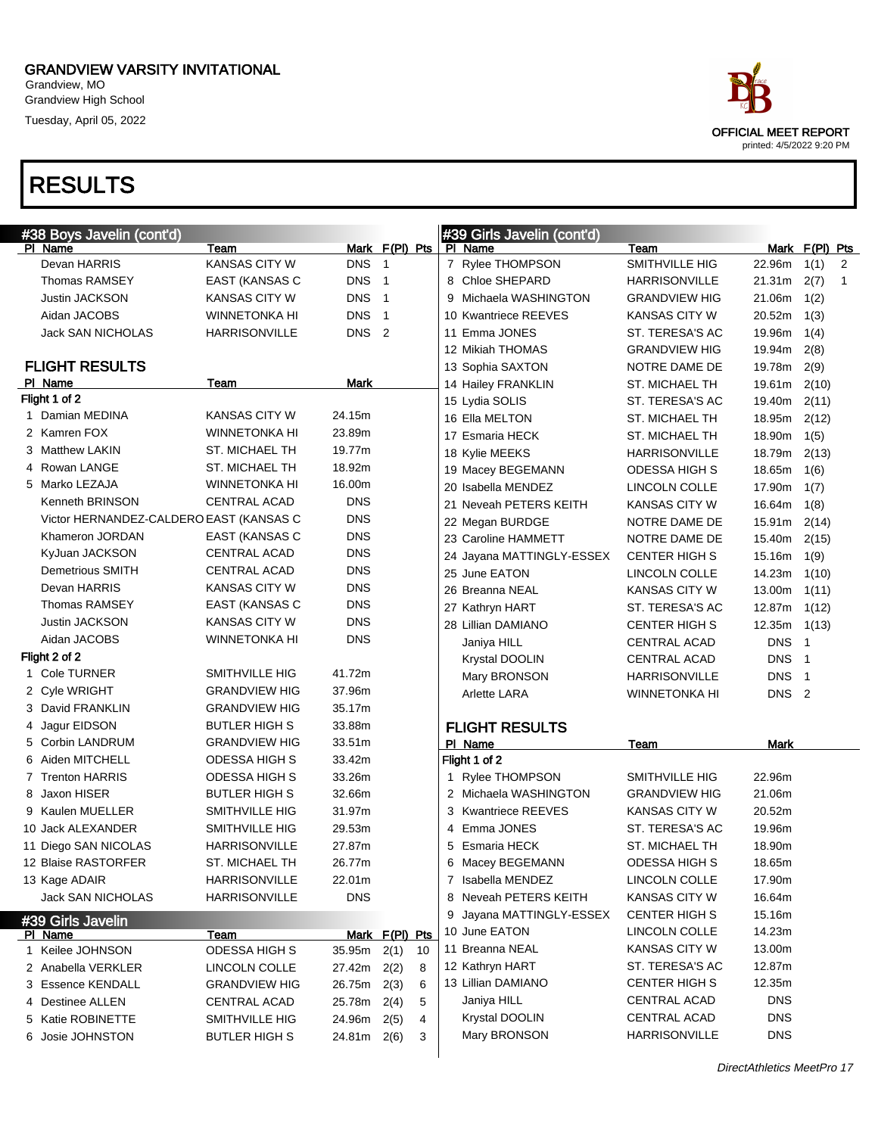Grandview, MO Grandview High School Tuesday, April 05, 2022

| ace.                                              |
|---------------------------------------------------|
| OFFICIAL MEET REPORT<br>printed: 4/5/2022 9:20 PM |

| #38 Boys Javelin (cont'd)               |                      |                  |                            |    |   | #39 Girls Javelin (cont'd) |                      |                  |                          |              |
|-----------------------------------------|----------------------|------------------|----------------------------|----|---|----------------------------|----------------------|------------------|--------------------------|--------------|
| PI Name                                 | Team                 |                  | Mark F(PI) Pts             |    |   | PI Name                    | Team                 |                  | Mark F(PI) Pts           |              |
| Devan HARRIS                            | <b>KANSAS CITY W</b> | <b>DNS</b>       | $\overline{\phantom{0}}$ 1 |    |   | 7 Rylee THOMPSON           | SMITHVILLE HIG       | 22.96m           | 1(1)                     | 2            |
| <b>Thomas RAMSEY</b>                    | EAST (KANSAS C       | <b>DNS</b>       | $\overline{1}$             |    |   | 8 Chloe SHEPARD            | HARRISONVILLE        | 21.31m           | 2(7)                     | $\mathbf{1}$ |
| Justin JACKSON                          | KANSAS CITY W        | <b>DNS</b>       | $\overline{\phantom{0}}$ 1 |    |   | 9 Michaela WASHINGTON      | <b>GRANDVIEW HIG</b> | 21.06m           | 1(2)                     |              |
| Aidan JACOBS                            | <b>WINNETONKA HI</b> | <b>DNS</b>       | $\overline{1}$             |    |   | 10 Kwantriece REEVES       | KANSAS CITY W        | 20.52m           | 1(3)                     |              |
| <b>Jack SAN NICHOLAS</b>                | <b>HARRISONVILLE</b> | DNS <sub>2</sub> |                            |    |   | 11 Emma JONES              | ST. TERESA'S AC      | 19.96m           | 1(4)                     |              |
|                                         |                      |                  |                            |    |   | 12 Mikiah THOMAS           | <b>GRANDVIEW HIG</b> | 19.94m           | 2(8)                     |              |
| <b>FLIGHT RESULTS</b>                   |                      |                  |                            |    |   | 13 Sophia SAXTON           | NOTRE DAME DE        | 19.78m           | 2(9)                     |              |
| PI Name                                 | Team                 | Mark             |                            |    |   | 14 Hailey FRANKLIN         | ST. MICHAEL TH       | 19.61m           | 2(10)                    |              |
| Flight 1 of 2                           |                      |                  |                            |    |   | 15 Lydia SOLIS             | ST. TERESA'S AC      | 19.40m           | 2(11)                    |              |
| 1 Damian MEDINA                         | KANSAS CITY W        | 24.15m           |                            |    |   | 16 Ella MELTON             | ST. MICHAEL TH       | 18.95m           | 2(12)                    |              |
| 2 Kamren FOX                            | WINNETONKA HI        | 23.89m           |                            |    |   | 17 Esmaria HECK            | ST. MICHAEL TH       | 18.90m           | 1(5)                     |              |
| 3 Matthew LAKIN                         | ST. MICHAEL TH       | 19.77m           |                            |    |   | 18 Kylie MEEKS             | HARRISONVILLE        | 18.79m           | 2(13)                    |              |
| 4 Rowan LANGE                           | ST. MICHAEL TH       | 18.92m           |                            |    |   | 19 Macey BEGEMANN          | <b>ODESSA HIGH S</b> | 18.65m           | 1(6)                     |              |
| 5 Marko LEZAJA                          | WINNETONKA HI        | 16.00m           |                            |    |   | 20 Isabella MENDEZ         | LINCOLN COLLE        | 17.90m           | 1(7)                     |              |
| Kenneth BRINSON                         | <b>CENTRAL ACAD</b>  | <b>DNS</b>       |                            |    |   | 21 Neveah PETERS KEITH     | <b>KANSAS CITY W</b> | 16.64m           | 1(8)                     |              |
| Victor HERNANDEZ-CALDERO EAST (KANSAS C |                      | <b>DNS</b>       |                            |    |   | 22 Megan BURDGE            | NOTRE DAME DE        | 15.91m           | 2(14)                    |              |
| Khameron JORDAN                         | EAST (KANSAS C       | <b>DNS</b>       |                            |    |   | 23 Caroline HAMMETT        | NOTRE DAME DE        | 15.40m           | 2(15)                    |              |
| KyJuan JACKSON                          | <b>CENTRAL ACAD</b>  | <b>DNS</b>       |                            |    |   | 24 Jayana MATTINGLY-ESSEX  | <b>CENTER HIGH S</b> | 15.16m           | 1(9)                     |              |
| Demetrious SMITH                        | <b>CENTRAL ACAD</b>  | <b>DNS</b>       |                            |    |   | 25 June EATON              | LINCOLN COLLE        | 14.23m           | 1(10)                    |              |
| Devan HARRIS                            | <b>KANSAS CITY W</b> | <b>DNS</b>       |                            |    |   | 26 Breanna NEAL            | <b>KANSAS CITY W</b> | 13.00m           | 1(11)                    |              |
| <b>Thomas RAMSEY</b>                    | EAST (KANSAS C       | <b>DNS</b>       |                            |    |   | 27 Kathryn HART            | ST. TERESA'S AC      | 12.87m           | 1(12)                    |              |
| <b>Justin JACKSON</b>                   | <b>KANSAS CITY W</b> | <b>DNS</b>       |                            |    |   | 28 Lillian DAMIANO         | <b>CENTER HIGH S</b> | 12.35m           | 1(13)                    |              |
| Aidan JACOBS                            | <b>WINNETONKA HI</b> | <b>DNS</b>       |                            |    |   | Janiya HILL                | CENTRAL ACAD         | <b>DNS</b>       | - 1                      |              |
| Flight 2 of 2                           |                      |                  |                            |    |   | Krystal DOOLIN             | CENTRAL ACAD         | <b>DNS</b>       | - 1                      |              |
| 1 Cole TURNER                           | SMITHVILLE HIG       | 41.72m           |                            |    |   | Mary BRONSON               | HARRISONVILLE        | <b>DNS</b>       | $\overline{\phantom{1}}$ |              |
| 2 Cyle WRIGHT                           | <b>GRANDVIEW HIG</b> | 37.96m           |                            |    |   | <b>Arlette LARA</b>        | <b>WINNETONKA HI</b> | DNS <sub>2</sub> |                          |              |
| 3 David FRANKLIN                        | <b>GRANDVIEW HIG</b> | 35.17m           |                            |    |   |                            |                      |                  |                          |              |
| 4 Jagur EIDSON                          | <b>BUTLER HIGH S</b> | 33.88m           |                            |    |   | <b>FLIGHT RESULTS</b>      |                      |                  |                          |              |
| 5 Corbin LANDRUM                        | <b>GRANDVIEW HIG</b> | 33.51m           |                            |    |   | PI Name                    | Team                 | Mark             |                          |              |
| 6 Aiden MITCHELL                        | ODESSA HIGH S        | 33.42m           |                            |    |   | Flight 1 of 2              |                      |                  |                          |              |
| 7 Trenton HARRIS                        | <b>ODESSA HIGH S</b> | 33.26m           |                            |    |   | 1 Rylee THOMPSON           | SMITHVILLE HIG       | 22.96m           |                          |              |
| 8 Jaxon HISER                           | <b>BUTLER HIGH S</b> | 32.66m           |                            |    |   | 2 Michaela WASHINGTON      | <b>GRANDVIEW HIG</b> | 21.06m           |                          |              |
| 9 Kaulen MUELLER                        | SMITHVILLE HIG       | 31.97m           |                            |    |   | 3 Kwantriece REEVES        | <b>KANSAS CITY W</b> | 20.52m           |                          |              |
| 10 Jack ALEXANDER                       | SMITHVILLE HIG       | 29.53m           |                            |    |   | 4 Emma JONES               | ST. TERESA'S AC      | 19.96m           |                          |              |
| 11 Diego SAN NICOLAS                    | <b>HARRISONVILLE</b> | 27.87m           |                            |    |   | 5 Esmaria HECK             | ST. MICHAEL TH       | 18.90m           |                          |              |
| 12 Blaise RASTORFER                     | ST. MICHAEL TH       | 26.77m           |                            |    |   | 6 Macey BEGEMANN           | ODESSA HIGH S        | 18.65m           |                          |              |
| 13 Kage ADAIR                           | <b>HARRISONVILLE</b> | 22.01m           |                            |    |   | 7 Isabella MENDEZ          | LINCOLN COLLE        | 17.90m           |                          |              |
| Jack SAN NICHOLAS                       | <b>HARRISONVILLE</b> | <b>DNS</b>       |                            |    |   | 8 Neveah PETERS KEITH      | <b>KANSAS CITY W</b> | 16.64m           |                          |              |
| #39 Girls Javelin                       |                      |                  |                            |    | 9 | Jayana MATTINGLY-ESSEX     | <b>CENTER HIGH S</b> | 15.16m           |                          |              |
| PI Name                                 | Team                 |                  | Mark F(PI) Pts             |    |   | 10 June EATON              | LINCOLN COLLE        | 14.23m           |                          |              |
| 1 Keilee JOHNSON                        | ODESSA HIGH S        | $35.95m$ 2(1)    |                            | 10 |   | 11 Breanna NEAL            | <b>KANSAS CITY W</b> | 13.00m           |                          |              |
| 2 Anabella VERKLER                      | LINCOLN COLLE        | 27.42m           | 2(2)                       | 8  |   | 12 Kathryn HART            | ST. TERESA'S AC      | 12.87m           |                          |              |
| 3 Essence KENDALL                       | <b>GRANDVIEW HIG</b> | 26.75m 2(3)      |                            | 6  |   | 13 Lillian DAMIANO         | <b>CENTER HIGH S</b> | 12.35m           |                          |              |
| 4 Destinee ALLEN                        | <b>CENTRAL ACAD</b>  | 25.78m           | 2(4)                       | 5  |   | Janiya HILL                | <b>CENTRAL ACAD</b>  | <b>DNS</b>       |                          |              |
| 5 Katie ROBINETTE                       | SMITHVILLE HIG       | 24.96m           | 2(5)                       | 4  |   | Krystal DOOLIN             | CENTRAL ACAD         | <b>DNS</b>       |                          |              |
| 6 Josie JOHNSTON                        | <b>BUTLER HIGH S</b> | 24.81m 2(6)      |                            | 3  |   | Mary BRONSON               | <b>HARRISONVILLE</b> | <b>DNS</b>       |                          |              |
|                                         |                      |                  |                            |    |   |                            |                      |                  |                          |              |